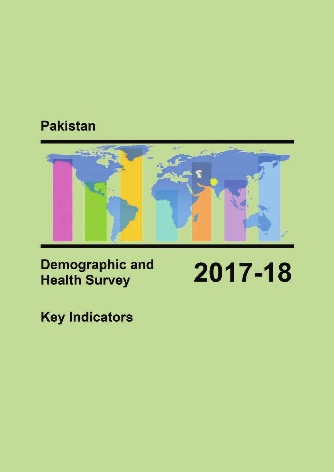# **Pakistan**



**Demographic and Health Survey** 

2017-18

**Key Indicators**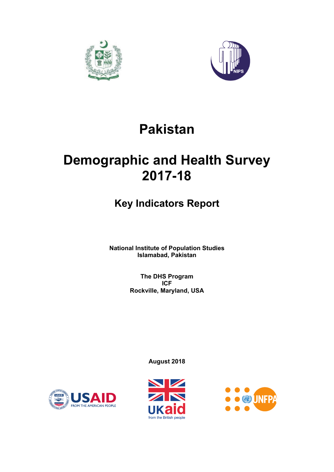



# **Pakistan**

# **Demographic and Health Survey 2017-18**

# **Key Indicators Report**

**National Institute of Population Studies Islamabad, Pakistan** 

> **The DHS Program ICF Rockville, Maryland, USA**

> > **August 2018**





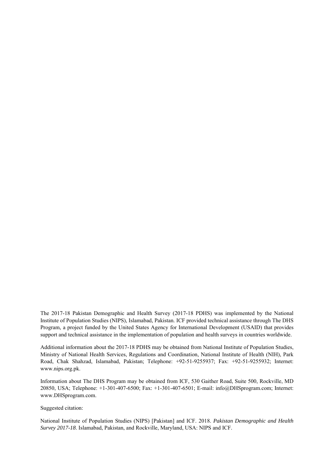The 2017-18 Pakistan Demographic and Health Survey (2017-18 PDHS) was implemented by the National Institute of Population Studies (NIPS), Islamabad, Pakistan. ICF provided technical assistance through The DHS Program, a project funded by the United States Agency for International Development (USAID) that provides support and technical assistance in the implementation of population and health surveys in countries worldwide.

Additional information about the 2017-18 PDHS may be obtained from National Institute of Population Studies, Ministry of National Health Services, Regulations and Coordination, National Institute of Health (NIH), Park Road, Chak Shahzad, Islamabad, Pakistan; Telephone: +92-51-9255937; Fax: +92-51-9255932; Internet: www.nips.org.pk.

Information about The DHS Program may be obtained from ICF, 530 Gaither Road, Suite 500, Rockville, MD 20850, USA; Telephone: +1-301-407-6500; Fax: +1-301-407-6501; E-mail: info@DHSprogram.com; Internet: www.DHSprogram.com.

#### Suggested citation:

National Institute of Population Studies (NIPS) [Pakistan] and ICF. 2018. *Pakistan Demographic and Health Survey 2017-18*. Islamabad, Pakistan, and Rockville, Maryland, USA: NIPS and ICF.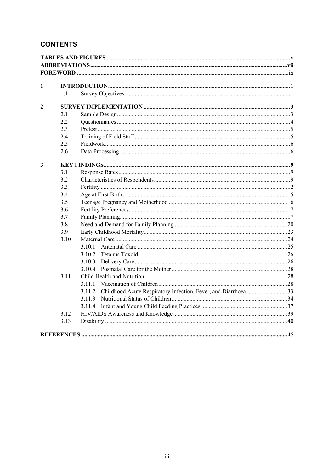# **CONTENTS**

| 1                       |      |                                                                          |  |
|-------------------------|------|--------------------------------------------------------------------------|--|
|                         | 1.1  |                                                                          |  |
| $\mathbf{2}$            |      |                                                                          |  |
|                         | 2.1  |                                                                          |  |
|                         | 2.2  |                                                                          |  |
|                         | 2.3  |                                                                          |  |
|                         | 2.4  |                                                                          |  |
|                         | 2.5  |                                                                          |  |
|                         | 2.6  |                                                                          |  |
| $\overline{\mathbf{3}}$ |      |                                                                          |  |
|                         | 3.1  |                                                                          |  |
|                         | 3.2  |                                                                          |  |
|                         | 3.3  |                                                                          |  |
|                         | 3.4  |                                                                          |  |
|                         | 3.5  |                                                                          |  |
|                         | 3.6  |                                                                          |  |
|                         | 3.7  |                                                                          |  |
|                         | 3.8  |                                                                          |  |
|                         | 3.9  |                                                                          |  |
|                         | 3.10 |                                                                          |  |
|                         |      | 3.10.1                                                                   |  |
|                         |      | 3.10.2                                                                   |  |
|                         |      | 3.10.3                                                                   |  |
|                         |      | 3.10.4                                                                   |  |
|                         | 3.11 |                                                                          |  |
|                         |      | 3.11.1                                                                   |  |
|                         |      | Childhood Acute Respiratory Infection, Fever, and Diarrhoea 33<br>3.11.2 |  |
|                         |      | 3.11.3                                                                   |  |
|                         |      | 3.11.4                                                                   |  |
|                         | 3.12 |                                                                          |  |
|                         | 3.13 |                                                                          |  |
|                         |      |                                                                          |  |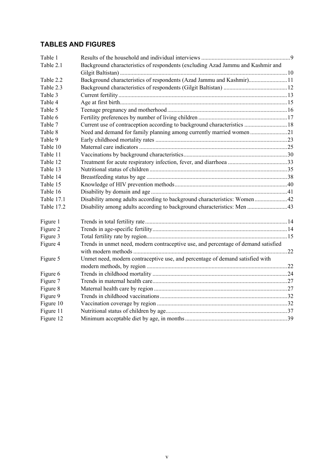# **TABLES AND FIGURES**

| Table 1    |                                                                                    |  |
|------------|------------------------------------------------------------------------------------|--|
| Table 2.1  | Background characteristics of respondents (excluding Azad Jammu and Kashmir and    |  |
|            |                                                                                    |  |
| Table 2.2  | Background characteristics of respondents (Azad Jammu and Kashmir)11               |  |
| Table 2.3  |                                                                                    |  |
| Table 3    |                                                                                    |  |
| Table 4    |                                                                                    |  |
| Table 5    |                                                                                    |  |
| Table 6    |                                                                                    |  |
| Table 7    | Current use of contraception according to background characteristics  18           |  |
| Table 8    | Need and demand for family planning among currently married women 21               |  |
| Table 9    |                                                                                    |  |
| Table 10   |                                                                                    |  |
| Table 11   |                                                                                    |  |
| Table 12   |                                                                                    |  |
| Table 13   |                                                                                    |  |
| Table 14   |                                                                                    |  |
| Table 15   |                                                                                    |  |
| Table 16   |                                                                                    |  |
| Table 17.1 | Disability among adults according to background characteristics: Women42           |  |
| Table 17.2 | Disability among adults according to background characteristics: Men 43            |  |
| Figure 1   |                                                                                    |  |
| Figure 2   |                                                                                    |  |
| Figure 3   |                                                                                    |  |
| Figure 4   | Trends in unmet need, modern contraceptive use, and percentage of demand satisfied |  |
|            |                                                                                    |  |
| Figure 5   | Unmet need, modern contraceptive use, and percentage of demand satisfied with      |  |
|            |                                                                                    |  |
| Figure 6   |                                                                                    |  |
| Figure 7   |                                                                                    |  |
| Figure 8   |                                                                                    |  |
| Figure 9   |                                                                                    |  |
| Figure 10  |                                                                                    |  |
| Figure 11  |                                                                                    |  |
| Figure 12  |                                                                                    |  |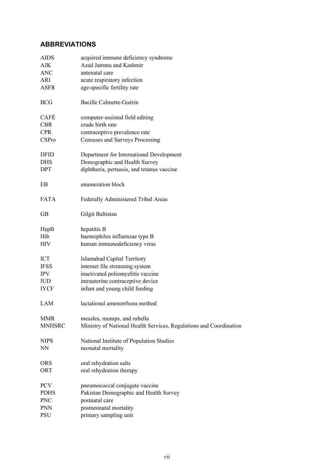# **ABBREVIATIONS**

| AIDS          | acquired immune deficiency syndrome                                |
|---------------|--------------------------------------------------------------------|
| <b>AJK</b>    | Azad Jammu and Kashmir                                             |
| ANC           | antenatal care                                                     |
| ARI           | acute respiratory infection                                        |
| <b>ASFR</b>   | age-specific fertility rate                                        |
| <b>BCG</b>    | Bacille Calmette-Guérin                                            |
| CAFÉ          | computer-assisted field editing                                    |
| <b>CBR</b>    | crude birth rate                                                   |
| <b>CPR</b>    | contraceptive prevalence rate                                      |
| CSPro         | Censuses and Surveys Processing                                    |
| DFID          | Department for International Development                           |
| DHS           | Demographic and Health Survey                                      |
| DPT           | diphtheria, pertussis, and tetanus vaccine                         |
| EB            | enumeration block                                                  |
| <b>FATA</b>   | Federally Administered Tribal Areas                                |
| <b>GB</b>     | Gilgit Baltistan                                                   |
| HepB          | hepatitis B                                                        |
| Hib           | haemophilus influenzae type B                                      |
| HIV           | human immunodeficiency virus                                       |
| ICT           | Islamabad Capital Territory                                        |
| <b>IFSS</b>   | internet file streaming system                                     |
| <b>IPV</b>    | inactivated poliomyelitis vaccine                                  |
| <b>IUD</b>    | intrauterine contraceptive device                                  |
| <b>IYCF</b>   | infant and young child feeding                                     |
| LAM           | lactational amenorrhoea method                                     |
| <b>MMR</b>    | measles, mumps, and rubella                                        |
| <b>MNHSRC</b> | Ministry of National Health Services, Regulations and Coordination |
| <b>NIPS</b>   | National Institute of Population Studies                           |
| NN            | neonatal mortality                                                 |
| <b>ORS</b>    | oral rehydration salts                                             |
| ORT           | oral rehydration therapy                                           |
| <b>PCV</b>    | pneumococcal conjugate vaccine                                     |
| PDHS          | Pakistan Demographic and Health Survey                             |
| <b>PNC</b>    | postnatal care                                                     |
| <b>PNN</b>    | postneonatal mortality                                             |
| PSU           | primary sampling unit                                              |
|               |                                                                    |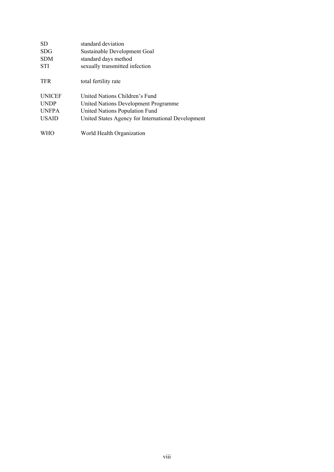| SD.           | standard deviation                                 |
|---------------|----------------------------------------------------|
| <b>SDG</b>    | Sustainable Development Goal                       |
| <b>SDM</b>    | standard days method                               |
| <b>STI</b>    | sexually transmitted infection                     |
| <b>TFR</b>    | total fertility rate                               |
| <b>UNICEF</b> | United Nations Children's Fund                     |
| <b>UNDP</b>   | United Nations Development Programme               |
| <b>UNFPA</b>  | United Nations Population Fund                     |
| <b>USAID</b>  | United States Agency for International Development |
|               | World Health Organization                          |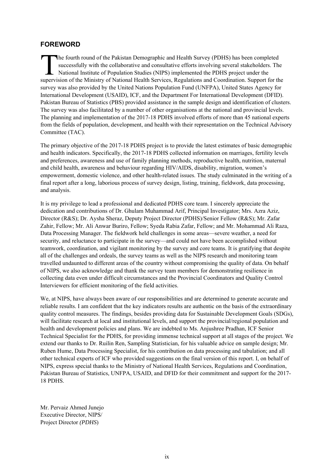# **FOREWORD**

he fourth round of the Pakistan Demographic and Health Survey (PDHS) has been completed successfully with the collaborative and consultative efforts involving several stakeholders. The National Institute of Population Studies (NIPS) implemented the PDHS project under the The fourth round of the Pakistan Demographic and Health Survey (PDHS) has been completed<br>successfully with the collaborative and consultative efforts involving several stakeholders. The<br>National Institute of Population Stu survey was also provided by the United Nations Population Fund (UNFPA), United States Agency for International Development (USAID), ICF, and the Department For International Development (DFID). Pakistan Bureau of Statistics (PBS) provided assistance in the sample design and identification of clusters. The survey was also facilitated by a number of other organisations at the national and provincial levels. The planning and implementation of the 2017-18 PDHS involved efforts of more than 45 national experts from the fields of population, development, and health with their representation on the Technical Advisory Committee (TAC).

The primary objective of the 2017-18 PDHS project is to provide the latest estimates of basic demographic and health indicators. Specifically, the 2017-18 PDHS collected information on marriages, fertility levels and preferences, awareness and use of family planning methods, reproductive health, nutrition, maternal and child health, awareness and behaviour regarding HIV/AIDS, disability, migration, women's empowerment, domestic violence, and other health-related issues. The study culminated in the writing of a final report after a long, laborious process of survey design, listing, training, fieldwork, data processing, and analysis.

It is my privilege to lead a professional and dedicated PDHS core team. I sincerely appreciate the dedication and contributions of Dr. Ghulam Muhammad Arif, Principal Investigator; Mrs. Azra Aziz, Director (R&S); Dr. Aysha Sheraz, Deputy Project Director (PDHS)/Senior Fellow (R&S); Mr. Zafar Zahir, Fellow; Mr. Ali Anwar Buriro, Fellow; Syeda Rabia Zafar, Fellow; and Mr. Mohammad Ali Raza, Data Processing Manager. The fieldwork held challenges in some areas—severe weather, a need for security, and reluctance to participate in the survey—and could not have been accomplished without teamwork, coordination, and vigilant monitoring by the survey and core teams. It is gratifying that despite all of the challenges and ordeals, the survey teams as well as the NIPS research and monitoring team travelled undaunted to different areas of the country without compromising the quality of data. On behalf of NIPS, we also acknowledge and thank the survey team members for demonstrating resilience in collecting data even under difficult circumstances and the Provincial Coordinators and Quality Control Interviewers for efficient monitoring of the field activities.

We, at NIPS, have always been aware of our responsibilities and are determined to generate accurate and reliable results. I am confident that the key indicators results are authentic on the basis of the extraordinary quality control measures. The findings, besides providing data for Sustainable Development Goals (SDGs), will facilitate research at local and institutional levels, and support the provincial/regional population and health and development policies and plans. We are indebted to Ms. Anjushree Pradhan, ICF Senior Technical Specialist for the PDHS, for providing immense technical support at all stages of the project. We extend our thanks to Dr. Ruilin Ren, Sampling Statistician, for his valuable advice on sample design; Mr. Ruben Hume, Data Processing Specialist, for his contribution on data processing and tabulation; and all other technical experts of ICF who provided suggestions on the final version of this report. I, on behalf of NIPS, express special thanks to the Ministry of National Health Services, Regulations and Coordination, Pakistan Bureau of Statistics, UNFPA, USAID, and DFID for their commitment and support for the 2017- 18 PDHS.

Mr. Pervaiz Ahmed Junejo Executive Director, NIPS/ Project Director *(PDHS*)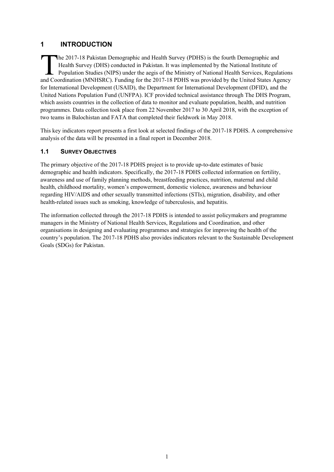# **1 INTRODUCTION**

he 2017-18 Pakistan Demographic and Health Survey (PDHS) is the fourth Demographic and Health Survey (DHS) conducted in Pakistan. It was implemented by the National Institute of Population Studies (NIPS) under the aegis of the Ministry of National Health Services, Regulations The 2017-18 Pakistan Demographic and Health Survey (PDHS) is the fourth Demographic and Health Survey (DHS) conducted in Pakistan. It was implemented by the National Institute of Population Studies (NIPS) under the aegis o for International Development (USAID), the Department for International Development (DFID), and the United Nations Population Fund (UNFPA). ICF provided technical assistance through The DHS Program, which assists countries in the collection of data to monitor and evaluate population, health, and nutrition programmes. Data collection took place from 22 November 2017 to 30 April 2018, with the exception of two teams in Balochistan and FATA that completed their fieldwork in May 2018.

This key indicators report presents a first look at selected findings of the 2017-18 PDHS. A comprehensive analysis of the data will be presented in a final report in December 2018.

# **1.1 SURVEY OBJECTIVES**

The primary objective of the 2017-18 PDHS project is to provide up-to-date estimates of basic demographic and health indicators. Specifically, the 2017-18 PDHS collected information on fertility, awareness and use of family planning methods, breastfeeding practices, nutrition, maternal and child health, childhood mortality, women's empowerment, domestic violence, awareness and behaviour regarding HIV/AIDS and other sexually transmitted infections (STIs), migration, disability, and other health-related issues such as smoking, knowledge of tuberculosis, and hepatitis.

The information collected through the 2017-18 PDHS is intended to assist policymakers and programme managers in the Ministry of National Health Services, Regulations and Coordination, and other organisations in designing and evaluating programmes and strategies for improving the health of the country's population. The 2017-18 PDHS also provides indicators relevant to the Sustainable Development Goals (SDGs) for Pakistan.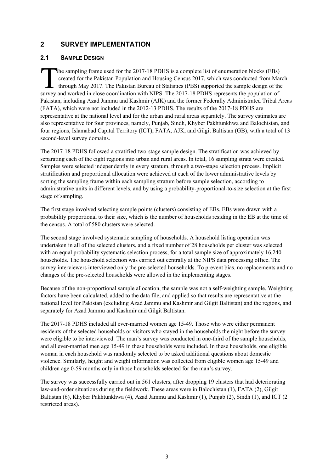# **2 SURVEY IMPLEMENTATION**

#### **2.1 SAMPLE DESIGN**

he sampling frame used for the 2017-18 PDHS is a complete list of enumeration blocks (EBs) created for the Pakistan Population and Housing Census 2017, which was conducted from March through May 2017. The Pakistan Bureau of Statistics (PBS) supported the sample design of the The sampling frame used for the 2017-18 PDHS is a complete list of enumeration blocks (EBs) created for the Pakistan Population and Housing Census 2017, which was conducted from Ma through May 2017. The Pakistan Bureau of Pakistan, including Azad Jammu and Kashmir (AJK) and the former Federally Administrated Tribal Areas (FATA), which were not included in the 2012-13 PDHS. The results of the 2017-18 PDHS are representative at the national level and for the urban and rural areas separately. The survey estimates are also representative for four provinces, namely, Punjab, Sindh, Khyber Pakhtunkhwa and Balochistan, and four regions, Islamabad Capital Territory (ICT), FATA, AJK, and Gilgit Baltistan (GB), with a total of 13 second-level survey domains.

The 2017-18 PDHS followed a stratified two-stage sample design. The stratification was achieved by separating each of the eight regions into urban and rural areas. In total, 16 sampling strata were created. Samples were selected independently in every stratum, through a two-stage selection process. Implicit stratification and proportional allocation were achieved at each of the lower administrative levels by sorting the sampling frame within each sampling stratum before sample selection, according to administrative units in different levels, and by using a probability-proportional-to-size selection at the first stage of sampling.

The first stage involved selecting sample points (clusters) consisting of EBs. EBs were drawn with a probability proportional to their size, which is the number of households residing in the EB at the time of the census. A total of 580 clusters were selected.

The second stage involved systematic sampling of households. A household listing operation was undertaken in all of the selected clusters, and a fixed number of 28 households per cluster was selected with an equal probability systematic selection process, for a total sample size of approximately 16,240 households. The household selection was carried out centrally at the NIPS data processing office. The survey interviewers interviewed only the pre-selected households. To prevent bias, no replacements and no changes of the pre-selected households were allowed in the implementing stages.

Because of the non-proportional sample allocation, the sample was not a self-weighting sample. Weighting factors have been calculated, added to the data file, and applied so that results are representative at the national level for Pakistan (excluding Azad Jammu and Kashmir and Gilgit Baltistan) and the regions, and separately for Azad Jammu and Kashmir and Gilgit Baltistan.

The 2017-18 PDHS included all ever-married women age 15-49. Those who were either permanent residents of the selected households or visitors who stayed in the households the night before the survey were eligible to be interviewed. The man's survey was conducted in one-third of the sample households, and all ever-married men age 15-49 in these households were included. In these households, one eligible woman in each household was randomly selected to be asked additional questions about domestic violence. Similarly, height and weight information was collected from eligible women age 15-49 and children age 0-59 months only in those households selected for the man's survey.

The survey was successfully carried out in 561 clusters, after dropping 19 clusters that had deteriorating law-and-order situations during the fieldwork. These areas were in Balochistan (1), FATA (2), Gilgit Baltistan (6), Khyber Pakhtunkhwa (4), Azad Jammu and Kashmir (1), Punjab (2), Sindh (1), and ICT (2 restricted areas).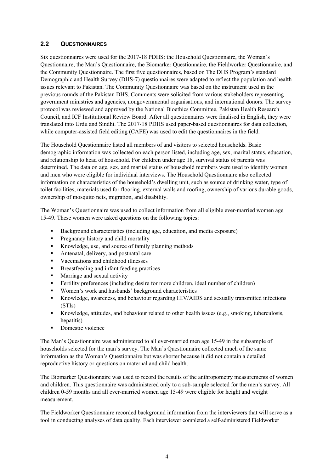#### **2.2 QUESTIONNAIRES**

Six questionnaires were used for the 2017-18 PDHS: the Household Questionnaire, the Woman's Questionnaire, the Man's Questionnaire, the Biomarker Questionnaire, the Fieldworker Questionnaire, and the Community Questionnaire. The first five questionnaires, based on The DHS Program's standard Demographic and Health Survey (DHS-7) questionnaires were adapted to reflect the population and health issues relevant to Pakistan. The Community Questionnaire was based on the instrument used in the previous rounds of the Pakistan DHS. Comments were solicited from various stakeholders representing government ministries and agencies, nongovernmental organisations, and international donors. The survey protocol was reviewed and approved by the National Bioethics Committee, Pakistan Health Research Council, and ICF Institutional Review Board. After all questionnaires were finalised in English, they were translated into Urdu and Sindhi. The 2017-18 PDHS used paper-based questionnaires for data collection, while computer-assisted field editing (CAFE) was used to edit the questionnaires in the field.

The Household Questionnaire listed all members of and visitors to selected households. Basic demographic information was collected on each person listed, including age, sex, marital status, education, and relationship to head of household. For children under age 18, survival status of parents was determined. The data on age, sex, and marital status of household members were used to identify women and men who were eligible for individual interviews. The Household Questionnaire also collected information on characteristics of the household's dwelling unit, such as source of drinking water, type of toilet facilities, materials used for flooring, external walls and roofing, ownership of various durable goods, ownership of mosquito nets, migration, and disability.

The Woman's Questionnaire was used to collect information from all eligible ever-married women age 15-49. These women were asked questions on the following topics:

- Background characteristics (including age, education, and media exposure)
- **Pregnancy history and child mortality**
- Knowledge, use, and source of family planning methods
- Antenatal, delivery, and postnatal care
- **vaccinations and childhood illnesses**
- Breastfeeding and infant feeding practices
- **Marriage and sexual activity**
- Fertility preferences (including desire for more children, ideal number of children)
- Women's work and husbands' background characteristics
- Knowledge, awareness, and behaviour regarding HIV/AIDS and sexually transmitted infections (STIs)
- Knowledge, attitudes, and behaviour related to other health issues (e.g., smoking, tuberculosis, hepatitis)
- Domestic violence

The Man's Questionnaire was administered to all ever-married men age 15-49 in the subsample of households selected for the man's survey. The Man's Questionnaire collected much of the same information as the Woman's Questionnaire but was shorter because it did not contain a detailed reproductive history or questions on maternal and child health.

The Biomarker Questionnaire was used to record the results of the anthropometry measurements of women and children. This questionnaire was administered only to a sub-sample selected for the men's survey. All children 0-59 months and all ever-married women age 15-49 were eligible for height and weight measurement.

The Fieldworker Questionnaire recorded background information from the interviewers that will serve as a tool in conducting analyses of data quality. Each interviewer completed a self-administered Fieldworker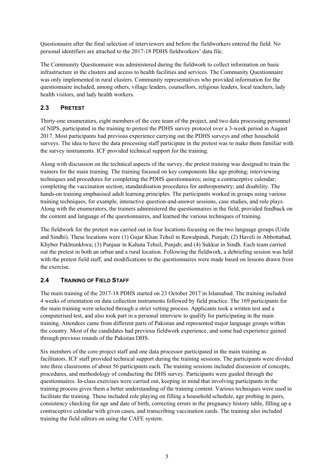Questionnaire after the final selection of interviewers and before the fieldworkers entered the field. No personal identifiers are attached to the 2017-18 PDHS fieldworkers' data file.

The Community Questionnaire was administered during the fieldwork to collect information on basic infrastructure in the clusters and access to health facilities and services. The Community Questionnaire was only implemented in rural clusters. Community representatives who provided information for the questionnaire included, among others, village leaders, counsellors, religious leaders, local teachers, lady health visitors, and lady health workers.

# **2.3 PRETEST**

Thirty-one enumerators, eight members of the core team of the project, and two data processing personnel of NIPS, participated in the training to pretest the PDHS survey protocol over a 3-week period in August 2017. Most participants had previous experience carrying out the PDHS surveys and other household surveys. The idea to have the data processing staff participate in the pretest was to make them familiar with the survey instruments. ICF provided technical support for the training.

Along with discussion on the technical aspects of the survey, the pretest training was designed to train the trainers for the main training. The training focused on key components like age probing; interviewing techniques and procedures for completing the PDHS questionnaires; using a contraceptive calendar; completing the vaccination section; standardisation procedures for anthropometry; and disability. The hands-on training emphasised adult learning principles. The participants worked in groups using various training techniques, for example, interactive question-and-answer sessions, case studies, and role plays. Along with the enumerators, the trainers administered the questionnaires in the field, provided feedback on the content and language of the questionnaires, and learned the various techniques of training.

The fieldwork for the pretest was carried out in four locations focusing on the two language groups (Urdu and Sindhi). These locations were (1) Gujar Khan Tehsil in Rawalpindi, Punjab; (2) Haveli in Abbottabad, Khyber Pakhtunkhwa; (3) Panjaar in Kahuta Tehsil, Punjab; and (4) Sukkur in Sindh. Each team carried out the pretest in both an urban and a rural location. Following the fieldwork, a debriefing session was held with the pretest field staff, and modifications to the questionnaires were made based on lessons drawn from the exercise.

#### **2.4 TRAINING OF FIELD STAFF**

The main training of the 2017-18 PDHS started on 23 October 2017 in Islamabad. The training included 4 weeks of orientation on data collection instruments followed by field practice. The 169 participants for the main training were selected through a strict vetting process. Applicants took a written test and a computerised test, and also took part in a personal interview to qualify for participating in the main training. Attendees came from different parts of Pakistan and represented major language groups within the country. Most of the candidates had previous fieldwork experience, and some had experience gained through previous rounds of the Pakistan DHS.

Six members of the core project staff and one data processor participated in the main training as facilitators. ICF staff provided technical support during the training sessions. The participants were divided into three classrooms of about 56 participants each. The training sessions included discussion of concepts, procedures, and methodology of conducting the DHS survey. Participants were guided through the questionnaires. In-class exercises were carried out, keeping in mind that involving participants in the training process gives them a better understanding of the training content. Various techniques were used to facilitate the training. These included role playing on filling a household schedule, age probing in pairs, consistency checking for age and date of birth, correcting errors in the pregnancy history table, filling up a contraceptive calendar with given cases, and transcribing vaccination cards. The training also included training the field editors on using the CAFE system.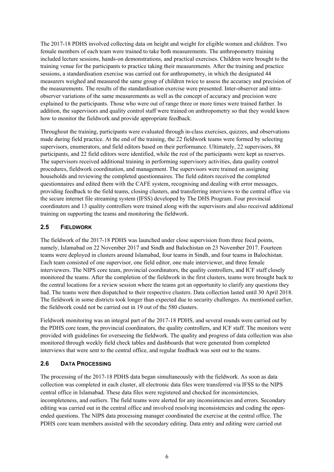The 2017-18 PDHS involved collecting data on height and weight for eligible women and children. Two female members of each team were trained to take both measurements. The anthropometry training included lecture sessions, hands-on demonstrations, and practical exercises. Children were brought to the training venue for the participants to practice taking their measurements. After the training and practice sessions, a standardisation exercise was carried out for anthropometry, in which the designated 44 measurers weighed and measured the same group of children twice to assess the accuracy and precision of the measurements. The results of the standardisation exercise were presented. Inter-observer and intraobserver variations of the same measurements as well as the concept of accuracy and precision were explained to the participants. Those who were out of range three or more times were trained further. In addition, the supervisors and quality control staff were trained on anthropometry so that they would know how to monitor the fieldwork and provide appropriate feedback.

Throughout the training, participants were evaluated through in-class exercises, quizzes, and observations made during field practice. At the end of the training, the 22 fieldwork teams were formed by selecting supervisors, enumerators, and field editors based on their performance. Ultimately, 22 supervisors, 88 participants, and 22 field editors were identified, while the rest of the participants were kept as reserves. The supervisors received additional training in performing supervisory activities, data quality control procedures, fieldwork coordination, and management. The supervisors were trained on assigning households and reviewing the completed questionnaires. The field editors received the completed questionnaires and edited them with the CAFE system, recognising and dealing with error messages, providing feedback to the field teams, closing clusters, and transferring interviews to the central office via the secure internet file streaming system (IFSS) developed by The DHS Program. Four provincial coordinators and 13 quality controllers were trained along with the supervisors and also received additional training on supporting the teams and monitoring the fieldwork.

#### **2.5 FIELDWORK**

The fieldwork of the 2017-18 PDHS was launched under close supervision from three focal points, namely, Islamabad on 22 November 2017 and Sindh and Balochistan on 23 November 2017. Fourteen teams were deployed in clusters around Islamabad, four teams in Sindh, and four teams in Balochistan. Each team consisted of one supervisor, one field editor, one male interviewer, and three female interviewers. The NIPS core team, provincial coordinators, the quality controllers, and ICF staff closely monitored the teams. After the completion of the fieldwork in the first clusters, teams were brought back to the central locations for a review session where the teams got an opportunity to clarify any questions they had. The teams were then dispatched to their respective clusters. Data collection lasted until 30 April 2018. The fieldwork in some districts took longer than expected due to security challenges. As mentioned earlier, the fieldwork could not be carried out in 19 out of the 580 clusters.

Fieldwork monitoring was an integral part of the 2017-18 PDHS, and several rounds were carried out by the PDHS core team, the provincial coordinators, the quality controllers, and ICF staff. The monitors were provided with guidelines for overseeing the fieldwork. The quality and progress of data collection was also monitored through weekly field check tables and dashboards that were generated from completed interviews that were sent to the central office, and regular feedback was sent out to the teams.

#### **2.6 DATA PROCESSING**

The processing of the 2017-18 PDHS data began simultaneously with the fieldwork. As soon as data collection was completed in each cluster, all electronic data files were transferred via IFSS to the NIPS central office in Islamabad. These data files were registered and checked for inconsistencies, incompleteness, and outliers. The field teams were alerted for any inconsistencies and errors. Secondary editing was carried out in the central office and involved resolving inconsistencies and coding the openended questions. The NIPS data processing manager coordinated the exercise at the central office. The PDHS core team members assisted with the secondary editing. Data entry and editing were carried out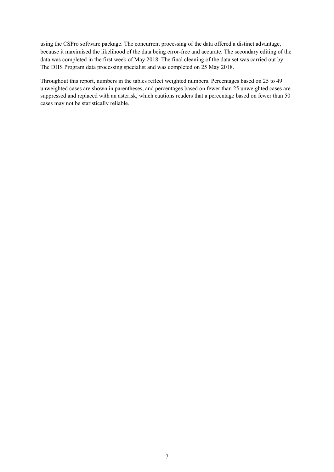using the CSPro software package. The concurrent processing of the data offered a distinct advantage, because it maximised the likelihood of the data being error-free and accurate. The secondary editing of the data was completed in the first week of May 2018. The final cleaning of the data set was carried out by The DHS Program data processing specialist and was completed on 25 May 2018.

Throughout this report, numbers in the tables reflect weighted numbers. Percentages based on 25 to 49 unweighted cases are shown in parentheses, and percentages based on fewer than 25 unweighted cases are suppressed and replaced with an asterisk, which cautions readers that a percentage based on fewer than 50 cases may not be statistically reliable.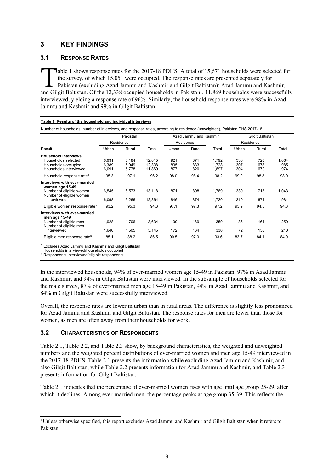# **3 KEY FINDINGS**

#### **3.1 RESPONSE RATES**

Table 1 shows response rates for the 2017-18 PDHS. A total of 15,671 households were selected for the survey, of which 15,051 were occupied. The response rates are presented separately for Pakistan (excluding Azad Jammu and Kashmir and Gilgit Baltistan); Azad Jammu and Kashmir, Table 1 shows response rates for the 2017-18 PDHS. A total of 15,671 households were selected for the survey, of which 15,051 were occupied. The response rates are presented separately for Pakistan (excluding Azad Jammu an interviewed, yielding a response rate of 96%. Similarly, the household response rates were 98% in Azad Jammu and Kashmir and 99% in Gilgit Baltistan.

|                                                                                                                        | Pakistan <sup>1</sup>   |                         |                            | Azad Jammu and Kashmir |                   |                         | Gilgit Baltistan  |                   |                     |
|------------------------------------------------------------------------------------------------------------------------|-------------------------|-------------------------|----------------------------|------------------------|-------------------|-------------------------|-------------------|-------------------|---------------------|
|                                                                                                                        |                         | Residence               |                            |                        | Residence         |                         |                   | Residence         |                     |
| Result                                                                                                                 | Urban                   | Rural                   | Total                      | Urban<br>Rural         | Total             | Urban                   | Rural             | Total             |                     |
| <b>Household interviews</b><br>Households selected<br>Households occupied<br>Households interviewed                    | 6,631<br>6,389<br>6,091 | 6,184<br>5,949<br>5,778 | 12,815<br>12,338<br>11,869 | 921<br>895<br>877      | 871<br>833<br>820 | 1,792<br>1,728<br>1,697 | 336<br>307<br>304 | 728<br>678<br>670 | 1,064<br>985<br>974 |
| Household response rate <sup>2</sup>                                                                                   | 95.3                    | 97.1                    | 96.2                       | 98.0                   | 98.4              | 98.2                    | 99.0              | 98.8              | 98.9                |
| Interviews with ever-married<br>women age 15-49<br>Number of eligible women<br>Number of eligible women<br>interviewed | 6,545<br>6,098          | 6,573<br>6,266          | 13,118<br>12,364           | 871<br>846             | 898<br>874        | 1.769<br>1,720          | 330<br>310        | 713<br>674        | 1,043<br>984        |
| Eligible women response rate <sup>3</sup>                                                                              | 93.2                    | 95.3                    | 94.3                       | 97.1                   | 97.3              | 97.2                    | 93.9              | 94.5              | 94.3                |
| Interviews with ever-married<br>men age 15-49<br>Number of eligible men<br>Number of eligible men<br>interviewed       | 1,928<br>1,640          | 1,706<br>1,505          | 3,634<br>3,145             | 190<br>172             | 169<br>164        | 359<br>336              | 86<br>72          | 164<br>138        | 250<br>210          |
| Eligible men response rate <sup>3</sup>                                                                                | 85.1                    | 88.2                    | 86.5                       | 90.5                   | 97.0              | 93.6                    | 83.7              | 84.1              | 84.0                |

#### **Table 1 Results of the household and individual interviews**

Number of households, number of interviews, and response rates, according to residence (unweighted), Pakistan DHS 2017-18

1 Excludes Azad Jammu and Kashmir and Gilgit Baltistan

<sup>2</sup> Households interviewed/households occupied

<sup>3</sup> Respondents interviewed/eligible respondents

-

In the interviewed households, 94% of ever-married women age 15-49 in Pakistan, 97% in Azad Jammu and Kashmir, and 94% in Gilgit Baltistan were interviewed. In the subsample of households selected for the male survey, 87% of ever-married men age 15-49 in Pakistan, 94% in Azad Jammu and Kashmir, and 84% in Gilgit Baltistan were successfully interviewed.

Overall, the response rates are lower in urban than in rural areas. The difference is slightly less pronounced for Azad Jammu and Kashmir and Gilgit Baltistan. The response rates for men are lower than those for women, as men are often away from their households for work.

#### **3.2 CHARACTERISTICS OF RESPONDENTS**

Table 2.1, Table 2.2, and Table 2.3 show, by background characteristics, the weighted and unweighted numbers and the weighted percent distributions of ever-married women and men age 15-49 interviewed in the 2017-18 PDHS. Table 2.1 presents the information while excluding Azad Jammu and Kashmir, and also Gilgit Baltistan, while Table 2.2 presents information for Azad Jammu and Kashmir, and Table 2.3 presents information for Gilgit Baltistan.

Table 2.1 indicates that the percentage of ever-married women rises with age until age group 25-29, after which it declines. Among ever-married men, the percentage peaks at age group 35-39. This reflects the

<sup>&</sup>lt;sup>1</sup> Unless otherwise specified, this report excludes Azad Jammu and Kashmir and Gilgit Baltistan when it refers to Pakistan.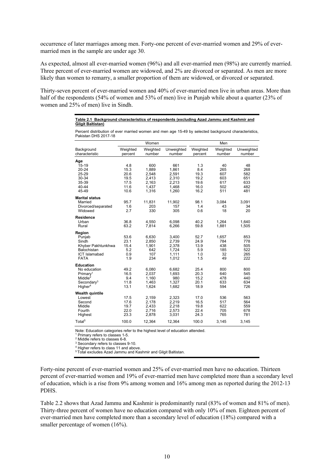occurrence of later marriages among men. Forty-one percent of ever-married women and 29% of evermarried men in the sample are under age 30.

As expected, almost all ever-married women (96%) and all ever-married men (98%) are currently married. Three percent of ever-married women are widowed, and 2% are divorced or separated. As men are more likely than women to remarry, a smaller proportion of them are widowed, or divorced or separated.

Thirty-seven percent of ever-married women and 40% of ever-married men live in urban areas. More than half of the respondents (54% of women and 53% of men) live in Punjab while about a quarter (23% of women and 25% of men) live in Sindh.

#### **Table 2.1 Background characteristics of respondents (excluding Azad Jammu and Kashmir and Gilgit Baltistan)**

Percent distribution of ever married women and men age 15-49 by selected background characteristics, Pakistan DHS 2017-18

|                                                                                                                                  |                                           | Women                                        |                                                    |                                           | Men                                    |                                        |
|----------------------------------------------------------------------------------------------------------------------------------|-------------------------------------------|----------------------------------------------|----------------------------------------------------|-------------------------------------------|----------------------------------------|----------------------------------------|
| Background<br>characteristic                                                                                                     | Weighted<br>percent                       | Weighted<br>number                           | Unweighted<br>number                               | Weighted<br>percent                       | Weighted<br>number                     | Unweighted<br>number                   |
| Age<br>$15 - 19$<br>20-24<br>25-29<br>30-34                                                                                      | 4.8<br>15.3<br>20.6<br>19.5               | 600<br>1,889<br>2,548<br>2,413               | 661<br>1,861<br>2,591<br>2.310                     | 1.3<br>8.4<br>19.3<br>19.2                | 40<br>265<br>607<br>603                | 48<br>268<br>582<br>651                |
| 35-39<br>40-44<br>45-49                                                                                                          | 17.5<br>11.6<br>10.6                      | 2,163<br>1,437<br>1,316                      | 2,213<br>1.468<br>1,260                            | 19.6<br>16.0<br>16.2                      | 617<br>502<br>511                      | 633<br>482<br>481                      |
| <b>Marital status</b><br>Married<br>Divorced/separated<br>Widowed                                                                | 95.7<br>1.6<br>2.7                        | 11,831<br>203<br>330                         | 11,902<br>157<br>305                               | 98.1<br>1.4<br>0.6                        | 3,084<br>43<br>18                      | 3,091<br>34<br>20                      |
| <b>Residence</b><br>Urban<br>Rural                                                                                               | 36.8<br>63.2                              | 4,550<br>7,814                               | 6,098<br>6,266                                     | 40.2<br>59.8                              | 1,264<br>1,881                         | 1.640<br>1,505                         |
| Region<br>Punjab<br>Sindh<br>Khyber Pakhtunkhwa<br>Balochistan<br><b>ICT Islamabad</b><br><b>FATA</b>                            | 53.6<br>23.1<br>15.4<br>5.2<br>0.9<br>1.9 | 6,630<br>2,850<br>1,901<br>642<br>107<br>234 | 3,400<br>2,739<br>2,378<br>1,724<br>1,111<br>1,012 | 52.7<br>24.9<br>13.9<br>5.9<br>1.0<br>1.5 | 1,657<br>784<br>438<br>185<br>32<br>49 | 853<br>778<br>505<br>522<br>265<br>222 |
| <b>Education</b><br>No education<br>Primary <sup>1</sup><br>Middle <sup>2</sup><br>Secondary <sup>3</sup><br>Higher <sup>4</sup> | 49.2<br>16.5<br>9.4<br>11.8<br>13.1       | 6,080<br>2,037<br>1,160<br>1,463<br>1,624    | 6,682<br>1,693<br>980<br>1,327<br>1,682            | 25.4<br>20.3<br>15.2<br>20.1<br>18.9      | 800<br>640<br>478<br>633<br>594        | 800<br>545<br>440<br>634<br>726        |
| <b>Wealth quintile</b><br>Lowest<br>Second<br>Middle<br>Fourth<br>Highest                                                        | 17.5<br>17.6<br>19.7<br>22.0<br>23.3      | 2,159<br>2,178<br>2,433<br>2,716<br>2,878    | 2,323<br>2,219<br>2,218<br>2,573<br>3,031          | 17.0<br>16.5<br>19.8<br>22.4<br>24.3      | 536<br>517<br>622<br>705<br>765        | 563<br>564<br>559<br>678<br>781        |
| Total <sup>5</sup>                                                                                                               | 100.0                                     | 12.364                                       | 12.364                                             | 100.0                                     | 3,145                                  | 3,145                                  |

Note: Education categories refer to the highest level of education attended.

<sup>1</sup> Primary refers to classes 1-5.

2 Middle refers to classes 6-8.

<sup>3</sup> Secondary refers to classes 9-10.<br><sup>4</sup> Higher refers to class 11 and above.

5 Total excludes Azad Jammu and Kashmir and Gilgit Baltistan.

Forty-nine percent of ever-married women and 25% of ever-married men have no education. Thirteen percent of ever-married women and 19% of ever-married men have completed more than a secondary level of education, which is a rise from 9% among women and 16% among men as reported during the 2012-13 PDHS.

Table 2.2 shows that Azad Jammu and Kashmir is predominantly rural (83% of women and 81% of men). Thirty-three percent of women have no education compared with only 10% of men. Eighteen percent of ever-married men have completed more than a secondary level of education (18%) compared with a smaller percentage of women (16%).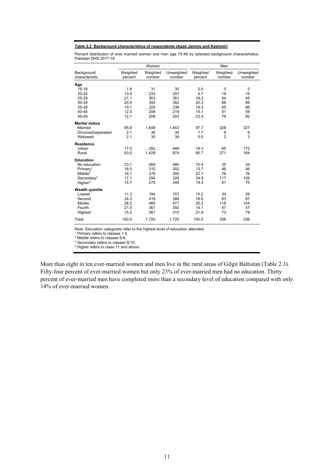#### **Table 2.2 Background characteristics of respondents (Azad Jammu and Kashmir)**

Percent distribution of ever married women and men age 15-49 by selected background characteristics, Pakistan DHS 2017-18

|                              |                     | Women              |                      |                     | Men                |                      |
|------------------------------|---------------------|--------------------|----------------------|---------------------|--------------------|----------------------|
| Background<br>characteristic | Weighted<br>percent | Weighted<br>number | Unweighted<br>number | Weighted<br>percent | Weighted<br>number | Unweighted<br>number |
| Age                          |                     |                    |                      |                     |                    |                      |
| $15 - 19$                    | 1.8                 | 31                 | 30                   | 0.0                 | $\mathbf 0$        | $\mathbf 0$          |
| $20 - 24$                    | 13.5                | 232                | 207                  | 5.7                 | 19                 | 15                   |
| 25-29                        | 21.1                | 363                | 361                  | 16.2                | 54                 | 45                   |
| 30-34                        | 20.4                | 350                | 362                  | 20.3                | 68                 | 69                   |
| 35-39                        | 19.1                | 329                | 338                  | 19.3                | 65                 | 66                   |
| 40-44                        | 12.0                | 206                | 219                  | 15.1                | 51                 | 59                   |
| 45-49                        | 12.1                | 208                | 203                  | 23.4                | 79                 | 82                   |
| <b>Marital status</b>        |                     |                    |                      |                     |                    |                      |
| Married                      | 95.8                | 1,648              | 1,643                | 97.7                | 328                | 327                  |
| Divorced/separated           | 2.1                 | 36                 | 38                   | 1.7                 | 6                  | 6                    |
| Widowed                      | 2.1                 | 35                 | 39                   | 0.5                 | $\overline{2}$     | 3                    |
| <b>Residence</b>             |                     |                    |                      |                     |                    |                      |
| Urban                        | 17.0                | 292                | 846                  | 19.3                | 65                 | 172                  |
| Rural                        | 83.0                | 1,428              | 874                  | 80.7                | 271                | 164                  |
| <b>Education</b>             |                     |                    |                      |                     |                    |                      |
| No education                 | 33.1                | 569                | 480                  | 10.4                | 35                 | 34                   |
| Primary <sup>1</sup>         | 18.0                | 310                | 302                  | 13.7                | 46                 | 46                   |
| Middle <sup>2</sup>          | 16.1                | 276                | 265                  | 22.7                | 76                 | 76                   |
| Secondary <sup>3</sup>       | 17.1                | 294                | 328                  | 34.9                | 117                | 105                  |
| Higher <sup>4</sup>          | 15.7                | 270                | 345                  | 18.3                | 61                 | 75                   |
| <b>Wealth quintile</b>       |                     |                    |                      |                     |                    |                      |
| Lowest                       | 11.3                | 194                | 157                  | 10.2                | 34                 | 29                   |
| Second                       | 24.3                | 419                | 384                  | 18.6                | 63                 | 67                   |
| Middle                       | 28.2                | 485                | 477                  | 35.2                | 118                | 104                  |
| Fourth                       | 21.0                | 361                | 392                  | 14.1                | 47                 | 57                   |
| Highest                      | 15.2                | 261                | 310                  | 21.8                | 73                 | 79                   |
| Total                        | 100.0               | 1,720              | 1,720                | 100.0               | 336                | 336                  |

Note: Education categories refer to the highest level of education attended. 1

 $^1$  Primary refers to classes 1-5.<br><sup>2</sup> Middle refers to classes 6-8.

3 Secondary refers to classes 9-10.<br>4 Higher refers to class 11 and above.

More than eight in ten ever-married women and men live in the rural areas of Gilgit Baltistan (Table 2.3). Fifty-four percent of ever-married women but only 23% of ever-married men had no education. Thirty percent of ever-married men have completed more than a secondary level of education compared with only 14% of ever-married women.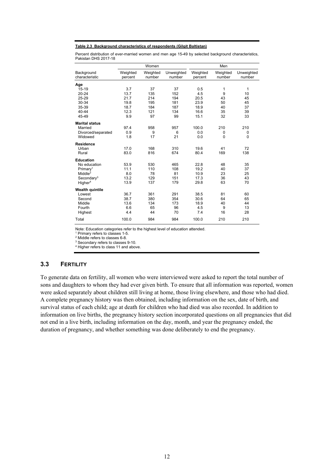#### **Table 2.3 Background characteristics of respondents (Gilgit Baltistan)**

Percent distribution of ever-married women and men age 15-49 by selected background characteristics, Pakistan DHS 2017-18

|                              |                     | Women              |                      |                     | Men                |                      |
|------------------------------|---------------------|--------------------|----------------------|---------------------|--------------------|----------------------|
| Background<br>characteristic | Weighted<br>percent | Weighted<br>number | Unweighted<br>number | Weighted<br>percent | Weighted<br>number | Unweighted<br>number |
| Age                          |                     |                    |                      |                     |                    |                      |
| $15 - 19$                    | 3.7                 | 37                 | 37                   | 0.5                 | 1                  | 1                    |
| $20 - 24$                    | 13.7                | 135                | 152                  | 4.5                 | 9                  | 10                   |
| 25-29                        | 21.7                | 214                | 194                  | 20.5                | 43                 | 45                   |
| 30-34                        | 19.8                | 195                | 181                  | 23.9                | 50                 | 45                   |
| 35-39                        | 18.7                | 184                | 187                  | 18.9                | 40                 | 37                   |
| 40-44                        | 12.3                | 121                | 134                  | 16.6                | 35                 | 39                   |
| 45-49                        | 9.9                 | 97                 | 99                   | 15.1                | 32                 | 33                   |
| <b>Marital status</b>        |                     |                    |                      |                     |                    |                      |
| Married                      | 97.4                | 958                | 957                  | 100.0               | 210                | 210                  |
| Divorced/separated           | 0.9                 | 9                  | 6                    | 0.0                 | 0                  | 0                    |
| Widowed                      | 1.8                 | 17                 | 21                   | 0.0                 | 0                  | $\mathbf 0$          |
| <b>Residence</b>             |                     |                    |                      |                     |                    |                      |
| Urban                        | 17.0                | 168                | 310                  | 19.6                | 41                 | 72                   |
| Rural                        | 83.0                | 816                | 674                  | 80.4                | 169                | 138                  |
| <b>Education</b>             |                     |                    |                      |                     |                    |                      |
| No education                 | 53.9                | 530                | 465                  | 22.8                | 48                 | 35                   |
| Primary <sup>1</sup>         | 11.1                | 110                | 108                  | 19.2                | 40                 | 37                   |
| Middle <sup>2</sup>          | 8.0                 | 78                 | 81                   | 10.9                | 23                 | 25                   |
| Secondary <sup>3</sup>       | 13.2                | 129                | 151                  | 17.3                | 36                 | 43                   |
| Higher <sup>4</sup>          | 13.9                | 137                | 179                  | 29.8                | 63                 | 70                   |
| <b>Wealth quintile</b>       |                     |                    |                      |                     |                    |                      |
| Lowest                       | 36.7                | 361                | 291                  | 38.5                | 81                 | 60                   |
| Second                       | 38.7                | 380                | 354                  | 30.6                | 64                 | 65                   |
| Middle                       | 13.6                | 134                | 173                  | 18.9                | 40                 | 44                   |
| Fourth                       | 6.6                 | 65                 | 96                   | 4.5                 | 9                  | 13                   |
| Highest                      | 4.4                 | 44                 | 70                   | 7.4                 | 16                 | 28                   |
| Total                        | 100.0               | 984                | 984                  | 100.0               | 210                | 210                  |

Note: Education categories refer to the highest level of education attended. 1

<sup>1</sup> Primary refers to classes 1-5.

 $\frac{2}{3}$  Middle refers to classes 6-8.<br> $\frac{3}{3}$  Secondary refers to classes 9-10.

<sup>4</sup> Higher refers to class 11 and above.

#### **3.3 FERTILITY**

To generate data on fertility, all women who were interviewed were asked to report the total number of sons and daughters to whom they had ever given birth. To ensure that all information was reported, women were asked separately about children still living at home, those living elsewhere, and those who had died. A complete pregnancy history was then obtained, including information on the sex, date of birth, and survival status of each child; age at death for children who had died was also recorded. In addition to information on live births, the pregnancy history section incorporated questions on all pregnancies that did not end in a live birth, including information on the day, month, and year the pregnancy ended, the duration of pregnancy, and whether something was done deliberately to end the pregnancy.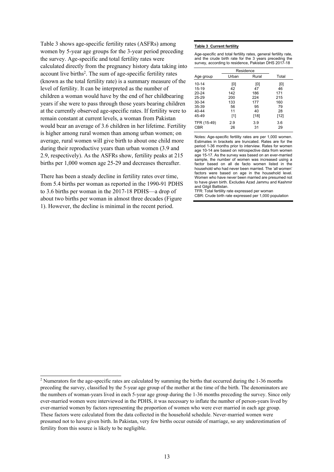Table 3 shows age-specific fertility rates (ASFRs) among women by 5-year age groups for the 3-year period preceding the survey. Age-specific and total fertility rates were calculated directly from the pregnancy history data taking into account live births<sup>2</sup>. The sum of age-specific fertility rates (known as the total fertility rate) is a summary measure of the level of fertility. It can be interpreted as the number of children a woman would have by the end of her childbearing years if she were to pass through those years bearing children at the currently observed age-specific rates. If fertility were to remain constant at current levels, a woman from Pakistan would bear an average of 3.6 children in her lifetime. Fertility is higher among rural women than among urban women; on average, rural women will give birth to about one child more during their reproductive years than urban women (3.9 and 2.9, respectively). As the ASFRs show, fertility peaks at 215 births per 1,000 women age 25-29 and decreases thereafter.

There has been a steady decline in fertility rates over time, from 5.4 births per woman as reported in the 1990-91 PDHS to 3.6 births per woman in the 2017-18 PDHS—a drop of about two births per woman in almost three decades (Figure 1). However, the decline is minimal in the recent period.

 $\overline{a}$ 

#### **Table 3 Current fertility**

Age-specific and total fertility rates, general fertility rate, and the crude birth rate for the 3 years preceding the survey, according to residence, Pakistan DHS 2017-18

|             | Residence |        |        |
|-------------|-----------|--------|--------|
| Age group   | Urban     | Rural  | Total  |
| $10 - 14$   | [0]       | וסז    | [0]    |
| $15 - 19$   | 42        | 47     | 46     |
| $20 - 24$   | 142       | 186    | 171    |
| 25-29       | 200       | 224    | 215    |
| 30-34       | 133       | 177    | 160    |
| 35-39       | 56        | 95     | 79     |
| 40-44       | 11        | 40     | 28     |
| 45-49       | [1]       | $[18]$ | $[12]$ |
| TFR (15-49) | 2.9       | 3.9    | 3.6    |
| <b>CBR</b>  | 26        | 31     | 29     |

Notes: Age-specific fertility rates are per 1,000 women. Estimates in brackets are truncated. Rates are for the period 1-36 months prior to interview. Rates for women age 10-14 are based on retrospective data from women age 15-17. As the survey was based on an ever-married sample, the number of women was increased using a factor based on all de facto women listed in the household who had never been married. The 'all women' factors were based on age in the household level. Women who have never been married are presumed not to have given birth. Excludes Azad Jammu and Kashmir and Gilgit Baltistan.

TFR: Total fertility rate expressed per woman CBR: Crude birth rate expressed per 1,000 population

<sup>&</sup>lt;sup>2</sup> Numerators for the age-specific rates are calculated by summing the births that occurred during the 1-36 months preceding the survey, classified by the 5-year age group of the mother at the time of the birth. The denominators are the numbers of woman-years lived in each 5-year age group during the 1-36 months preceding the survey. Since only ever-married women were interviewed in the PDHS, it was necessary to inflate the number of person-years lived by ever-married women by factors representing the proportion of women who were ever married in each age group. These factors were calculated from the data collected in the household schedule. Never-married women were presumed not to have given birth. In Pakistan, very few births occur outside of marriage, so any underestimation of fertility from this source is likely to be negligible.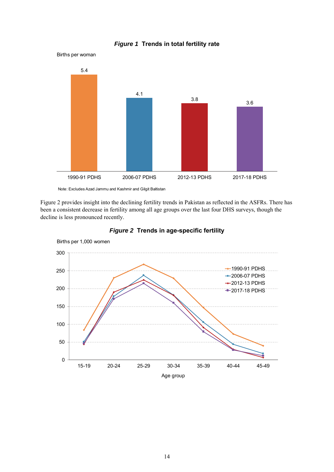



Note: Excludes Azad Jammu and Kashmir and Gilgit Baltistan

Births per woman

Figure 2 provides insight into the declining fertility trends in Pakistan as reflected in the ASFRs. There has been a consistent decrease in fertility among all age groups over the last four DHS surveys, though the decline is less pronounced recently.



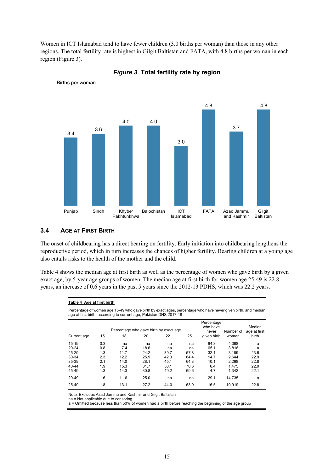Women in ICT Islamabad tend to have fewer children (3.0 births per woman) than those in any other regions. The total fertility rate is highest in Gilgit Baltistan and FATA, with 4.8 births per woman in each region (Figure 3).



*Figure 3* **Total fertility rate by region** 

# **3.4 AGE AT FIRST BIRTH**

Births per woman

The onset of childbearing has a direct bearing on fertility. Early initiation into childbearing lengthens the reproductive period, which in turn increases the chances of higher fertility. Bearing children at a young age also entails risks to the health of the mother and the child.

Table 4 shows the median age at first birth as well as the percentage of women who gave birth by a given exact age, by 5-year age groups of women. The median age at first birth for women age 25-49 is 22.8 years, an increase of 0.6 years in the past 5 years since the 2012-13 PDHS, which was 22.2 years.

| Table 4 Age at first birth |  |
|----------------------------|--|
|----------------------------|--|

Percentage of women age 15-49 who gave birth by exact ages, percentage who have never given birth, and median age at first birth, according to current age, Pakistan DHS 2017-18

|             |     |      | Percentage who gave birth by exact age |      |      | Percentage<br>who have | Number of | Median<br>age at first |
|-------------|-----|------|----------------------------------------|------|------|------------------------|-----------|------------------------|
| Current age | 15  | 18   | 20                                     | 22   | 25   | never<br>given birth   | women     | birth                  |
| $15 - 19$   | 0.3 | na   | na                                     | na   | na   | 94.3                   | 4.398     | a                      |
| 20-24       | 0.8 | 7.4  | 18.6                                   | na   | na   | 65.1                   | 3.816     | a                      |
| 25-29       | 1.3 | 11.7 | 24.2                                   | 39.7 | 57.8 | 32.1                   | 3.189     | 23.6                   |
| 30-34       | 2.3 | 12.2 | 25.9                                   | 42.3 | 64.4 | 14.7                   | 2.644     | 22.9                   |
| 35-39       | 2.1 | 14.0 | 28.1                                   | 45.1 | 64.3 | 10.1                   | 2.268     | 22.8                   |
| 40-44       | 1.9 | 15.3 | 31.7                                   | 50.1 | 70.6 | 6.4                    | 1.475     | 22.0                   |
| 45-49       | 1.3 | 14.3 | 30.8                                   | 49.2 | 69.6 | 4.7                    | 1.342     | 22.1                   |
| 20-49       | 1.6 | 11.6 | 25.0                                   | na   | na   | 29.1                   | 14.735    | a                      |
| 25-49       | 1.8 | 13.1 | 27.2                                   | 44.0 | 63.9 | 16.5                   | 10.919    | 22.8                   |

Note: Excludes Azad Jammu and Kashmir and Gilgit Baltistan

na = Not applicable due to censoring

a = Omitted because less than 50% of women had a birth before reaching the beginning of the age group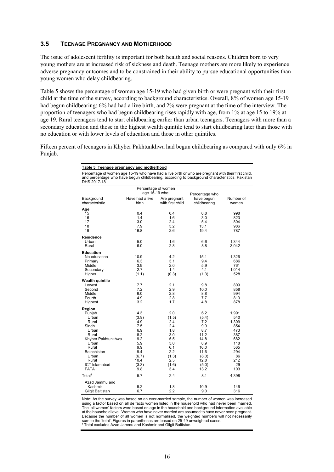#### **3.5 TEENAGE PREGNANCY AND MOTHERHOOD**

The issue of adolescent fertility is important for both health and social reasons. Children born to very young mothers are at increased risk of sickness and death. Teenage mothers are more likely to experience adverse pregnancy outcomes and to be constrained in their ability to pursue educational opportunities than young women who delay childbearing.

Table 5 shows the percentage of women age 15-19 who had given birth or were pregnant with their first child at the time of the survey, according to background characteristics. Overall, 8% of women age 15-19 had begun childbearing: 6% had had a live birth, and 2% were pregnant at the time of the interview. The proportion of teenagers who had begun childbearing rises rapidly with age, from 1% at age 15 to 19% at age 19. Rural teenagers tend to start childbearing earlier than urban teenagers. Teenagers with more than a secondary education and those in the highest wealth quintile tend to start childbearing later than those with no education or with lower levels of education and those in other quintiles.

Fifteen percent of teenagers in Khyber Pakhtunkhwa had begun childbearing as compared with only 6% in Punjab.

| Table 5 Teenage pregnancy and motherhood                                                                                                                                                                            |                                       |                                  |                            |                    |  |  |  |
|---------------------------------------------------------------------------------------------------------------------------------------------------------------------------------------------------------------------|---------------------------------------|----------------------------------|----------------------------|--------------------|--|--|--|
| Percentage of women age 15-19 who have had a live birth or who are pregnant with their first child,<br>and percentage who have begun childbearing, according to background characteristics, Pakistan<br>DHS 2017-18 |                                       |                                  |                            |                    |  |  |  |
|                                                                                                                                                                                                                     | Percentage of women<br>age 15-19 who: |                                  | Percentage who             |                    |  |  |  |
| Background<br>characteristic                                                                                                                                                                                        | Have had a live<br>birth              | Are pregnant<br>with first child | have begun<br>childbearing | Number of<br>women |  |  |  |
| Age                                                                                                                                                                                                                 |                                       |                                  |                            |                    |  |  |  |
| 15                                                                                                                                                                                                                  | 0.4                                   | 0.4                              | 0.8                        | 998                |  |  |  |
| 16                                                                                                                                                                                                                  | 1.4                                   | 1.6                              | 3.0                        | 823                |  |  |  |
| 17                                                                                                                                                                                                                  | 3.0                                   | 2.4                              | 5.4                        | 804                |  |  |  |
| 18<br>19                                                                                                                                                                                                            | 7.9<br>16.8                           | 5.2<br>2.6                       | 13.1<br>19.4               | 986<br>787         |  |  |  |
|                                                                                                                                                                                                                     |                                       |                                  |                            |                    |  |  |  |
| <b>Residence</b>                                                                                                                                                                                                    |                                       |                                  |                            |                    |  |  |  |
| Urban                                                                                                                                                                                                               | 5.0                                   | 1.6                              | 6.6                        | 1,344              |  |  |  |
| Rural                                                                                                                                                                                                               | 6.0                                   | 2.8                              | 8.8                        | 3,042              |  |  |  |
| <b>Education</b>                                                                                                                                                                                                    |                                       |                                  |                            |                    |  |  |  |
| No education                                                                                                                                                                                                        | 10.9                                  | 4.2                              | 15.1                       | 1,326              |  |  |  |
| Primary                                                                                                                                                                                                             | 6.3                                   | 3.1                              | 9.4                        | 686                |  |  |  |
| Middle                                                                                                                                                                                                              | 3.9                                   | 2.0                              | 5.9                        | 761                |  |  |  |
| Secondary<br>Higher                                                                                                                                                                                                 | 2.7<br>(1.1)                          | 1.4<br>(0.3)                     | 4.1<br>(1.3)               | 1,014<br>528       |  |  |  |
|                                                                                                                                                                                                                     |                                       |                                  |                            |                    |  |  |  |
| <b>Wealth quintile</b>                                                                                                                                                                                              |                                       |                                  |                            |                    |  |  |  |
| Lowest                                                                                                                                                                                                              | 7.7                                   | 2.1                              | 9.8                        | 809                |  |  |  |
| Second                                                                                                                                                                                                              | 7.2                                   | 2.9                              | 10.0                       | 858                |  |  |  |
| Middle<br>Fourth                                                                                                                                                                                                    | 6.0<br>4.9                            | 2.8<br>2.8                       | 8.8<br>7.7                 | 994<br>813         |  |  |  |
| Highest                                                                                                                                                                                                             | 3.2                                   | 1.7                              | 4.8                        | 878                |  |  |  |
|                                                                                                                                                                                                                     |                                       |                                  |                            |                    |  |  |  |
| Region                                                                                                                                                                                                              |                                       |                                  |                            |                    |  |  |  |
| Punjab                                                                                                                                                                                                              | 4.3                                   | 2.0                              | 6.2                        | 1,991              |  |  |  |
| Urban<br>Rural                                                                                                                                                                                                      | (3.9)<br>4.9                          | (1.5)<br>2.4                     | (5.4)<br>7.2               | 540<br>1,309       |  |  |  |
| Sindh                                                                                                                                                                                                               | 7.5                                   | 2.4                              | 9.9                        | 854                |  |  |  |
| Urban                                                                                                                                                                                                               | 6.9                                   | 1.8                              | 8.7                        | 473                |  |  |  |
| Rural                                                                                                                                                                                                               | 8.2                                   | 3.0                              | 11.2                       | 387                |  |  |  |
| Khyber Pakhtunkhwa                                                                                                                                                                                                  | 9.2                                   | 5.5                              | 14.8                       | 682                |  |  |  |
| Urban                                                                                                                                                                                                               | 5.9                                   | 3.0                              | 8.9                        | 118                |  |  |  |
| Rural                                                                                                                                                                                                               | 9.9                                   | 6.1                              | 16.0                       | 565                |  |  |  |
| Balochistan                                                                                                                                                                                                         | 9.4                                   | 2.2                              | 11.6                       | 294                |  |  |  |
| Urban                                                                                                                                                                                                               | (6.7)                                 | (1.3)                            | (8.0)                      | 86                 |  |  |  |
| Rural<br>ICT Islamabad                                                                                                                                                                                              | 10.4                                  | 2.5                              | 12.8                       | 212<br>29          |  |  |  |
| <b>FATA</b>                                                                                                                                                                                                         | (3.3)<br>9.8                          | (1.6)<br>3.4                     | (5.0)<br>13.2              | 103                |  |  |  |
|                                                                                                                                                                                                                     |                                       |                                  |                            |                    |  |  |  |
| Total <sup>1</sup>                                                                                                                                                                                                  | 5.7                                   | 2.4                              | 8.1                        | 4,398              |  |  |  |
| Azad Jammu and                                                                                                                                                                                                      |                                       |                                  |                            |                    |  |  |  |
| Kashmir                                                                                                                                                                                                             | 9.2<br>6.7                            | 1.8<br>2.2                       | 10.9<br>9.0                | 146<br>316         |  |  |  |
| Gilgit Baltistan                                                                                                                                                                                                    |                                       |                                  |                            |                    |  |  |  |

Note: As the survey was based on an ever-married sample, the number of women was increased using a factor based on all de facto women listed in the household who had never been married. The 'all women' factors were based on age in the household and background information available at the household level. Women who have never married are assumed to have never been pregnant. Because the number of all women is not normalised, the weighted numbers will not necessarily<br>sum to the 'total'. Figures in parentheses are based on 25-49 unweighted cases.<br><sup>1</sup> Total excludes Azad Jammu and Kashmir and Gil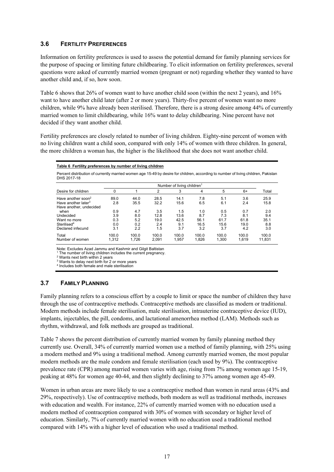#### **3.6 FERTILITY PREFERENCES**

Information on fertility preferences is used to assess the potential demand for family planning services for the purpose of spacing or limiting future childbearing. To elicit information on fertility preferences, several questions were asked of currently married women (pregnant or not) regarding whether they wanted to have another child and, if so, how soon.

Table 6 shows that 26% of women want to have another child soon (within the next 2 years), and 16% want to have another child later (after 2 or more years). Thirty-five percent of women want no more children, while 9% have already been sterilised. Therefore, there is a strong desire among 44% of currently married women to limit childbearing, while 16% want to delay childbearing. Nine percent have not decided if they want another child.

Fertility preferences are closely related to number of living children. Eighty-nine percent of women with no living children want a child soon, compared with only 14% of women with three children. In general, the more children a woman has, the higher is the likelihood that she does not want another child.

#### **Table 6 Fertility preferences by number of living children**

Percent distribution of currently married women age 15-49 by desire for children, according to number of living children, Pakistan DHS 2017-18

|                                 |       |       |                | Number of living children <sup>1</sup> |       |       |       |        |
|---------------------------------|-------|-------|----------------|----------------------------------------|-------|-------|-------|--------|
| Desire for children             |       |       | $\overline{2}$ | 3                                      | 4     | 5     | $6+$  | Total  |
| Have another soon <sup>2</sup>  | 89.0  | 44.0  | 28.5           | 14.1                                   | 7.8   | 5.1   | 3.6   | 25.9   |
| Have another later <sup>3</sup> | 2.8   | 35.5  | 32.2           | 15.6                                   | 6.5   | 6.1   | 2.4   | 15.8   |
| Have another, undecided         |       |       |                |                                        |       |       |       |        |
| when                            | 0.9   | 4.7   | 3.5            | 1.5                                    | 1.0   | 0.5   | 0.7   | 2.0    |
| Undecided                       | 3.9   | 8.0   | 12.8           | 13.6                                   | 8.7   | 7.3   | 8.1   | 9.4    |
| Want no more                    | 0.3   | 5.2   | 19.0           | 42.5                                   | 56.1  | 61.7  | 61.8  | 35.1   |
| Sterilised <sup>4</sup>         | 0.0   | 0.2   | 2.4            | 9.1                                    | 16.5  | 15.6  | 19.0  | 8.8    |
| Declared infecund               | 3.1   | 2.2   | 1.5            | 3.7                                    | 3.2   | 3.7   | 4.2   | 3.0    |
| Total                           | 100.0 | 100.0 | 100.0          | 100.0                                  | 100.0 | 100.0 | 100.0 | 100.0  |
| Number of women                 | 1.312 | 1.726 | 2,091          | 1.957                                  | 1.826 | 1,300 | 1.619 | 11,831 |

Note: Excludes Azad Jammu and Kashmir and Gilgit Baltistan

<sup>1</sup> The number of living children includes the current pregnancy.<br><sup>2</sup> Wants next birth within 2 years

3 Wants to delay next birth for 2 or more years

4 Includes both female and male sterilisation

#### **3.7 FAMILY PLANNING**

Family planning refers to a conscious effort by a couple to limit or space the number of children they have through the use of contraceptive methods. Contraceptive methods are classified as modern or traditional. Modern methods include female sterilisation, male sterilisation, intrauterine contraceptive device (IUD), implants, injectables, the pill, condoms, and lactational amenorrhea method (LAM). Methods such as rhythm, withdrawal, and folk methods are grouped as traditional.

Table 7 shows the percent distribution of currently married women by family planning method they currently use. Overall, 34% of currently married women use a method of family planning, with 25% using a modern method and 9% using a traditional method. Among currently married women, the most popular modern methods are the male condom and female sterilisation (each used by 9%). The contraceptive prevalence rate (CPR) among married women varies with age, rising from 7% among women age 15-19, peaking at 48% for women age 40-44, and then slightly declining to 37% among women age 45-49.

Women in urban areas are more likely to use a contraceptive method than women in rural areas (43% and 29%, respectively). Use of contraceptive methods, both modern as well as traditional methods, increases with education and wealth. For instance, 22% of currently married women with no education used a modern method of contraception compared with 30% of women with secondary or higher level of education. Similarly, 7% of currently married women with no education used a traditional method compared with 14% with a higher level of education who used a traditional method.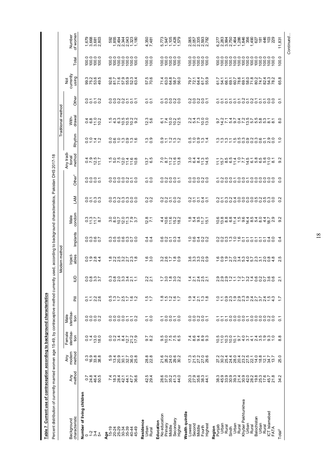Table 7 Current use of contraception according to background characteristics **Table 7 Current use of contraception according to background characteristics** 

| Percent distribution of currently married women age 15-49, by contraceptive method currently |                       | characteristic<br>Background  | Number of living children<br>744<br>$\circ$ | <b>a</b><br><b>a</b> ndong<br>andong<br>andong<br>45-49                             | Residence<br>Urban<br>Rural                   | No education<br>Secondary<br>Education<br>Primary<br>Middle<br>Higher | Wealth quintile<br>Highest<br>Second<br>Lowest<br>Middle<br>Fourth | Khyber Pakhtunkhwa<br>ICT Islamabad<br>FATA<br>Balochistan<br>Region<br>Punjab<br>Urban<br>Urban<br>Urban<br>Urban<br>Rural<br><b>Rural</b><br>Rural<br>Rural<br>Sindh | Total <sup>2</sup>   |
|----------------------------------------------------------------------------------------------|-----------------------|-------------------------------|---------------------------------------------|-------------------------------------------------------------------------------------|-----------------------------------------------|-----------------------------------------------------------------------|--------------------------------------------------------------------|------------------------------------------------------------------------------------------------------------------------------------------------------------------------|----------------------|
|                                                                                              |                       | method<br>Any                 | ० २१ स<br>० २ स २०<br>० २ स २०              | ておめ44482 とは Selestad                                                                | $r \dot{v}$ 4<br>್ಲ. ಜ                        | 82824<br>82824                                                        | 822334<br>22234                                                    | cianonia de cianona<br>cianonia de cianonia<br>cianonia de cianonia                                                                                                    | N<br>र्प्र           |
|                                                                                              |                       | method<br>modern<br>Any       | ပစ်ပို့ အိမ်<br>ပစ်ပို့                     | りょうしている<br>こうのである                                                                   | $\infty$<br><u>ಇನ</u>                         | 623662<br>28388                                                       | 12228<br>12228                                                     | このあみあめのひびははにはないというのかけるという。                                                                                                                                             | 25.0                 |
|                                                                                              |                       | Female<br>sterilisa-<br>tion  | $0.400$<br>$0.400$                          | oowgork<br>Oowgork                                                                  | $\sim$ $\sim$<br>တ် ထဲ                        | a o c c c c<br>a o c c c c                                            | 40400<br>∼ன்ன்ன்                                                   | OLOOOOdwawwa-01                                                                                                                                                        | $\infty$<br>$\infty$ |
|                                                                                              |                       | sterilisa-<br>Male<br>tion    | 8888                                        | 0000558                                                                             | $\frac{1}{20}$                                | 53858                                                                 | 0.0.007<br>66666                                                   | <u>rrrooooroooono</u><br>oooooooooooooo                                                                                                                                | $\overline{c}$       |
|                                                                                              |                       | 툰                             | 5728<br>0728                                | <b>53755525</b><br>0.41250                                                          | $\frac{15}{11}$                               | errer                                                                 | 24728                                                              |                                                                                                                                                                        |                      |
| used,                                                                                        |                       | ₿                             | 00001<br>00 01 01                           | $\omega \in \omega \leq \omega + \frac{1}{2}$<br>$\sim$ $\sim$ $\sim$ $\sim$ $\sim$ | $\sim$ $-$<br>N N                             | rogod<br>$-$ 0 $-$ 0 0                                                | 4-40-<br>$ \alpha$ $\alpha$ $\alpha$                               | 999211272492799                                                                                                                                                        | $\sim$               |
|                                                                                              | Modern method         | Inject-<br>ables              | 0.0004                                      | $\omega \omega \omega \omega - \omega \omega$<br>- ผ่ผ่ ต่ ผ่ ผ่ -                  | o o<br>$ \infty$                              | $300 - 89$                                                            | cicio cio<br><b>mmmno</b>                                          | coorodworw-occ<br>cocunsulation de                                                                                                                                     | ഹ<br>$\sim$          |
|                                                                                              |                       | Implants                      | $\circ$ $\circ$ $\circ$ $\sim$<br>0000      | <b>common</b><br>0000000                                                            | न न<br>$\circ$                                | $0.01 - 0.4$<br>00000                                                 | $0.04$ $N$<br>-0000                                                | $\begin{array}{c} 0.0007777777740 \\ 0.0007770000000 \end{array}$                                                                                                      | $\circ$              |
| according to background characteristics, Pakistan DHS                                        |                       | condom<br>Male                | oriz<br>oriz                                | sabaish<br>Sabawar                                                                  | $\infty$ $-$<br>$\overline{a}$ $\overline{b}$ | 4 0 0 0 0 0<br>4 0 0 0 0 0<br>4 0 0 0 0                               | $-0.957$                                                           | C G g g c L L o T g n g q d g q<br>C G g g g d c C d c d c d c d c                                                                                                     | N<br>တ               |
|                                                                                              |                       | ŠΣ                            | arma<br>0000                                | 0 の へ の の の 0<br>0000000                                                            | $\sim$ $\sim$<br>$\circ$                      | $N \times U$<br>ooooo                                                 | 00000                                                              | <i>N-WN400000NN6</i> 0<br>oooooooooooooo                                                                                                                               | $\sim$<br>$\circ$    |
|                                                                                              |                       | Other <sup>1</sup>            | 0005<br>0000                                | 0000000                                                                             | $\overline{\phantom{0}}$<br>o o               | 99995<br>ooooo                                                        | 99989<br>ooooo                                                     | TN995995999999<br>Goooooooooooo                                                                                                                                        | $\circ$<br>Õ         |
| 2017-18                                                                                      |                       | Any tradi<br>tional<br>method | 0.007                                       | nono 4 co<br><u> - 859556</u>                                                       | 5<br>5<br>က ထ                                 | $78798$<br>$-2798$                                                    | 04405<br>$\omega$ $\alpha$ $\alpha$ $\overline{a}$ $\overline{a}$  |                                                                                                                                                                        | $\sim$<br>တ          |
|                                                                                              |                       | Rhythm                        | 0.047                                       | ogonggan<br>oottogga                                                                | $\frac{0.9}{0.9}$                             | ottan                                                                 | scourt                                                             |                                                                                                                                                                        | Q                    |
|                                                                                              | method<br>Traditional | With-<br>drawal               | o co i b<br>O co i b                        | no w m m u u<br><u>- 4 ၀ ၃ ၃ ၃</u> ၈                                                | ო დ<br>வு                                     | $-4000$<br>sign                                                       | 0.4000<br>$\alpha$ $\alpha$ $\alpha$ $\alpha$                      | oi diring o chi cin ng ng ng sa                                                                                                                                        | $\infty$             |
|                                                                                              |                       | Other                         | 8258<br>889                                 | 8888555                                                                             | 55                                            | coooo<br>coooo                                                        | NONOT<br>OOOOO                                                     | 55555585855588                                                                                                                                                         | $\overline{c}$       |
|                                                                                              |                       | Not<br>currently<br>using     | ತ್ತಿದ್ದ ಕ್ಷ<br>ಅಧ್ಯಕ್ಷ                      | seresses<br>Seresses                                                                | 57.5<br>70.6                                  | 7<br>8388<br>20070                                                    | といいに<br>といいに<br>という                                                | いたいいてあれのあためは 3488の 24828                                                                                                                                               | œ<br>65.             |
|                                                                                              |                       | Total                         | 00000<br>00000<br>PRPP                      |                                                                                     | 100.0                                         | 000000<br>000000<br>000000                                            | 000000<br>000000<br>PRPPP                                          |                                                                                                                                                                        | 100.0                |
|                                                                                              |                       | Number<br>of women            | ←் ை்ல                                      | tangutt<br>paragan<br>paragan<br>paragan                                            | 4,350<br>7,481                                | 5,728<br>1,947<br>1,428<br>1,579                                      | 0657<br>0657502<br>202022                                          |                                                                                                                                                                        | 11,831               |

18

# Continued... *Continued…*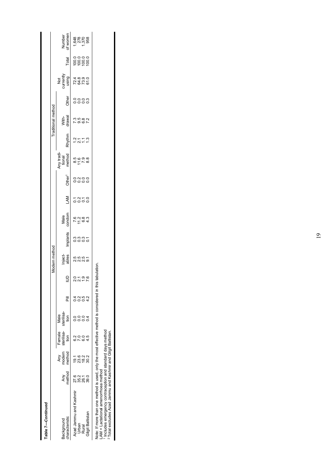| Table 7-Continued                                                                                                                                                                                                                                                            |                  |                         |                                            |              |               |              |                        |              |                      |              |                    |                                |        |                    |              |                               |                         |                    |
|------------------------------------------------------------------------------------------------------------------------------------------------------------------------------------------------------------------------------------------------------------------------------|------------------|-------------------------|--------------------------------------------|--------------|---------------|--------------|------------------------|--------------|----------------------|--------------|--------------------|--------------------------------|--------|--------------------|--------------|-------------------------------|-------------------------|--------------------|
|                                                                                                                                                                                                                                                                              |                  |                         |                                            |              |               |              | Modern method          |              |                      |              |                    |                                |        | Traditional method |              |                               |                         |                    |
| haracteristic<br>Background                                                                                                                                                                                                                                                  | method<br>Any    | method<br>Any<br>modern | sterilisa-<br>sterilisa-<br>Female<br>tion | Male<br>tion | $\bar{a}$     |              | Inject-<br>ables       | Implants     | Male<br>condom       | LAM          | Other <sup>1</sup> | Any tradi-<br>tional<br>method | Rhythm | With-<br>drawal    | Other        | Not<br>currently<br>using     | Total                   | Number<br>of women |
| Azad Jammu and Kashmir<br>Urban                                                                                                                                                                                                                                              | 27.6             | 23.6<br>ี<br>ดู1        |                                            |              | $\frac{2}{2}$ |              |                        |              |                      |              |                    |                                |        |                    |              |                               |                         |                    |
| Gilgit Baltistan<br>Rural                                                                                                                                                                                                                                                    | $35.0$<br>$39.0$ | 18.2<br>30.2            |                                            |              | 0.5<br>4.2    | 2196<br>2125 | 5 5 5 5 7<br>5 6 7 6 7 | sant<br>sing | $7 - 64$<br>$7 - 64$ | 5358<br>5355 | onoo<br>oooo       |                                | いいけい   | 7 9 9 7<br>9 9 9 7 | ooom<br>oooo | 7 8 7 9<br>7 8 9 9<br>7 8 7 9 | 00000<br>00000<br>00000 | 1<br>8200<br>8800  |
| Note: If more than one method is used, only the most effective method is considered in this<br>Includes emergency contraception and standard days method<br><sup>2</sup> Total excludes Azad Jammu and Kashmir and Gilgit Baltistan.<br>$AM =$ Lactational amenormoea method |                  |                         |                                            |              |               | tabulation   |                        |              |                      |              |                    |                                |        |                    |              |                               |                         |                    |

 $\overline{\phantom{a}}$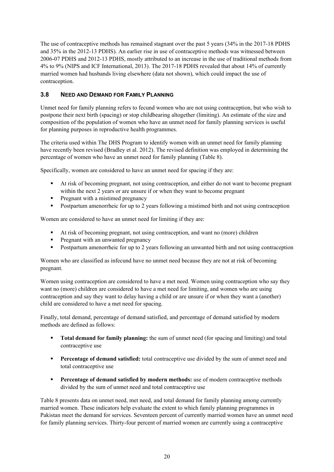The use of contraceptive methods has remained stagnant over the past 5 years (34% in the 2017-18 PDHS and 35% in the 2012-13 PDHS). An earlier rise in use of contraceptive methods was witnessed between 2006-07 PDHS and 2012-13 PDHS, mostly attributed to an increase in the use of traditional methods from 4% to 9% (NIPS and ICF International, 2013). The 2017-18 PDHS revealed that about 14% of currently married women had husbands living elsewhere (data not shown), which could impact the use of contraception.

# **3.8 NEED AND DEMAND FOR FAMILY PLANNING**

Unmet need for family planning refers to fecund women who are not using contraception, but who wish to postpone their next birth (spacing) or stop childbearing altogether (limiting). An estimate of the size and composition of the population of women who have an unmet need for family planning services is useful for planning purposes in reproductive health programmes.

The criteria used within The DHS Program to identify women with an unmet need for family planning have recently been revised (Bradley et al. 2012). The revised definition was employed in determining the percentage of women who have an unmet need for family planning (Table 8).

Specifically, women are considered to have an unmet need for spacing if they are:

- At risk of becoming pregnant, not using contraception, and either do not want to become pregnant within the next 2 years or are unsure if or when they want to become pregnant
- Pregnant with a mistimed pregnancy
- Postpartum amenorrheic for up to 2 years following a mistimed birth and not using contraception

Women are considered to have an unmet need for limiting if they are:

- At risk of becoming pregnant, not using contraception, and want no (more) children
- **Pregnant with an unwanted pregnancy**
- **•** Postpartum amenorrheic for up to 2 years following an unwanted birth and not using contraception

Women who are classified as infecund have no unmet need because they are not at risk of becoming pregnant.

Women using contraception are considered to have a met need. Women using contraception who say they want no (more) children are considered to have a met need for limiting, and women who are using contraception and say they want to delay having a child or are unsure if or when they want a (another) child are considered to have a met need for spacing.

Finally, total demand, percentage of demand satisfied, and percentage of demand satisfied by modern methods are defined as follows:

- **Total demand for family planning:** the sum of unmet need (for spacing and limiting) and total contraceptive use
- **Percentage of demand satisfied:** total contraceptive use divided by the sum of unmet need and total contraceptive use
- **Percentage of demand satisfied by modern methods:** use of modern contraceptive methods divided by the sum of unmet need and total contraceptive use

Table 8 presents data on unmet need, met need, and total demand for family planning among currently married women. These indicators help evaluate the extent to which family planning programmes in Pakistan meet the demand for services. Seventeen percent of currently married women have an unmet need for family planning services. Thirty-four percent of married women are currently using a contraceptive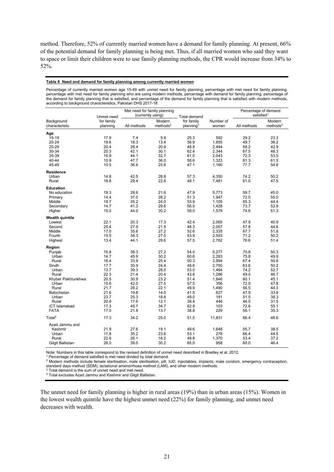method. Therefore, 52% of currently married women have a demand for family planning. At present, 66% of the potential demand for family planning is being met. Thus, if all married women who said they want to space or limit their children were to use family planning methods, the CPR would increase from 34% to 52%.

#### **Table 8 Need and demand for family planning among currently married women**

Percentage of currently married women age 15-49 with unmet need for family planning, percentage with met need for family planning, percentage with met need for family planning who are using modern methods, percentage with demand for family planning, percentage of the demand for family planning that is satisfied, and percentage of the demand for family planning that is satisfied with modern methods, according to background characteristics, Pakistan DHS 2017-18

|                              | Unmet need             | Met need for family planning<br>(currently using) |                                | <b>Total demand</b>                 |                    | Percentage of demand<br>satisfied <sup>1</sup> |                                |
|------------------------------|------------------------|---------------------------------------------------|--------------------------------|-------------------------------------|--------------------|------------------------------------------------|--------------------------------|
| Background<br>characteristic | for family<br>planning | All methods                                       | Modern<br>methods <sup>2</sup> | for family<br>planning <sup>3</sup> | Number of<br>women | All methods                                    | Modern<br>methods <sup>2</sup> |
|                              |                        |                                                   |                                |                                     |                    |                                                |                                |
| Age<br>15-19                 | 17.9                   | 7.4                                               | 5.9                            | 25.3                                | 592                | 29.2                                           | 23.3                           |
| 20-24                        | 18.6                   | 18.3                                              | 13.4                           | 36.9                                | 1,855              | 49.7                                           | 36.2                           |
| 25-29                        | 20.4                   | 28.4                                              | 20.9                           | 48.8                                | 2,494              | 58.2                                           | 42.9                           |
|                              |                        |                                                   |                                |                                     |                    |                                                |                                |
| 30-34<br>35-39               | 20.3                   | 42.1<br>44.1                                      | 30.1                           | 62.4                                | 2,344              | 67.5                                           | 48.3                           |
| 40-44                        | 16.9<br>10.9           | 47.7                                              | 32.7<br>36.0                   | 61.0<br>58.6                        | 2,043<br>1,323     | 72.3<br>81.3                                   | 53.5<br>61.5                   |
| 45-49                        | 10.5                   | 36.6                                              | 25.8                           | 47.1                                | 1,180              | 77.7                                           | 54.8                           |
|                              |                        |                                                   |                                |                                     |                    |                                                |                                |
| Residence                    |                        |                                                   |                                |                                     |                    |                                                |                                |
| Urban                        | 14.8                   | 42.5                                              | 28.8                           | 57.3                                | 4,350              | 74.2                                           | 50.2                           |
| Rural                        | 18.8                   | 29.4                                              | 22.8                           | 48.1                                | 7,481              | 61.0                                           | 47.5                           |
| <b>Education</b>             |                        |                                                   |                                |                                     |                    |                                                |                                |
| No education                 | 19.3                   | 28.6                                              | 21.6                           | 47.9                                | 5,773              | 59.7                                           | 45.0                           |
| Primary                      | 14.4                   | 37.0                                              | 28.2                           | 51.3                                | 1,947              | 72.0                                           | 55.0                           |
| Middle                       | 18.7                   | 35.2                                              | 24.0                           | 53.9                                | 1,105              | 65.3                                           | 44.4                           |
| Secondary                    | 14.7                   | 41.3                                              | 29.6                           | 56.0                                | 1,428              | 73.7                                           | 52.9                           |
| Higher                       | 15.0                   | 44.0                                              | 30.2                           | 59.0                                | 1,579              | 74.6                                           | 51.3                           |
| <b>Wealth quintile</b>       |                        |                                                   |                                |                                     |                    |                                                |                                |
| Lowest                       | 22.1                   | 20.3                                              | 17.3                           | 42.4                                | 2,065              | 47.9                                           | 40.9                           |
| Second                       | 20.4                   | 27.9                                              | 21.5                           | 48.3                                | 2,057              | 57.8                                           | 44.6                           |
| Middle                       | 17.0                   | 35.6                                              | 27.2                           | 52.6                                | 2,335              | 67.7                                           | 51.8                           |
| Fourth                       | 15.5                   | 38.3                                              | 27.0                           | 53.9                                | 2,593              | 71.2                                           | 50.2                           |
| Highest                      | 13.4                   | 44.1                                              | 29.6                           | 57.5                                | 2,782              | 76.6                                           | 51.4                           |
| Region                       |                        |                                                   |                                |                                     |                    |                                                |                                |
| Punjab                       | 15.8                   | 38.3                                              | 27.2                           | 54.0                                | 6,277              | 70.8                                           | 50.3                           |
| Urban                        | 14.7                   | 45.9                                              | 30.2                           | 60.6                                | 2,283              | 75.8                                           | 49.9                           |
| Rural                        | 16.4                   | 33.9                                              | 25.4                           | 50.3                                | 3,994              | 67.4                                           | 50.6                           |
| Sindh                        | 17.7                   | 30.9                                              | 24.4                           | 48.6                                | 2,750              | 63.6                                           | 50.2                           |
| Urban                        | 13.7                   | 39.3                                              | 28.0                           | 53.0                                | 1,464              | 74.2                                           | 52.7                           |
| Rural                        | 22.3                   | 21.4                                              | 20.4                           | 43.6                                | 1,286              | 49.0                                           | 46.7                           |
| Khyber Pakhtunkhwa           | 20.5                   | 30.9                                              | 23.2                           | 51.4                                | 1,846              | 60.1                                           | 45.1                           |
| Urban                        | 15.6                   | 42.0                                              | 27.5                           | 57.5                                | 356                | 72.9                                           | 47.8                           |
| Rural                        | 21.7                   | 28.2                                              | 22.1                           | 49.9                                | 1,490              | 56.5                                           | 44.3                           |
| Balochistan                  | 21.6                   | 19.8                                              | 14.0                           | 41.5                                | 627                | 47.9                                           | 33.8                           |
| Urban                        | 23.7                   | 25.3                                              | 18.8                           | 49.0                                | 181                | 51.5                                           | 38.3                           |
| Rural                        | 20.8                   | 17.6                                              | 12.1                           | 38.4                                | 446                | 46.0                                           | 31.5                           |
| <b>ICT Islamabad</b>         | 17.3                   | 45.7                                              | 34.7                           | 62.9                                | 103                | 72.6                                           | 55.1                           |
| <b>FATA</b>                  | 17.0                   | 21.8                                              | 13.7                           | 38.8                                | 229                | 56.1                                           | 35.3                           |
| Total <sup>4</sup>           | 17.3                   | 34.2                                              | 25.0                           | 51.5                                | 11,831             | 66.4                                           | 48.6                           |
| Azad Jammu and               |                        |                                                   |                                |                                     |                    |                                                |                                |
| Kashmir                      | 21.9                   | 27.6                                              | 19.1                           | 49.6                                | 1,648              | 55.7                                           | 38.5                           |
| Urban                        | 17.8                   | 35.2                                              | 23.6                           | 53.1                                | 278                | 66.4                                           | 44.5                           |
| Rural                        | 22.8                   | 26.1                                              | 18.2                           | 48.8                                | 1,370              | 53.4                                           | 37.2                           |
| Gilgit Baltistan             | 26.0                   | 39.0                                              | 30.2                           | 65.0                                | 958                | 60.0                                           | 46.4                           |
|                              |                        |                                                   |                                |                                     |                    |                                                |                                |

Note: Numbers in this table correspond to the revised definition of unmet need described in Bradley et al. 2012.<br>1 Percentage of demand satisfied is met need divided by total demand.

<sup>1</sup> Percentage of demand satisfied is met need divided by total demand.<br><sup>2</sup> Modern methods include female sterilisation, male sterilisation, pill, IUD, injectables, implants, male condom, emergency contraception, standard days method (SDM), lactational amenorrhoea method (LAM), and other modern methods.<br><sup>3</sup> Total demand is the sum of unmet need and met need.<br><sup>4</sup> Total excludes Azad Jammu and Kashmir and Gilgit Baltistan.

The unmet need for family planning is higher in rural areas (19%) than in urban areas (15%). Women in the lowest wealth quintile have the highest unmet need (22%) for family planning, and unmet need decreases with wealth.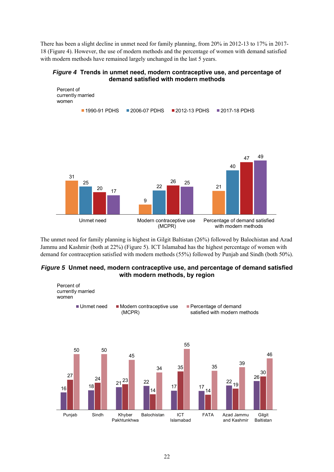There has been a slight decline in unmet need for family planning, from 20% in 2012-13 to 17% in 2017- 18 (Figure 4). However, the use of modern methods and the percentage of women with demand satisfied with modern methods have remained largely unchanged in the last 5 years.

#### *Figure 4* **Trends in unmet need, modern contraceptive use, and percentage of demand satisfied with modern methods**



The unmet need for family planning is highest in Gilgit Baltistan (26%) followed by Balochistan and Azad Jammu and Kashmir (both at 22%) (Figure 5). ICT Islamabad has the highest percentage of women with demand for contraception satisfied with modern methods (55%) followed by Punjab and Sindh (both 50%).

#### *Figure 5* **Unmet need, modern contraceptive use, and percentage of demand satisfied with modern methods, by region**

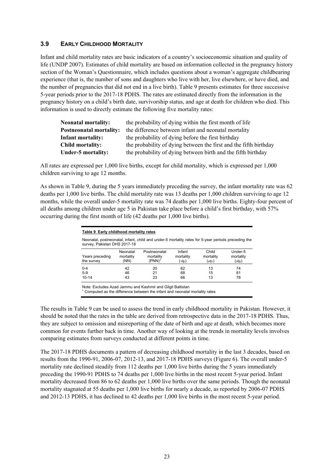#### **3.9 EARLY CHILDHOOD MORTALITY**

Infant and child mortality rates are basic indicators of a country's socioeconomic situation and quality of life (UNDP 2007). Estimates of child mortality are based on information collected in the pregnancy history section of the Woman's Questionnaire, which includes questions about a woman's aggregate childbearing experience (that is, the number of sons and daughters who live with her, live elsewhere, or have died, and the number of pregnancies that did not end in a live birth). Table 9 presents estimates for three successive 5-year periods prior to the 2017-18 PDHS. The rates are estimated directly from the information in the pregnancy history on a child's birth date, survivorship status, and age at death for children who died. This information is used to directly estimate the following five mortality rates:

| <b>Neonatal mortality:</b>     | the probability of dying within the first month of life           |
|--------------------------------|-------------------------------------------------------------------|
| <b>Postneonatal mortality:</b> | the difference between infant and neonatal mortality              |
| Infant mortality:              | the probability of dying before the first birthday                |
| Child mortality:               | the probability of dying between the first and the fifth birthday |
| Under-5 mortality:             | the probability of dying between birth and the fifth birthday     |

All rates are expressed per 1,000 live births, except for child mortality, which is expressed per 1,000 children surviving to age 12 months.

As shown in Table 9, during the 5 years immediately preceding the survey, the infant mortality rate was 62 deaths per 1,000 live births. The child mortality rate was 13 deaths per 1,000 children surviving to age 12 months, while the overall under-5 mortality rate was 74 deaths per 1,000 live births. Eighty-four percent of all deaths among children under age 5 in Pakistan take place before a child's first birthday, with 57% occurring during the first month of life (42 deaths per 1,000 live births).

| Table 9 Early childhood mortality rates                                                                                            |                               |                                                 |                                       |                                          |                                  |
|------------------------------------------------------------------------------------------------------------------------------------|-------------------------------|-------------------------------------------------|---------------------------------------|------------------------------------------|----------------------------------|
| Neonatal, postneonatal, infant, child and under-5 mortality rates for 5-year periods preceding the<br>survey, Pakistan DHS 2017-18 |                               |                                                 |                                       |                                          |                                  |
| Years preceding<br>the survey                                                                                                      | Neonatal<br>mortality<br>(NN) | Postneonatal<br>mortality<br>(PNN) <sup>1</sup> | Infant<br>mortality<br>(1 <b>q</b> o) | Child<br>mortality<br>(4q <sub>1</sub> ) | Under-5<br>mortality<br>$(5q_0)$ |
| $0 - 4$<br>$5-9$<br>$10 - 14$                                                                                                      | 42<br>46<br>43                | 20<br>21<br>23                                  | 62<br>68<br>66                        | 13<br>15<br>13                           | 74<br>81<br>78                   |

Note: Excludes Azad Jammu and Kashmir and Gilgit Baltistan

<sup>1</sup> Computed as the difference between the infant and neonatal mortality rates

The results in Table 9 can be used to assess the trend in early childhood mortality in Pakistan. However, it should be noted that the rates in the table are derived from retrospective data in the 2017-18 PDHS. Thus, they are subject to omission and misreporting of the date of birth and age at death, which becomes more common for events further back in time. Another way of looking at the trends in mortality levels involves comparing estimates from surveys conducted at different points in time.

The 2017-18 PDHS documents a pattern of decreasing childhood mortality in the last 3 decades, based on results from the 1990-91, 2006-07, 2012-13, and 2017-18 PDHS surveys (Figure 6). The overall under-5 mortality rate declined steadily from 112 deaths per 1,000 live births during the 5 years immediately preceding the 1990-91 PDHS to 74 deaths per 1,000 live births in the most recent 5-year period. Infant mortality decreased from 86 to 62 deaths per 1,000 live births over the same periods. Though the neonatal mortality stagnated at 55 deaths per 1,000 live births for nearly a decade, as reported by 2006-07 PDHS and 2012-13 PDHS, it has declined to 42 deaths per 1,000 live births in the most recent 5-year period.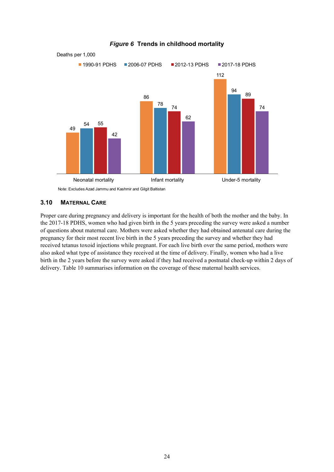

# *Figure 6* **Trends in childhood mortality**

#### **3.10 MATERNAL CARE**

Proper care during pregnancy and delivery is important for the health of both the mother and the baby. In the 2017-18 PDHS, women who had given birth in the 5 years preceding the survey were asked a number of questions about maternal care. Mothers were asked whether they had obtained antenatal care during the pregnancy for their most recent live birth in the 5 years preceding the survey and whether they had received tetanus toxoid injections while pregnant. For each live birth over the same period, mothers were also asked what type of assistance they received at the time of delivery. Finally, women who had a live birth in the 2 years before the survey were asked if they had received a postnatal check-up within 2 days of delivery. Table 10 summarises information on the coverage of these maternal health services.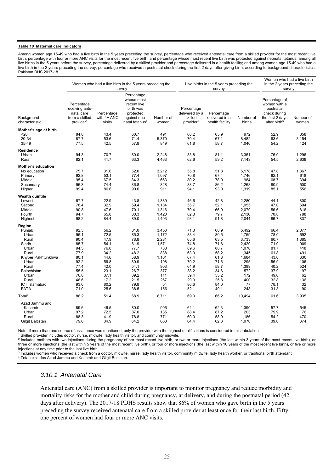#### **Table 10 Maternal care indicators**

Among women age 15-49 who had a live birth in the 5 years preceding the survey, percentage who received antenatal care from a skilled provider for the most recent live birth, percentage with four or more ANC visits for the most recent live birth, and percentage whose most recent live birth was protected against neonatal tetanus; among all live births in the 5 years before the survey, percentage delivered by a skilled provider and percentage delivered in a health facility; and among women age 15-49 who had a live birth in the 2 years preceding the survey, percentage who received a postnatal check during the first 2 days after giving birth, according to background characteristics, Pakistan DHS 2017-18

| survey<br>survey                                                                                                                                                                                                                                                                                                                                                                                                                                                                                      | Women who had a live birth<br>in the 2 years preceding the<br>survey            |  |
|-------------------------------------------------------------------------------------------------------------------------------------------------------------------------------------------------------------------------------------------------------------------------------------------------------------------------------------------------------------------------------------------------------------------------------------------------------------------------------------------------------|---------------------------------------------------------------------------------|--|
| Percentage<br>whose most<br>Percentage<br>recent live<br>receiving ante-<br>birth was<br>Percentage<br>postnatal<br>delivered by a<br>Percentage<br>natal care<br>Percentage<br>protected<br>check during<br>from a skilled<br>with 4+ ANC<br>skilled<br>Background<br>against neo-<br>Number of<br>delivered in a<br>the first 2 days<br>Number of<br>characteristic<br>provider <sup>1</sup><br>visits<br>natal tetanus <sup>2</sup><br>provider <sup>1</sup><br>health facility<br>births<br>women | Percentage of<br>women with a<br>Number of<br>after birth <sup>3</sup><br>women |  |
| Mother's age at birth                                                                                                                                                                                                                                                                                                                                                                                                                                                                                 |                                                                                 |  |
| 43.4<br>$20$<br>84.8<br>60.7<br>491<br>68.2<br>65.9<br>972                                                                                                                                                                                                                                                                                                                                                                                                                                            | 52.9<br>358                                                                     |  |
| 20-34<br>87.7<br>53.6<br>71.4<br>5,370<br>70.4<br>8,482<br>67.1                                                                                                                                                                                                                                                                                                                                                                                                                                       | 63.6<br>3,154                                                                   |  |
| 35-49<br>77.5<br>42.5<br>57.8<br>849<br>61.8<br>58.7<br>1,040                                                                                                                                                                                                                                                                                                                                                                                                                                         | 54.2<br>424                                                                     |  |
| Residence                                                                                                                                                                                                                                                                                                                                                                                                                                                                                             |                                                                                 |  |
| 94.3<br>70.7<br>80.0<br>2,248<br>83.8<br>81.1<br>3,351<br>Urban                                                                                                                                                                                                                                                                                                                                                                                                                                       | 76.0<br>1,296                                                                   |  |
| 82.1<br>62.6<br>59.2<br>Rural<br>41.7<br>63.3<br>4,463<br>7,143                                                                                                                                                                                                                                                                                                                                                                                                                                       | 54.5<br>2,639                                                                   |  |
| Mother's education                                                                                                                                                                                                                                                                                                                                                                                                                                                                                    |                                                                                 |  |
| 75.7<br>52.0<br>No education<br>31.6<br>3,212<br>55.8<br>51.8<br>5,178                                                                                                                                                                                                                                                                                                                                                                                                                                | 47.8<br>1,867                                                                   |  |
| 92.8<br>53.1<br>77.4<br>1,097<br>70.8<br>62.1<br>Primary<br>67.4<br>1,746                                                                                                                                                                                                                                                                                                                                                                                                                             | 618                                                                             |  |
| 984<br>Middle<br>95.4<br>67.5<br>84.3<br>663<br>80.2<br>78.0<br>68.7                                                                                                                                                                                                                                                                                                                                                                                                                                  | 394                                                                             |  |
| 96.3<br>74.4<br>86.8<br>828<br>88.7<br>86.2<br>1,268<br>Secondary                                                                                                                                                                                                                                                                                                                                                                                                                                     | 80.9<br>500                                                                     |  |
| 99.4<br>86.6<br>90.6<br>911<br>94.1<br>93.0<br>1,319<br>85.1<br>Higher                                                                                                                                                                                                                                                                                                                                                                                                                                | 556                                                                             |  |
| Wealth quintile                                                                                                                                                                                                                                                                                                                                                                                                                                                                                       |                                                                                 |  |
| 22.9<br>43.8<br>42.8<br>67.7<br>1,389<br>46.6<br>2,280<br>44.1<br>Lowest                                                                                                                                                                                                                                                                                                                                                                                                                              | 800                                                                             |  |
| 78.4<br>32.9<br>59.4<br>55.7<br>1,955<br>Second<br>1,184<br>52.1<br>47.0                                                                                                                                                                                                                                                                                                                                                                                                                              | 694                                                                             |  |
| Middle<br>90.8<br>47.6<br>70.1<br>1,316<br>70.4<br>66.0<br>2,079                                                                                                                                                                                                                                                                                                                                                                                                                                      | 56.6<br>816                                                                     |  |
| 80.3<br>1,420<br>82.3<br>2,136<br>94.7<br>65.8<br>79.7<br>Fourth                                                                                                                                                                                                                                                                                                                                                                                                                                      | 788<br>70.8                                                                     |  |
| 98.2<br>84.4<br>89.0<br>1,403<br>93.1<br>91.8<br>2,044<br>Highest                                                                                                                                                                                                                                                                                                                                                                                                                                     | 86.7<br>837                                                                     |  |
| Region                                                                                                                                                                                                                                                                                                                                                                                                                                                                                                |                                                                                 |  |
| 92.3<br>Punjab<br>56.2<br>81.0<br>3,453<br>71.3<br>68.9<br>5,492<br>66.4                                                                                                                                                                                                                                                                                                                                                                                                                              | 2,077                                                                           |  |
| 83.4<br>96.1<br>72.5<br>85.3<br>1,172<br>80.5<br>1,759<br>Urban                                                                                                                                                                                                                                                                                                                                                                                                                                       | 692<br>78.0                                                                     |  |
| Rural<br>90.4<br>47.9<br>78.8<br>2,281<br>65.6<br>63.5<br>3,733<br>60.7                                                                                                                                                                                                                                                                                                                                                                                                                               | 1,385                                                                           |  |
| 85.7<br>61.9<br>1,571<br>74.8<br>71.8<br>2,420<br>Sindh<br>54.1                                                                                                                                                                                                                                                                                                                                                                                                                                       | 71.0<br>909                                                                     |  |
| Urban<br>94.5<br>76.8<br>77.7<br>733<br>89.6<br>88.7<br>1,076                                                                                                                                                                                                                                                                                                                                                                                                                                         | 81.7<br>418                                                                     |  |
| Rural<br>77.9<br>34.2<br>48.2<br>838<br>63.0<br>58.2<br>1,345                                                                                                                                                                                                                                                                                                                                                                                                                                         | 491<br>61.8                                                                     |  |
| 58.9<br>67.4<br>1,684<br>Khyber Pakhtunkhwa<br>80.1<br>44.6<br>1,101<br>61.8                                                                                                                                                                                                                                                                                                                                                                                                                          | 630<br>43.0                                                                     |  |
| 92.2<br>80.9<br>198<br>79.2<br>295<br>Urban<br>56.8<br>71.6                                                                                                                                                                                                                                                                                                                                                                                                                                           | 56.9<br>106                                                                     |  |
| Rural<br>77.4<br>42.0<br>54.1<br>903<br>64.9<br>59.7<br>1,389                                                                                                                                                                                                                                                                                                                                                                                                                                         | 524<br>40.2                                                                     |  |
| 55.5<br>23.1<br>26.7<br>377<br>38.2<br>34.6<br>572<br>Balochistan                                                                                                                                                                                                                                                                                                                                                                                                                                     | 37.9<br>197                                                                     |  |
| 76.8<br>37.1<br>39.2<br>59.4<br>172<br>Urban<br>111<br>55.2                                                                                                                                                                                                                                                                                                                                                                                                                                           | 49.0<br>62                                                                      |  |
| Rural<br>46.6<br>17.2<br>21.5<br>267<br>29.0<br>25.8<br>400                                                                                                                                                                                                                                                                                                                                                                                                                                           | 32.8<br>136                                                                     |  |
| 93.6<br>80.2<br>79.8<br>54<br>86.6<br>84.0<br>77<br>78.1<br>ICT Islamabad                                                                                                                                                                                                                                                                                                                                                                                                                             | 32                                                                              |  |
| 52.1<br><b>FATA</b><br>71.0<br>25.6<br>38.5<br>156<br>49.1<br>248                                                                                                                                                                                                                                                                                                                                                                                                                                     | 90<br>31.8                                                                      |  |
| Total <sup>4</sup><br>86.2<br>51.4<br>68.9<br>6,711<br>69.3<br>66.2<br>10,494                                                                                                                                                                                                                                                                                                                                                                                                                         | 61.6<br>3,935                                                                   |  |
| Azad Jammu and                                                                                                                                                                                                                                                                                                                                                                                                                                                                                        |                                                                                 |  |
| 89.6<br>46.5<br>80.0<br>906<br>64.1<br>62.3<br>1,390<br>Kashmir<br>57.7                                                                                                                                                                                                                                                                                                                                                                                                                               | 545                                                                             |  |
| Urban<br>97.2<br>72.5<br>87.0<br>135<br>88.4<br>87.2<br>203                                                                                                                                                                                                                                                                                                                                                                                                                                           | 76<br>79.9                                                                      |  |
| Rural<br>88.3<br>41.9<br>78.8<br>771<br>60.0<br>58.0<br>1,186                                                                                                                                                                                                                                                                                                                                                                                                                                         | 54.2<br>470                                                                     |  |
| 64.2<br>668<br>79.6<br>34.9<br>64.4<br>62.3<br>1,070<br>Gilgit Baltistan                                                                                                                                                                                                                                                                                                                                                                                                                              | 374<br>39.6                                                                     |  |

Note: If more than one source of assistance was mentioned, only the provider with the highest qualifications is considered in this tabulation.<br><sup>1</sup> Skilled provider includes doctor, nurse, midwife, lady health visitor, and

 Includes mothers with two injections during the pregnancy of her most recent live birth, or two or more injections (the last within 3 years of the most recent live birth), or three or more injections (the last within 5 years of the most recent live birth), or four or more injections (the last within 10 years of the most recent live birth), or five or more injections at any time prior to the last live birth

 $3$  Includes women who received a check from a doctor, midwife, nurse, lady health visitor, community midwife, lady health worker, or traditional birth attendant  $4$  Total excludes Azad Jammu and Kashmir and Gilgit Baltis

#### *3.10.1 Antenatal Care*

Antenatal care (ANC) from a skilled provider is important to monitor pregnancy and reduce morbidity and mortality risks for the mother and child during pregnancy, at delivery, and during the postnatal period (42 days after delivery). The 2017-18 PDHS results show that 86% of women who gave birth in the 5 years preceding the survey received antenatal care from a skilled provider at least once for their last birth. Fiftyone percent of women had four or more ANC visits.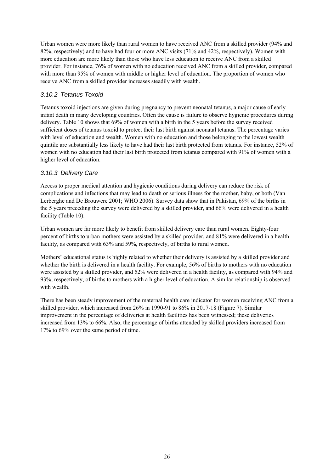Urban women were more likely than rural women to have received ANC from a skilled provider (94% and 82%, respectively) and to have had four or more ANC visits (71% and 42%, respectively). Women with more education are more likely than those who have less education to receive ANC from a skilled provider. For instance, 76% of women with no education received ANC from a skilled provider, compared with more than 95% of women with middle or higher level of education. The proportion of women who receive ANC from a skilled provider increases steadily with wealth.

### *3.10.2 Tetanus Toxoid*

Tetanus toxoid injections are given during pregnancy to prevent neonatal tetanus, a major cause of early infant death in many developing countries. Often the cause is failure to observe hygienic procedures during delivery. Table 10 shows that 69% of women with a birth in the 5 years before the survey received sufficient doses of tetanus toxoid to protect their last birth against neonatal tetanus. The percentage varies with level of education and wealth. Women with no education and those belonging to the lowest wealth quintile are substantially less likely to have had their last birth protected from tetanus. For instance, 52% of women with no education had their last birth protected from tetanus compared with 91% of women with a higher level of education.

# *3.10.3 Delivery Care*

Access to proper medical attention and hygienic conditions during delivery can reduce the risk of complications and infections that may lead to death or serious illness for the mother, baby, or both (Van Lerberghe and De Brouwere 2001; WHO 2006). Survey data show that in Pakistan, 69% of the births in the 5 years preceding the survey were delivered by a skilled provider, and 66% were delivered in a health facility (Table 10).

Urban women are far more likely to benefit from skilled delivery care than rural women. Eighty-four percent of births to urban mothers were assisted by a skilled provider, and 81% were delivered in a health facility, as compared with 63% and 59%, respectively, of births to rural women.

Mothers' educational status is highly related to whether their delivery is assisted by a skilled provider and whether the birth is delivered in a health facility. For example, 56% of births to mothers with no education were assisted by a skilled provider, and 52% were delivered in a health facility, as compared with 94% and 93%, respectively, of births to mothers with a higher level of education. A similar relationship is observed with wealth.

There has been steady improvement of the maternal health care indicator for women receiving ANC from a skilled provider, which increased from 26% in 1990-91 to 86% in 2017-18 (Figure 7). Similar improvement in the percentage of deliveries at health facilities has been witnessed; these deliveries increased from 13% to 66%. Also, the percentage of births attended by skilled providers increased from 17% to 69% over the same period of time.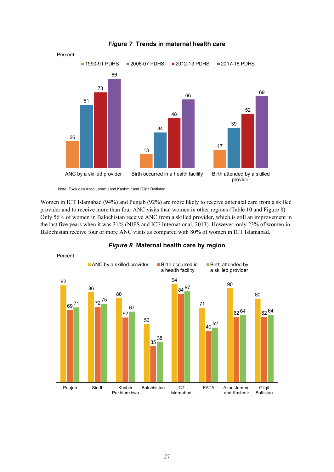

#### *Figure 7* **Trends in maternal health care**

Note: Excludes Azad Jammu and Kashmir and Gilgit Baltistan

Women in ICT Islamabad (94%) and Punjab (92%) are more likely to receive antenatal care from a skilled provider and to receive more than four ANC visits than women in other regions (Table 10 and Figure 8). Only 56% of women in Balochistan receive ANC from a skilled provider, which is still an improvement in the last five years when it was 31% (NIPS and ICF International, 2013). However, only 23% of women in Balochistan receive four or more ANC visits as compared with 80% of women in ICT Islamabad.



#### *Figure 8* **Maternal health care by region**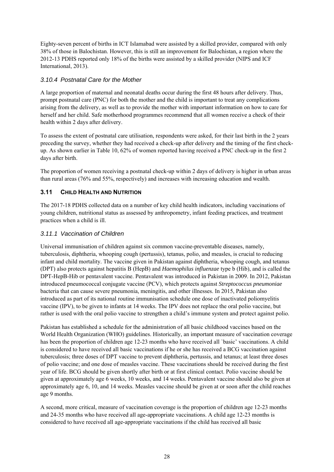Eighty-seven percent of births in ICT Islamabad were assisted by a skilled provider, compared with only 38% of those in Balochistan. However, this is still an improvement for Balochistan, a region where the 2012-13 PDHS reported only 18% of the births were assisted by a skilled provider (NIPS and ICF International, 2013).

# *3.10.4 Postnatal Care for the Mother*

A large proportion of maternal and neonatal deaths occur during the first 48 hours after delivery. Thus, prompt postnatal care (PNC) for both the mother and the child is important to treat any complications arising from the delivery, as well as to provide the mother with important information on how to care for herself and her child. Safe motherhood programmes recommend that all women receive a check of their health within 2 days after delivery.

To assess the extent of postnatal care utilisation, respondents were asked, for their last birth in the 2 years preceding the survey, whether they had received a check-up after delivery and the timing of the first checkup. As shown earlier in Table 10, 62% of women reported having received a PNC check-up in the first 2 days after birth.

The proportion of women receiving a postnatal check-up within 2 days of delivery is higher in urban areas than rural areas (76% and 55%, respectively) and increases with increasing education and wealth.

# **3.11 CHILD HEALTH AND NUTRITION**

The 2017-18 PDHS collected data on a number of key child health indicators, including vaccinations of young children, nutritional status as assessed by anthropometry, infant feeding practices, and treatment practices when a child is ill.

### *3.11.1 Vaccination of Children*

Universal immunisation of children against six common vaccine-preventable diseases, namely, tuberculosis, diphtheria, whooping cough (pertussis), tetanus, polio, and measles, is crucial to reducing infant and child mortality. The vaccine given in Pakistan against diphtheria, whooping cough, and tetanus (DPT) also protects against hepatitis B (HepB) and *Haemophilus influenzae* type b (Hib), and is called the DPT-HepB-Hib or pentavalent vaccine. Pentavalent was introduced in Pakistan in 2009. In 2012, Pakistan introduced pneumococcal conjugate vaccine (PCV), which protects against *Streptococcus pneumoniae*  bacteria that can cause severe pneumonia, meningitis, and other illnesses. In 2015, Pakistan also introduced as part of its national routine immunisation schedule one dose of inactivated poliomyelitis vaccine (IPV), to be given to infants at 14 weeks. The IPV does not replace the oral polio vaccine, but rather is used with the oral polio vaccine to strengthen a child's immune system and protect against polio.

Pakistan has established a schedule for the administration of all basic childhood vaccines based on the World Health Organization (WHO) guidelines. Historically, an important measure of vaccination coverage has been the proportion of children age 12-23 months who have received all 'basic' vaccinations. A child is considered to have received all basic vaccinations if he or she has received a BCG vaccination against tuberculosis; three doses of DPT vaccine to prevent diphtheria, pertussis, and tetanus; at least three doses of polio vaccine; and one dose of measles vaccine. These vaccinations should be received during the first year of life. BCG should be given shortly after birth or at first clinical contact. Polio vaccine should be given at approximately age 6 weeks, 10 weeks, and 14 weeks. Pentavalent vaccine should also be given at approximately age 6, 10, and 14 weeks. Measles vaccine should be given at or soon after the child reaches age 9 months.

A second, more critical, measure of vaccination coverage is the proportion of children age 12-23 months and 24-35 months who have received all age-appropriate vaccinations. A child age 12-23 months is considered to have received all age-appropriate vaccinations if the child has received all basic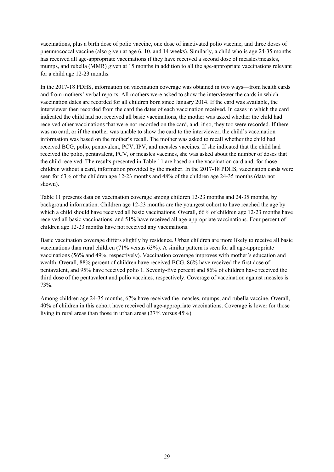vaccinations, plus a birth dose of polio vaccine, one dose of inactivated polio vaccine, and three doses of pneumococcal vaccine (also given at age 6, 10, and 14 weeks). Similarly, a child who is age 24-35 months has received all age-appropriate vaccinations if they have received a second dose of measles/measles, mumps, and rubella (MMR) given at 15 months in addition to all the age-appropriate vaccinations relevant for a child age 12-23 months.

In the 2017-18 PDHS, information on vaccination coverage was obtained in two ways—from health cards and from mothers' verbal reports. All mothers were asked to show the interviewer the cards in which vaccination dates are recorded for all children born since January 2014. If the card was available, the interviewer then recorded from the card the dates of each vaccination received. In cases in which the card indicated the child had not received all basic vaccinations, the mother was asked whether the child had received other vaccinations that were not recorded on the card, and, if so, they too were recorded. If there was no card, or if the mother was unable to show the card to the interviewer, the child's vaccination information was based on the mother's recall. The mother was asked to recall whether the child had received BCG, polio, pentavalent, PCV, IPV, and measles vaccines. If she indicated that the child had received the polio, pentavalent, PCV, or measles vaccines, she was asked about the number of doses that the child received. The results presented in Table 11 are based on the vaccination card and, for those children without a card, information provided by the mother. In the 2017-18 PDHS, vaccination cards were seen for 63% of the children age 12-23 months and 48% of the children age 24-35 months (data not shown).

Table 11 presents data on vaccination coverage among children 12-23 months and 24-35 months, by background information. Children age 12-23 months are the youngest cohort to have reached the age by which a child should have received all basic vaccinations. Overall, 66% of children age 12-23 months have received all basic vaccinations, and 51% have received all age-appropriate vaccinations. Four percent of children age 12-23 months have not received any vaccinations.

Basic vaccination coverage differs slightly by residence. Urban children are more likely to receive all basic vaccinations than rural children (71% versus 63%). A similar pattern is seen for all age-appropriate vaccinations (56% and 49%, respectively). Vaccination coverage improves with mother's education and wealth. Overall, 88% percent of children have received BCG, 86% have received the first dose of pentavalent, and 95% have received polio 1. Seventy-five percent and 86% of children have received the third dose of the pentavalent and polio vaccines, respectively. Coverage of vaccination against measles is 73%.

Among children age 24-35 months, 67% have received the measles, mumps, and rubella vaccine. Overall, 40% of children in this cohort have received all age-appropriate vaccinations. Coverage is lower for those living in rural areas than those in urban areas (37% versus 45%).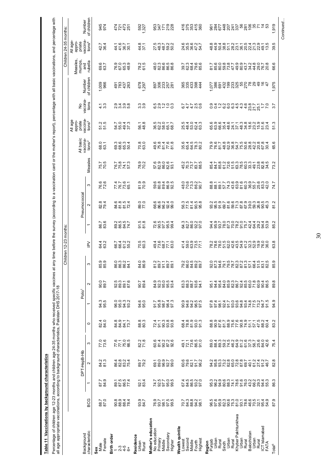Percentage of children age 12-23 months and children age 24-35 months who received specific vaccines at any time before the survey (according to a vaccination card or the mother's report), percentage with all basic vaccina Percentage of children age 24-35 months who received specific vaccines at any time before the survey (according to a vaccination card or the mother's report), percentage with all basic vaccinations, and percentage with all age appropriate vaccinations, according to background characteristics, Pakistan DHS 2017-18

| 945<br>974<br>5927<br>83는 28<br><u> ភ្នំ</u> ប្តូន<br>ភ្នំប្តូន<br>44.8<br>37.1<br>244000<br>284000<br>858877<br>85877<br>ad da cidade da cidad<br>cidade como contrado<br>cidade da cidade<br>42.7<br>36.4<br>$44.88$<br>$44.88$<br>69.7<br>000309<br>00030<br>0004<br>78.2<br>61.5<br>0 m to to to<br>8 0 10 10 10<br>4 8 8 8 8 8<br>8885744845457787888857448600<br>1,009<br>966<br>678<br>97<br>ទីនូងនូ<br>ន្ធខ្លួនឆ្លូ<br>88384<br>88384<br>$4.3$<br>$4.3$<br>のすの 80<br>へんぷん<br>က္ တ<br>က က<br>いのひりのこと こうこう<br>64400<br>64400<br>oo - o o o q 4 4 4 8 2 8 4 7 6<br>O Q - o o o q 4 4 4 8 2 8 4 7<br>1892<br>2892<br>6000461583600964<br>60063455836055<br>57.5<br>57.5<br>56.1<br>48.8<br>52357<br>2020<br>2020<br>24092<br>28092<br>0<br>000000<br>00000<br>70.8<br>63.0<br>884588<br>888668<br>o c r c o c r c c c c c c c<br>o c r c c c c c c c c c c c c<br>o c r c c c c c c c c c c c<br>68.1<br>85258<br>86255<br>69066-<br>68883<br>83867566884883<br>75.7<br>70.5<br>78.9<br>70.2<br>455288<br>45528<br>76.7<br>75.75<br>75.75<br>76.6<br>72.6<br>683889<br>68888<br>8885746986868884<br>88857468568688<br>77625<br>77627<br>81.9<br>70.9<br>0.0 0.0 N<br>0.0 0.0 N<br>0.0 N D<br>88282878688884<br>8828287788889<br>89.0<br>77.0<br>660140<br>68838<br>87898<br>87598<br>82.4<br>79.4<br>ತ್ತಾವನ<br>ತಾವನ<br>88837<br>8887<br>91.8<br>81.8<br>86.7<br>83.6<br>2007-04<br>0007-04<br>00000<br>322332<br>33835<br>RRR5844444884568<br>64.4<br>63.2<br>8855<br>8855<br>70.3<br>60.3<br>$487870$<br>$76770$<br>$46770$<br>$400000$<br>$400000$<br>85.9<br>85<br>84.9<br>86.9<br>200202<br>200209<br>200209<br>0 0 0 0<br>8 8 8 8<br>8 8 8 8<br>7577<br>5<br>2005 C<br>5000<br>8<br>8 8 8 8 9 9<br>9 9 9 9 9<br>333767<br>338374<br>9999888998976998<br>545459854595698<br>445095745098745<br>90.7<br>89.7<br>90.7<br>89.4<br>94.6<br>95.0<br>999999<br>209999<br>2099<br>g 9 8 9 2 3 3 3 3 4 5 5 6 9 2<br>0 7 4 7 6 6 9 4 6 4 6 6 7 7 8 7<br>94.5<br>95.9<br>00000<br>9940<br>0000<br>88.3<br>80.3<br>882892<br>48952<br>89888578756488<br>89828578756488<br>82.0<br>84.0<br>aaar<br>aaar<br>4 T C 8 8 8<br>2 P 8 8 8 9<br>8 8 8 8 4 4 4 5 5 6 5 6 6 4 8 4<br>8 8 8 8 4 4 5 5 6 7 8 6 7 8 4<br>2758<br>2776<br>82.3<br>71.8<br>82929<br>82829<br>322899<br>13289<br>77.6<br>888588568846728<br>Graduacia di Liuti<br>نی نی<br>888875<br>ಇಂಬ4<br>89.7<br>79.2<br>- - - - - -<br>8 8 8 8 8 8<br>661173<br>66255<br>ಹೆ ಹ<br>6 8 8 9 9<br>4 6 6 9 9 9<br>s<br>sexestetetesexts<br>sexestetetesexts<br>82587<br>1929<br>1929<br>7.8988<br>7.8988<br>87.9<br>84.9<br>92.1<br>83.4<br>98886<br>8886<br>0.07 + 0.0<br>0.08 0.09<br>0.09 0.09<br>7.3835<br>7.3835<br>88.7<br>93.7<br>84.7<br><b>Chyber Pakhtunkhwa</b> | characteristic | <b>BCG</b> | ۳    | DPT-HepB-Hib<br>$\sim$ | က    | $\circ$ | Polio <sup>1</sup> | $\sim$ | S   | Children 12-23 months:<br>$\geq$ |      | Pneumococcal   | S    | Measles | All basic<br>vaccina-<br>tions <sup>2</sup> | All age<br>appro-<br>priate<br>vaccina-<br>tions <sup>3</sup> | vaccina-<br>tions<br>ş | of children<br>Number | Veasles<br>mumps<br>rubella<br>and | Children 24-35 months:<br>All age-<br>appro-<br>priate<br>tions <sup>4</sup><br>tions <sup>4</sup> | of children<br>Number |
|-------------------------------------------------------------------------------------------------------------------------------------------------------------------------------------------------------------------------------------------------------------------------------------------------------------------------------------------------------------------------------------------------------------------------------------------------------------------------------------------------------------------------------------------------------------------------------------------------------------------------------------------------------------------------------------------------------------------------------------------------------------------------------------------------------------------------------------------------------------------------------------------------------------------------------------------------------------------------------------------------------------------------------------------------------------------------------------------------------------------------------------------------------------------------------------------------------------------------------------------------------------------------------------------------------------------------------------------------------------------------------------------------------------------------------------------------------------------------------------------------------------------------------------------------------------------------------------------------------------------------------------------------------------------------------------------------------------------------------------------------------------------------------------------------------------------------------------------------------------------------------------------------------------------------------------------------------------------------------------------------------------------------------------------------------------------------------------------------------------------------------------------------------------------------------------------------------------------------------------------------------------------------------------------------------------------------------------------------------------------------------------------------------------------------------------------------------------------------------------------------------------------------------------------------------------------------------------------------------------------------------------------------------------------------------------------------------------------------|----------------|------------|------|------------------------|------|---------|--------------------|--------|-----|----------------------------------|------|----------------|------|---------|---------------------------------------------|---------------------------------------------------------------|------------------------|-----------------------|------------------------------------|----------------------------------------------------------------------------------------------------|-----------------------|
|                                                                                                                                                                                                                                                                                                                                                                                                                                                                                                                                                                                                                                                                                                                                                                                                                                                                                                                                                                                                                                                                                                                                                                                                                                                                                                                                                                                                                                                                                                                                                                                                                                                                                                                                                                                                                                                                                                                                                                                                                                                                                                                                                                                                                                                                                                                                                                                                                                                                                                                                                                                                                                                                                                                         |                |            |      |                        |      |         |                    |        |     |                                  |      |                |      |         |                                             |                                                               |                        |                       |                                    |                                                                                                    |                       |
|                                                                                                                                                                                                                                                                                                                                                                                                                                                                                                                                                                                                                                                                                                                                                                                                                                                                                                                                                                                                                                                                                                                                                                                                                                                                                                                                                                                                                                                                                                                                                                                                                                                                                                                                                                                                                                                                                                                                                                                                                                                                                                                                                                                                                                                                                                                                                                                                                                                                                                                                                                                                                                                                                                                         |                |            |      |                        |      |         |                    |        |     |                                  |      |                |      |         |                                             |                                                               |                        |                       |                                    |                                                                                                    |                       |
|                                                                                                                                                                                                                                                                                                                                                                                                                                                                                                                                                                                                                                                                                                                                                                                                                                                                                                                                                                                                                                                                                                                                                                                                                                                                                                                                                                                                                                                                                                                                                                                                                                                                                                                                                                                                                                                                                                                                                                                                                                                                                                                                                                                                                                                                                                                                                                                                                                                                                                                                                                                                                                                                                                                         |                |            |      |                        |      |         |                    |        |     |                                  |      |                |      |         |                                             |                                                               |                        |                       |                                    |                                                                                                    |                       |
|                                                                                                                                                                                                                                                                                                                                                                                                                                                                                                                                                                                                                                                                                                                                                                                                                                                                                                                                                                                                                                                                                                                                                                                                                                                                                                                                                                                                                                                                                                                                                                                                                                                                                                                                                                                                                                                                                                                                                                                                                                                                                                                                                                                                                                                                                                                                                                                                                                                                                                                                                                                                                                                                                                                         |                |            |      |                        |      |         |                    |        |     |                                  |      |                |      |         |                                             |                                                               |                        |                       |                                    |                                                                                                    |                       |
|                                                                                                                                                                                                                                                                                                                                                                                                                                                                                                                                                                                                                                                                                                                                                                                                                                                                                                                                                                                                                                                                                                                                                                                                                                                                                                                                                                                                                                                                                                                                                                                                                                                                                                                                                                                                                                                                                                                                                                                                                                                                                                                                                                                                                                                                                                                                                                                                                                                                                                                                                                                                                                                                                                                         |                |            |      |                        |      |         |                    |        |     |                                  |      |                |      |         |                                             |                                                               |                        |                       |                                    |                                                                                                    |                       |
|                                                                                                                                                                                                                                                                                                                                                                                                                                                                                                                                                                                                                                                                                                                                                                                                                                                                                                                                                                                                                                                                                                                                                                                                                                                                                                                                                                                                                                                                                                                                                                                                                                                                                                                                                                                                                                                                                                                                                                                                                                                                                                                                                                                                                                                                                                                                                                                                                                                                                                                                                                                                                                                                                                                         |                | 87.9       | 86.3 | œ<br>82                | 75.4 | 83.2    | 94.9               | 89.8   | 85. | 63.8                             | 85.2 | $\overline{5}$ | 74.7 | ್ಲ      | 65.6                                        | 51.3                                                          | $\overline{3.7}$       | 1,975                 | 66.6                               | 39.5                                                                                               | 1,919                 |

*Continued…* 

Continued...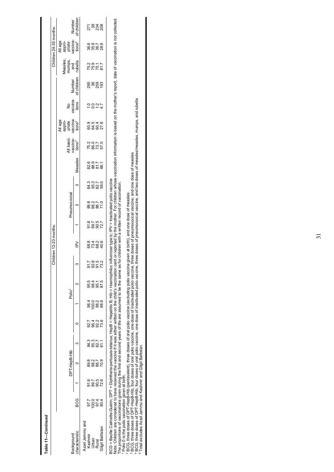| of children<br>Number<br>ಗ<br>ಜಿ ಜೆನ್ನೆ<br>All age<br>appro-<br>priate<br>vaccina-<br>tions <sup>4</sup><br>000100<br>000000<br>00000<br>Measles,<br>numps,<br>rubella<br>and<br>75776<br>75776<br>Number<br>of children<br>vaccina-<br>tions<br>ş<br>0.0077<br>vaccina-<br>All age<br>appro-<br>priate<br>tions <sup>3</sup><br>8 8 8 2<br>8 8 8 2<br>9 8 9 2<br>All basic<br>vaccina-<br>tions <sup>2</sup><br>7875<br>2875<br>Measles<br>6 9 7 7<br>8 8 7 6<br>8 8 6<br>8<br>8<br>8<br>9<br>9 9 7 0<br>9 9 8 9<br>ო<br>Pneumococcal<br>88887<br>8887<br>$\mathbf{\Omega}$<br>5<br>2882<br>28<br>824264<br>8284<br>$\geq$<br>92.8<br>91.5<br>73.2<br>51.7<br>95.5<br>98.1<br>95.1<br>87.5<br>$\sim$<br>Polio <sup>1</sup><br>98.2<br>88.9<br>98.4<br>100.0<br>9926<br>426<br>92.7<br>್ತೆ ಇ.ಗ<br>ಹೆ ದಿ ದಿ<br>61.1<br>DPT-HepB-Hib<br>8<br>88<br>88<br>70.9<br>ς<br>91.7<br>99.7<br>72.6<br>90.5<br>80G<br>97.7<br>100.0<br>974<br>804<br>Azad Jammu and<br>Gilgit Baltistan<br>characteristic<br>Background<br>Kashmir<br>Urban<br>Rural |  |  |  |  | Children 12-23 months: |  |  |  |  | Children 24-35 months: |  |
|-------------------------------------------------------------------------------------------------------------------------------------------------------------------------------------------------------------------------------------------------------------------------------------------------------------------------------------------------------------------------------------------------------------------------------------------------------------------------------------------------------------------------------------------------------------------------------------------------------------------------------------------------------------------------------------------------------------------------------------------------------------------------------------------------------------------------------------------------------------------------------------------------------------------------------------------------------------------------------------------------------------------------------------------|--|--|--|--|------------------------|--|--|--|--|------------------------|--|
|                                                                                                                                                                                                                                                                                                                                                                                                                                                                                                                                                                                                                                                                                                                                                                                                                                                                                                                                                                                                                                           |  |  |  |  |                        |  |  |  |  |                        |  |
|                                                                                                                                                                                                                                                                                                                                                                                                                                                                                                                                                                                                                                                                                                                                                                                                                                                                                                                                                                                                                                           |  |  |  |  |                        |  |  |  |  |                        |  |
|                                                                                                                                                                                                                                                                                                                                                                                                                                                                                                                                                                                                                                                                                                                                                                                                                                                                                                                                                                                                                                           |  |  |  |  |                        |  |  |  |  |                        |  |
|                                                                                                                                                                                                                                                                                                                                                                                                                                                                                                                                                                                                                                                                                                                                                                                                                                                                                                                                                                                                                                           |  |  |  |  |                        |  |  |  |  |                        |  |
|                                                                                                                                                                                                                                                                                                                                                                                                                                                                                                                                                                                                                                                                                                                                                                                                                                                                                                                                                                                                                                           |  |  |  |  |                        |  |  |  |  |                        |  |
|                                                                                                                                                                                                                                                                                                                                                                                                                                                                                                                                                                                                                                                                                                                                                                                                                                                                                                                                                                                                                                           |  |  |  |  |                        |  |  |  |  |                        |  |

2 BCG, three doses of DPT-HepB-Hib (pentavalent), three doses of oral polio vaccine (excluding polio vaccine given at birth), and one dose of measles

3 BCG, three doses of DPT-HepB-Hib, four doses of oral polio vaccine, one dose of inactivated polio vaccine, three doses of pneumococcal vaccine, and one dose of measles

° BCC, tiree doses of DFT-Help5-nib (periradient), tiree doses of dation point vactine (excluding point vaccine given at binit), and one dose of measles<br>^ BCC, three doses of DFT-HepB-Hib, four doses of oral polio vaccine, 4 BCG, three doses of DPT-HepB-Hib, four doses of oral polio vaccine, one dose of inactivated polio vaccine, three doses of pneumococcal vaccine, and two doses of measles/measles, mumps, and rubella

5 Total excludes Azad Jammu and Kashmir and Gilgit Baltistan.

 $\mathbf I$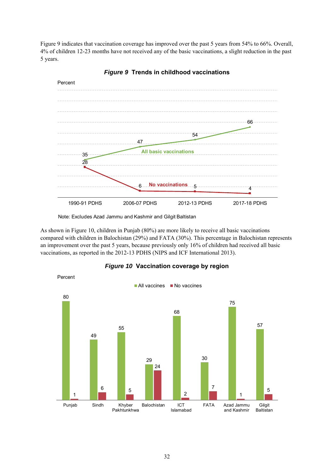Figure 9 indicates that vaccination coverage has improved over the past 5 years from 54% to 66%. Overall, 4% of children 12-23 months have not received any of the basic vaccinations, a slight reduction in the past 5 years.



*Figure 9* **Trends in childhood vaccinations** 

Note: Excludes Azad Jammu and Kashmir and Gilgit Baltistan

As shown in Figure 10, children in Punjab (80%) are more likely to receive all basic vaccinations compared with children in Balochistan (29%) and FATA (30%). This percentage in Balochistan represents an improvement over the past 5 years, because previously only 16% of children had received all basic vaccinations, as reported in the 2012-13 PDHS (NIPS and ICF International 2013).



*Figure 10* **Vaccination coverage by region**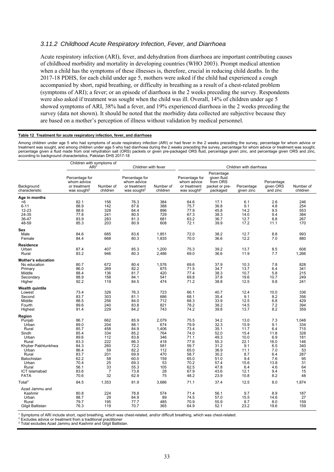#### *3.11.2 Childhood Acute Respiratory Infection, Fever, and Diarrhoea*

Acute respiratory infection (ARI), fever, and dehydration from diarrhoea are important contributing causes of childhood morbidity and mortality in developing countries (WHO 2003). Prompt medical attention when a child has the symptoms of these illnesses is, therefore, crucial in reducing child deaths. In the 2017-18 PDHS, for each child under age 5, mothers were asked if the child had experienced a cough accompanied by short, rapid breathing, or difficulty in breathing as a result of a chest-related problem (symptoms of ARI); a fever; or an episode of diarrhoea in the 2 weeks preceding the survey. Respondents were also asked if treatment was sought when the child was ill. Overall, 14% of children under age 5 showed symptoms of ARI, 38% had a fever, and 19% experienced diarrhoea in the 2 weeks preceding the survey (data not shown). It should be noted that the morbidity data collected are subjective because they are based on a mother's perception of illness without validation by medical personnel.

#### **Table 12 Treatment for acute respiratory infection, fever, and diarrhoea**

Among children under age 5 who had symptoms of acute respiratory infection (ARI) or had fever in the 2 weeks preceding the survey, percentage for whom advice or treatment was sought, and among children under age 5 who had diarrhoea during the 2 weeks preceding the survey, percentage for whom advice or treatment was sought, percentage given a fluid made from oral rehydration salt (ORS) packets or given pre-packaged ORS fluid, percentage given zinc, and percentage given ORS and zinc, according to background characteristics, Pakistan DHS 2017-18

|                                                                                                                                                                        | Children with symptoms of                                                                                    |                                                                                                      |                                                                                                              |                                                                                                 |                                                                                                              |                                                                                                              |                                                                                                          |                                                                                                   |                                                                                            |
|------------------------------------------------------------------------------------------------------------------------------------------------------------------------|--------------------------------------------------------------------------------------------------------------|------------------------------------------------------------------------------------------------------|--------------------------------------------------------------------------------------------------------------|-------------------------------------------------------------------------------------------------|--------------------------------------------------------------------------------------------------------------|--------------------------------------------------------------------------------------------------------------|----------------------------------------------------------------------------------------------------------|---------------------------------------------------------------------------------------------------|--------------------------------------------------------------------------------------------|
|                                                                                                                                                                        | ARI <sup>1</sup>                                                                                             |                                                                                                      | Children with fever                                                                                          |                                                                                                 |                                                                                                              |                                                                                                              | Children with diarrhoea                                                                                  |                                                                                                   |                                                                                            |
| Background<br>characteristic                                                                                                                                           | Percentage for<br>whom advice<br>or treatment<br>was sought <sup>2</sup>                                     | Number of<br>children                                                                                | Percentage for<br>whom advice<br>or treatment<br>was sought <sup>2</sup>                                     | Number of<br>children                                                                           | Percentage for<br>whom advice<br>or treatment<br>was sought <sup>2</sup>                                     | Percentage<br>given fluid<br>from ORS<br>packet or pre-<br>packaged                                          | Percentage<br>given zinc                                                                                 | Percentage<br>given ORS<br>and zinc                                                               | Number of<br>children                                                                      |
| Age in months                                                                                                                                                          |                                                                                                              |                                                                                                      |                                                                                                              |                                                                                                 |                                                                                                              |                                                                                                              |                                                                                                          |                                                                                                   |                                                                                            |
| < 6<br>$6 - 11$<br>12-23<br>24-35<br>36-47<br>48-59                                                                                                                    | 82.1<br>88.9<br>88.6<br>77.8<br>83.9<br>85.3                                                                 | 156<br>142<br>328<br>241<br>283<br>203                                                               | 76.3<br>87.6<br>84.4<br>80.5<br>81.3<br>80.9                                                                 | 384<br>388<br>896<br>729<br>681<br>608                                                          | 64.6<br>75.7<br>77.9<br>67.3<br>63.2<br>72.1                                                                 | 17.1<br>36.8<br>45.8<br>38.3<br>36.7<br>39.9                                                                 | 6.1<br>9.1<br>14.2<br>14.0<br>12.7<br>17.2                                                               | 2.6<br>4.8<br>9.5<br>9.4<br>8.8<br>11.1                                                           | 246<br>254<br>553<br>384<br>267<br>170                                                     |
| Sex                                                                                                                                                                    |                                                                                                              |                                                                                                      |                                                                                                              |                                                                                                 |                                                                                                              |                                                                                                              |                                                                                                          |                                                                                                   |                                                                                            |
| Male<br>Female                                                                                                                                                         | 84.6<br>84.4                                                                                                 | 685<br>668                                                                                           | 83.6<br>80.3                                                                                                 | 1,851<br>1,835                                                                                  | 72.0<br>70.0                                                                                                 | 38.2<br>36.6                                                                                                 | 12.7<br>12.2                                                                                             | 8.8<br>7.0                                                                                        | 993<br>880                                                                                 |
| Residence<br>Urban<br>Rural                                                                                                                                            | 87.4<br>83.2                                                                                                 | 407<br>946                                                                                           | 85.3<br>80.3                                                                                                 | 1,200<br>2,486                                                                                  | 75.3<br>69.0                                                                                                 | 39.2<br>36.6                                                                                                 | 13.7<br>11.9                                                                                             | 8.5<br>7.7                                                                                        | 608<br>1,266                                                                               |
| <b>Mother's education</b><br>No education<br>Primary<br>Middle<br>Secondary<br>Higher                                                                                  | 80.7<br>86.0<br>88.4<br>88.9<br>92.2                                                                         | 672<br>269<br>136<br>158<br>119                                                                      | 80.4<br>82.2<br>81.7<br>84.1<br>84.5                                                                         | 1,576<br>675<br>420<br>541<br>474                                                               | 69.6<br>71.5<br>77.4<br>69.8<br>71.2                                                                         | 37.9<br>34.7<br>38.3<br>37.8<br>38.8                                                                         | 10.3<br>13.7<br>10.7<br>19.6<br>12.5                                                                     | 7.8<br>6.4<br>5.8<br>10.7<br>9.8                                                                  | 828<br>341<br>215<br>249<br>241                                                            |
| <b>Wealth quintile</b><br>Lowest<br>Second<br>Middle<br>Fourth<br>Highest                                                                                              | 73.4<br>83.7<br>88.5<br>89.6<br>91.4                                                                         | 326<br>303<br>256<br>240<br>229                                                                      | 76.3<br>81.1<br>84.0<br>83.8<br>84.2                                                                         | 723<br>686<br>712<br>821<br>743                                                                 | 66.1<br>68.1<br>68.3<br>78.2<br>74.2                                                                         | 40.7<br>35.4<br>33.9<br>38.2<br>39.8                                                                         | 12.4<br>9.1<br>12.5<br>14.5<br>13.7                                                                      | 10.0<br>8.2<br>6.8<br>7.2<br>8.2                                                                  | 336<br>356<br>429<br>394<br>359                                                            |
| Region<br>Punjab<br>Urban<br>Rural<br>Sindh<br>Urban<br>Rural<br>Khyber Pakhtunkhwa<br>Urban<br>Rural<br>Balochistan<br>Urban<br>Rural<br>ICT Islamabad<br><b>FATA</b> | 86.7<br>89.0<br>85.7<br>85.4<br>89.6<br>83.3<br>84.3<br>86.4<br>83.7<br>62.2<br>70.4<br>56.1<br>83.6<br>70.6 | 662<br>204<br>458<br>334<br>112<br>222<br>260<br>59<br>201<br>58<br>25<br>33<br>$\overline{7}$<br>32 | 85.9<br>88.1<br>84.9<br>85.2<br>83.8<br>86.3<br>72.2<br>82.2<br>69.9<br>60.0<br>69.3<br>55.3<br>73.8<br>62.9 | 2,079<br>674<br>1,406<br>764<br>346<br>418<br>581<br>112<br>470<br>159<br>53<br>105<br>28<br>75 | 75.5<br>79.9<br>73.4<br>74.0<br>71.1<br>77.6<br>59.7<br>65.0<br>58.7<br>65.0<br>70.2<br>62.5<br>67.9<br>48.2 | 34.2<br>32.3<br>35.1<br>52.0<br>49.3<br>55.3<br>31.2<br>36.9<br>30.2<br>51.0<br>57.4<br>47.8<br>43.6<br>23.9 | 13.0<br>15.9<br>11.7<br>15.4<br>10.0<br>22.1<br>9.1<br>11.1<br>8.7<br>9.4<br>15.6<br>6.4<br>12.1<br>10.8 | 7.3<br>9.1<br>6.4<br>11.8<br>6.9<br>18.0<br>6.5<br>7.0<br>6.4<br>7.6<br>13.8<br>4.6<br>9.4<br>8.2 | 1,048<br>334<br>715<br>328<br>181<br>146<br>340<br>53<br>287<br>95<br>31<br>64<br>15<br>48 |
| Total <sup>3</sup>                                                                                                                                                     | 84.5                                                                                                         | 1,353                                                                                                | 81.9                                                                                                         | 3,686                                                                                           | 71.1                                                                                                         | 37.4                                                                                                         | 12.5                                                                                                     | 8.0                                                                                               | 1,874                                                                                      |
| Azad Jammu and<br>Kashmir<br>Urban<br>Rural<br>Gilgit Baltistan                                                                                                        | 80.8<br>88.7<br>79.7<br>76.3                                                                                 | 224<br>29<br>195<br>119                                                                              | 78.8<br>84.9<br>77.7<br>70.7                                                                                 | 574<br>89<br>485<br>365                                                                         | 71.4<br>74.5<br>70.9<br>64.9                                                                                 | 56.1<br>57.0<br>55.9<br>52.1                                                                                 | 9.7<br>15.5<br>8.7<br>23.2                                                                               | 8.9<br>14.6<br>8.0<br>19.6                                                                        | 187<br>27<br>159<br>159                                                                    |

1 Symptoms of ARI include short, rapid breathing, which was chest-related, and/or difficult breathing, which was chest-related.

<sup>2</sup> Excludes advice or treatment from a traditional practitioner <sup>3</sup> Total excludes Azad Jammu and Kashmir and Gilgit Baltistan.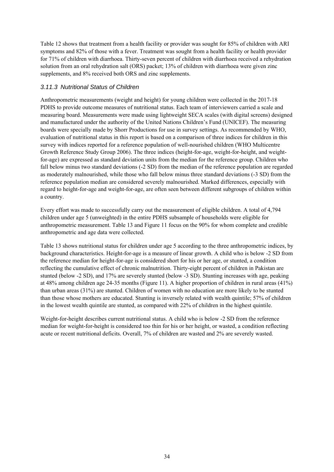Table 12 shows that treatment from a health facility or provider was sought for 85% of children with ARI symptoms and 82% of those with a fever. Treatment was sought from a health facility or health provider for 71% of children with diarrhoea. Thirty-seven percent of children with diarrhoea received a rehydration solution from an oral rehydration salt (ORS) packet; 13% of children with diarrhoea were given zinc supplements, and 8% received both ORS and zinc supplements.

#### *3.11.3 Nutritional Status of Children*

Anthropometric measurements (weight and height) for young children were collected in the 2017-18 PDHS to provide outcome measures of nutritional status. Each team of interviewers carried a scale and measuring board. Measurements were made using lightweight SECA scales (with digital screens) designed and manufactured under the authority of the United Nations Children's Fund (UNICEF). The measuring boards were specially made by Shorr Productions for use in survey settings. As recommended by WHO, evaluation of nutritional status in this report is based on a comparison of three indices for children in this survey with indices reported for a reference population of well-nourished children (WHO Multicentre Growth Reference Study Group 2006). The three indices (height-for-age, weight-for-height, and weightfor-age) are expressed as standard deviation units from the median for the reference group. Children who fall below minus two standard deviations (-2 SD) from the median of the reference population are regarded as moderately malnourished, while those who fall below minus three standard deviations (-3 SD) from the reference population median are considered severely malnourished. Marked differences, especially with regard to height-for-age and weight-for-age, are often seen between different subgroups of children within a country.

Every effort was made to successfully carry out the measurement of eligible children. A total of 4,794 children under age 5 (unweighted) in the entire PDHS subsample of households were eligible for anthropometric measurement. Table 13 and Figure 11 focus on the 90% for whom complete and credible anthropometric and age data were collected.

Table 13 shows nutritional status for children under age 5 according to the three anthropometric indices, by background characteristics. Height-for-age is a measure of linear growth. A child who is below -2 SD from the reference median for height-for-age is considered short for his or her age, or stunted, a condition reflecting the cumulative effect of chronic malnutrition. Thirty-eight percent of children in Pakistan are stunted (below -2 SD), and 17% are severely stunted (below -3 SD). Stunting increases with age, peaking at 48% among children age 24-35 months (Figure 11). A higher proportion of children in rural areas (41%) than urban areas (31%) are stunted. Children of women with no education are more likely to be stunted than those whose mothers are educated. Stunting is inversely related with wealth quintile; 57% of children in the lowest wealth quintile are stunted, as compared with 22% of children in the highest quintile.

Weight-for-height describes current nutritional status. A child who is below -2 SD from the reference median for weight-for-height is considered too thin for his or her height, or wasted, a condition reflecting acute or recent nutritional deficits. Overall, 7% of children are wasted and 2% are severely wasted.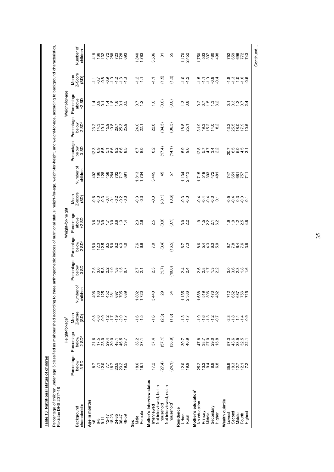| ċ |
|---|
|   |
| Ï |
|   |
|   |
|   |
|   |
|   |
|   |
|   |
|   |
|   |

Percentage of children under age 5 classified as malnourished according to three anthropometric indices of nutritional status: height-for-age, weight-for-height, and weight-for-age, according to background characteristics, Percentage of children under age 5 classified as malnourished according to three anthropometric indices of nutritional status: height-for-age, weight-for-height, and weight-for-age, according to background characteristics,

| Age in months<br>characteristic<br>Background<br>$9 - 11$<br>$6-8$<br>$\frac{6}{5}$ |                               |                                          | Height-for-age <sup>1</sup> |                                |                                                                                                                                                                                                                                                                                                                         |                                           | Weight-for-height            |                                                                                                                                                                                                                                                                                           |                             |                                                                                                                                            |                                              | Weight-for-age                     |                                                                                                                                                                                     |  |
|-------------------------------------------------------------------------------------|-------------------------------|------------------------------------------|-----------------------------|--------------------------------|-------------------------------------------------------------------------------------------------------------------------------------------------------------------------------------------------------------------------------------------------------------------------------------------------------------------------|-------------------------------------------|------------------------------|-------------------------------------------------------------------------------------------------------------------------------------------------------------------------------------------------------------------------------------------------------------------------------------------|-----------------------------|--------------------------------------------------------------------------------------------------------------------------------------------|----------------------------------------------|------------------------------------|-------------------------------------------------------------------------------------------------------------------------------------------------------------------------------------|--|
|                                                                                     | Percentage<br>below<br>$-3SD$ | Percentage<br>below<br>2 SD <sup>2</sup> | Z-score<br>Mean<br>(SD)     | er of<br>children<br>Numb<br>Z | Percentage<br>Delow<br>-3 SD                                                                                                                                                                                                                                                                                            | Percentage<br>below<br>-2 SD <sup>2</sup> | Percentage<br>above<br>+2 SD | Mean<br>Z-score<br>(SD)                                                                                                                                                                                                                                                                   | Number of<br>children       | Percentage<br>below<br>3 SD                                                                                                                | Φ<br>Percentag<br>below<br>2 SD <sup>2</sup> | Percentage<br>above<br>+2 SD       | Mean<br>Z-Score<br>(SD)                                                                                                                                                             |  |
|                                                                                     |                               |                                          |                             |                                |                                                                                                                                                                                                                                                                                                                         |                                           |                              |                                                                                                                                                                                                                                                                                           |                             |                                                                                                                                            |                                              |                                    |                                                                                                                                                                                     |  |
|                                                                                     | $\frac{7}{10}$                | 21238<br>21238                           |                             |                                |                                                                                                                                                                                                                                                                                                                         |                                           |                              |                                                                                                                                                                                                                                                                                           |                             |                                                                                                                                            |                                              |                                    |                                                                                                                                                                                     |  |
|                                                                                     |                               |                                          |                             |                                |                                                                                                                                                                                                                                                                                                                         |                                           |                              |                                                                                                                                                                                                                                                                                           |                             |                                                                                                                                            |                                              |                                    |                                                                                                                                                                                     |  |
|                                                                                     | 12.7                          |                                          |                             |                                |                                                                                                                                                                                                                                                                                                                         |                                           |                              |                                                                                                                                                                                                                                                                                           |                             |                                                                                                                                            |                                              |                                    |                                                                                                                                                                                     |  |
| $12 - 17$                                                                           |                               |                                          |                             |                                |                                                                                                                                                                                                                                                                                                                         |                                           |                              |                                                                                                                                                                                                                                                                                           |                             |                                                                                                                                            |                                              |                                    |                                                                                                                                                                                     |  |
| $18 - 23$                                                                           |                               | 39.0                                     | ۹ ۹ ۹ ۹ ۹ ۲<br>۹ ۹ ۹ ۹ ۲    |                                |                                                                                                                                                                                                                                                                                                                         |                                           |                              |                                                                                                                                                                                                                                                                                           |                             |                                                                                                                                            |                                              |                                    |                                                                                                                                                                                     |  |
|                                                                                     |                               |                                          |                             |                                |                                                                                                                                                                                                                                                                                                                         |                                           |                              |                                                                                                                                                                                                                                                                                           |                             |                                                                                                                                            |                                              |                                    |                                                                                                                                                                                     |  |
| 24-35<br>36-47                                                                      | 18.5<br>18.70.99<br>19.70.99  | $48.7$<br>$49.7$                         | 7907                        | 488278888                      | <b>この829851</b><br>この820851                                                                                                                                                                                                                                                                                             |                                           |                              |                                                                                                                                                                                                                                                                                           |                             |                                                                                                                                            |                                              | d g l 4 g 6 l 6<br>4 9 2 4 6 6 2 9 |                                                                                                                                                                                     |  |
| 48-59                                                                               |                               |                                          |                             |                                |                                                                                                                                                                                                                                                                                                                         |                                           | 82970834<br>83481081         | $\begin{array}{l} \phi \stackrel{\alpha}{\circ} \phi \stackrel{\alpha}{\circ} \tau \stackrel{\tau}{\circ} \alpha \stackrel{\alpha}{\circ} \phi \\ \phi \stackrel{\alpha}{\circ} \phi \stackrel{\alpha}{\circ} \phi \stackrel{\tau}{\circ} \phi \stackrel{\alpha}{\circ} \phi \end{array}$ |                             | $\begin{array}{l} \alpha \circ \alpha \circ \alpha \circ \alpha \\ \alpha \circ \alpha \circ \alpha \circ \alpha \circ \alpha \end{array}$ |                                              |                                    | $\begin{array}{c}\n\overline{r} & \rightarrow & \infty & \infty & \infty & \infty & \infty \\ \overline{r} & \rightarrow & \infty & \infty & \infty & \infty & \infty\n\end{array}$ |  |
| Sex                                                                                 |                               |                                          |                             |                                |                                                                                                                                                                                                                                                                                                                         |                                           |                              |                                                                                                                                                                                                                                                                                           |                             |                                                                                                                                            |                                              |                                    |                                                                                                                                                                                     |  |
| Female<br>Male                                                                      | 18.6<br>16.1                  | 38.2                                     | $-1.6$<br>$-1.5$            | 1,802<br>1,720                 | $\frac{7}{21}$                                                                                                                                                                                                                                                                                                          | 7.6<br>6.6                                | 23<br>26                     | ၁ ၁<br>၁ ၁                                                                                                                                                                                                                                                                                | 1,734                       | $\frac{8.7}{8.0}$                                                                                                                          | 24.0<br>22.1                                 | $\frac{1}{2}$<br>$\overline{0.7}$  | 7.7                                                                                                                                                                                 |  |
|                                                                                     |                               |                                          |                             |                                |                                                                                                                                                                                                                                                                                                                         |                                           |                              |                                                                                                                                                                                                                                                                                           |                             |                                                                                                                                            |                                              |                                    |                                                                                                                                                                                     |  |
| Mother's interview status<br>Interviewed                                            | 17.2                          | 37.4                                     | $-1.6$                      | 3,440                          | 2.3                                                                                                                                                                                                                                                                                                                     | 7.0                                       | 2.5                          | $-0.3$                                                                                                                                                                                                                                                                                    | 3,445                       | 8.2                                                                                                                                        | 22.8                                         | $\frac{1}{2}$                      | 두                                                                                                                                                                                   |  |
| Not interviewed, but in<br>household                                                | (27.4)                        | (57.1)                                   | (2.3)                       | 29                             | (1.7)                                                                                                                                                                                                                                                                                                                   | (3.4)                                     | (0.9)                        | $(-0.1)$                                                                                                                                                                                                                                                                                  | 45                          | (17.4)                                                                                                                                     | (34.3)                                       | $\overline{0}$ .                   | (1.5)                                                                                                                                                                               |  |
| Not interviewed, not in<br>household <sup>3</sup>                                   | (24.1)                        | (38.9)                                   | (1.8)                       | R,                             | (10.0)                                                                                                                                                                                                                                                                                                                  | (16.5)                                    | (0.1)                        | (0.6)                                                                                                                                                                                                                                                                                     | 57                          | (14.1)                                                                                                                                     | (36.3)                                       | (0.0)                              | (1.3)                                                                                                                                                                               |  |
| Residence<br>Urban                                                                  | 12.0                          |                                          |                             |                                |                                                                                                                                                                                                                                                                                                                         |                                           |                              |                                                                                                                                                                                                                                                                                           |                             |                                                                                                                                            |                                              |                                    |                                                                                                                                                                                     |  |
| Rural                                                                               | 19.9                          | 40.9<br>30.7                             | $7 - 7$                     | <b>5 လ</b><br>$1,38$<br>2,38   | $24$<br>24                                                                                                                                                                                                                                                                                                              | $6.7$<br>7.3                              | 3.2                          | က္ က္<br>၃ ၃                                                                                                                                                                                                                                                                              | 1,134<br>2,413              | 5.0<br>5.0                                                                                                                                 | $18.8$<br>25.1                               | $\frac{0.8}{0.8}$                  | $77$<br>$77$                                                                                                                                                                        |  |
| Mother's education <sup>4</sup>                                                     |                               |                                          |                             |                                |                                                                                                                                                                                                                                                                                                                         |                                           |                              |                                                                                                                                                                                                                                                                                           |                             |                                                                                                                                            |                                              |                                    |                                                                                                                                                                                     |  |
| No education                                                                        | 25.2<br>13.3                  |                                          |                             |                                |                                                                                                                                                                                                                                                                                                                         |                                           |                              |                                                                                                                                                                                                                                                                                           | -<br>2002<br>-<br>2004<br>- |                                                                                                                                            |                                              |                                    |                                                                                                                                                                                     |  |
| Primary                                                                             |                               | 482856<br>48285                          | 9 9 9 9 9 7<br>9 7 7 7 9    | 1<br>660<br>1000<br>1000       | $\begin{array}{c} 6 & 8 \\ 2 & 6 \\ 3 & 6 \\ 6 & 7 \\ 7 & 8 \\ 8 & 9 \\ 10 & 10 \\ 10 & 10 \\ 10 & 10 \\ 10 & 10 \\ 10 & 10 \\ 10 & 10 \\ 10 & 10 \\ 10 & 10 \\ 10 & 10 \\ 10 & 10 \\ 10 & 10 \\ 10 & 10 & 10 \\ 10 & 10 & 10 \\ 10 & 10 & 10 \\ 10 & 10 & 10 \\ 10 & 10 & 10 \\ 10 & 10 & 10 \\ 10 & 10 & 10 \\ 10 & $ |                                           | 9.52172<br>11236             | ddddo<br>444 w 1                                                                                                                                                                                                                                                                          |                             | 0<br>0 1 0 4 0 0<br>0 1 0 4 0 0                                                                                                            | 5<br>200703<br>20070                         | 0.07522                            | circosa<br>Circosa                                                                                                                                                                  |  |
| Middle                                                                              |                               |                                          |                             |                                |                                                                                                                                                                                                                                                                                                                         |                                           |                              |                                                                                                                                                                                                                                                                                           |                             |                                                                                                                                            |                                              |                                    |                                                                                                                                                                                     |  |
| Secondary<br>Higher                                                                 |                               |                                          |                             |                                |                                                                                                                                                                                                                                                                                                                         |                                           |                              |                                                                                                                                                                                                                                                                                           |                             |                                                                                                                                            |                                              |                                    |                                                                                                                                                                                     |  |
|                                                                                     |                               |                                          |                             |                                |                                                                                                                                                                                                                                                                                                                         |                                           |                              |                                                                                                                                                                                                                                                                                           |                             |                                                                                                                                            |                                              |                                    |                                                                                                                                                                                     |  |
| Wealth quintile                                                                     |                               |                                          |                             |                                |                                                                                                                                                                                                                                                                                                                         |                                           |                              |                                                                                                                                                                                                                                                                                           |                             |                                                                                                                                            |                                              |                                    |                                                                                                                                                                                     |  |
| Lowest                                                                              | 9<br>93 9 21<br>92 21         | 5<br>5 3 3 3 2<br>5 3 3 2                | نه نه نه<br>نه خان          | 222756<br>2007<br>2007         |                                                                                                                                                                                                                                                                                                                         | 9 て 8 よ 6 8<br>9 て 6 て 8                  | 0.0.0.10.00<br>1.1.0.00      | cido de de<br>de de de                                                                                                                                                                                                                                                                    | 1788DF<br>1788              |                                                                                                                                            | ねあおけい<br>おおおけい                               | いいいりょう                             | $\frac{1}{2}$ $\frac{1}{2}$ $\frac{1}{2}$ $\frac{1}{2}$ $\frac{1}{2}$ $\frac{1}{2}$ $\frac{1}{2}$ $\frac{1}{2}$ $\frac{1}{2}$                                                       |  |
| Second                                                                              |                               |                                          |                             |                                |                                                                                                                                                                                                                                                                                                                         |                                           |                              |                                                                                                                                                                                                                                                                                           |                             |                                                                                                                                            |                                              |                                    |                                                                                                                                                                                     |  |
| Middle<br>Fourth                                                                    |                               |                                          |                             |                                |                                                                                                                                                                                                                                                                                                                         |                                           |                              |                                                                                                                                                                                                                                                                                           |                             |                                                                                                                                            |                                              |                                    |                                                                                                                                                                                     |  |
| Highest                                                                             | $12.1$<br>7.2                 |                                          | 49                          |                                |                                                                                                                                                                                                                                                                                                                         |                                           |                              |                                                                                                                                                                                                                                                                                           |                             |                                                                                                                                            |                                              |                                    |                                                                                                                                                                                     |  |

Continued…

Continued...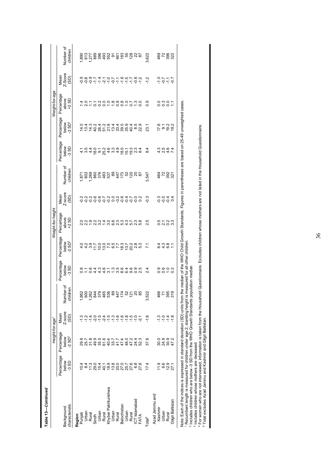| Table 13-Continued                                                                                                                                                       |                                |                                             |                         |                                     |                                 |                                                                                                           |                                                                |                         |                       |                                |                                          |                                |                                                    |                       |
|--------------------------------------------------------------------------------------------------------------------------------------------------------------------------|--------------------------------|---------------------------------------------|-------------------------|-------------------------------------|---------------------------------|-----------------------------------------------------------------------------------------------------------|----------------------------------------------------------------|-------------------------|-----------------------|--------------------------------|------------------------------------------|--------------------------------|----------------------------------------------------|-----------------------|
|                                                                                                                                                                          |                                | Height-for-age <sup>1</sup>                 |                         |                                     |                                 |                                                                                                           | Weight-for-height                                              |                         |                       |                                |                                          | Weight-for-age                 |                                                    |                       |
| characteristic<br>Background                                                                                                                                             | Percentage<br>below<br>$-3S$ D | Percentage<br>$-2$ SD <sup>2</sup><br>below | Z-score<br>Mean<br>(3D) | Number of<br>ren<br>childr          | Percentage<br>below<br>$-3$ SD  | Percentage<br>below<br>2 SD <sup>2</sup>                                                                  | Percentage<br>above<br>$+2$ SD                                 | Z-score<br>Mean<br>(30) | Number of<br>children | Percentage<br>below<br>$-3$ SD | Percentage<br>below<br>2 SD <sup>2</sup> | Percentage<br>above<br>$+2$ SD | Mean<br>Z-Score<br>(SD)                            | Number of<br>children |
| Region                                                                                                                                                                   |                                |                                             |                         |                                     |                                 |                                                                                                           |                                                                |                         |                       |                                |                                          |                                |                                                    |                       |
| Punjab                                                                                                                                                                   |                                | 29.8                                        |                         |                                     |                                 |                                                                                                           |                                                                |                         |                       |                                |                                          |                                |                                                    |                       |
| Urban<br>Rural                                                                                                                                                           | 11.3                           | 25.7<br>31.8                                |                         | r<br>8606426084505<br>8606406067405 | 0104<br>0104                    | $4.007$<br>$7.7$                                                                                          | O N 9 N N 4 O G M 9 1 N 9 8<br>N N - N 1 - N 6 N 6 N 5 4 D N 6 | 。<br>◇◇◇◇◇◇◇◇◇◇◇◇◇◇◇    |                       | 43401263901334154012818018000  | りょうこょうほんいのあわれ おねののけい いうしょうしょう            | 121123222882523                | sour d'une d'année d'ans<br>Sour d'ans d'ans d'ans |                       |
| Sindh                                                                                                                                                                    | 29.0                           | 49.9                                        | $-2.0$                  |                                     |                                 |                                                                                                           |                                                                |                         |                       |                                |                                          |                                |                                                    |                       |
| Urban                                                                                                                                                                    | 15.4                           | 35.5                                        | $-1.5$                  |                                     |                                 |                                                                                                           |                                                                |                         |                       |                                |                                          |                                |                                                    |                       |
| Rural                                                                                                                                                                    | 40.1                           | 61.6                                        | $-2.4$                  |                                     |                                 |                                                                                                           |                                                                |                         |                       |                                |                                          |                                |                                                    |                       |
| Khyber Pakhtunkhwa                                                                                                                                                       |                                | 40.4                                        | $-1.5$                  |                                     |                                 |                                                                                                           |                                                                |                         |                       |                                |                                          |                                |                                                    |                       |
| Urban                                                                                                                                                                    | 9.8000.56<br>10.8000.56        | 33.7                                        | $-1.3$                  |                                     |                                 |                                                                                                           |                                                                |                         |                       |                                |                                          |                                |                                                    |                       |
| Rural                                                                                                                                                                    |                                | 41.7                                        | $-1.6$                  |                                     |                                 |                                                                                                           |                                                                |                         |                       |                                |                                          |                                |                                                    |                       |
| Balochistan                                                                                                                                                              |                                | 47.4                                        |                         |                                     |                                 |                                                                                                           |                                                                |                         |                       |                                |                                          |                                |                                                    |                       |
| Urban                                                                                                                                                                    |                                | 48.0                                        | $-1.8$                  |                                     |                                 |                                                                                                           |                                                                |                         |                       |                                |                                          |                                |                                                    |                       |
| Rural                                                                                                                                                                    |                                | 47.2                                        | $-1.5$                  |                                     |                                 |                                                                                                           |                                                                |                         |                       |                                |                                          |                                |                                                    |                       |
| ICT Islamabad                                                                                                                                                            | 6.8<br>27.6                    | 24.4                                        | $-1.0$                  | 20                                  |                                 | 0055787888                                                                                                |                                                                |                         |                       |                                | 8.5<br>22.9                              |                                |                                                    |                       |
| FATA                                                                                                                                                                     |                                | 52.3                                        | $-2.1$                  |                                     |                                 |                                                                                                           |                                                                |                         |                       |                                |                                          |                                |                                                    |                       |
| Total <sup>5</sup>                                                                                                                                                       | 17.4                           | 37.6                                        | $-1.6$                  | 3,522                               | 2.4                             | $\overline{71}$                                                                                           | 2.5                                                            | $-0.3$                  | 3,547                 | $\frac{4}{3}$                  | 23.1                                     | 0.9                            | $\frac{2}{1}$                                      | 3,622                 |
| Azad Jammu and                                                                                                                                                           |                                |                                             |                         |                                     |                                 |                                                                                                           |                                                                |                         |                       |                                |                                          |                                |                                                    |                       |
| Kashmir                                                                                                                                                                  | 11.9                           | ಂ ೩ ೩<br>೧ ೩ ೩                              | $-1.3$                  | 466<br>71                           |                                 |                                                                                                           |                                                                |                         |                       |                                |                                          |                                |                                                    |                       |
| Urban                                                                                                                                                                    | 6.9<br>12.9                    |                                             | $-1.0$                  |                                     |                                 |                                                                                                           |                                                                |                         |                       |                                |                                          |                                |                                                    |                       |
| Rural                                                                                                                                                                    |                                |                                             | $-1.4$                  | 395                                 | 0<br>0 0 0 0<br>0 0 0           | e 4 6 1<br>6 4 6 1                                                                                        | ちょう。<br>つとり。                                                   | cócco<br>unda           | ទំនងខ្លួ              | 4 0 4 1<br>4 0 4 1             | 12 9 9 9 9<br>12 9 9 9 9                 | 0307                           | $-27 - 5$                                          | <b>g 2 g 32</b>       |
| Gilgit Baltistan                                                                                                                                                         | 27.1                           | 47.2                                        | $-1.8$                  | 319                                 |                                 |                                                                                                           |                                                                |                         |                       |                                |                                          |                                |                                                    |                       |
| Note: Each of the indices is expressed in standard deviation (SD) units from t<br><sup>1</sup> Recumbent length is measured for children under age 2; standing height is |                                |                                             |                         |                                     | measured for all other children | the median of the WHO Child Growth Standards. Figures in parentheses are based on 25-49 unweighted cases. |                                                                |                         |                       |                                |                                          |                                |                                                    |                       |

2 Includes children who are below -3 SD from the WHO Growth Standards population median

3 Includes children whose mothers are deceased

2 Includes children who are below -3 SD from the WHO Crowth Standards population median<br>3 Includes children who are below -3 SD from the WHO Growth Standards population median<br>4 For women who are not interviewed, informati 4 For women who are not interviewed, information is taken from the Household Questionnaire. Excludes children whose mothers are not listed in the Household Questionnaire.

5 Total excludes Azad Jammu and Kashmir and Gilgit Baltistan.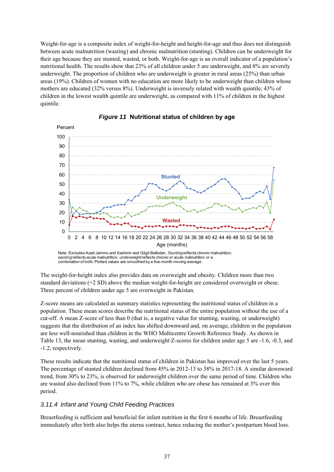Weight-for-age is a composite index of weight-for-height and height-for-age and thus does not distinguish between acute malnutrition (wasting) and chronic malnutrition (stunting). Children can be underweight for their age because they are stunted, wasted, or both. Weight-for-age is an overall indicator of a population's nutritional health. The results show that 23% of all children under 5 are underweight, and 8% are severely underweight. The proportion of children who are underweight is greater in rural areas (25%) than urban areas (19%). Children of women with no education are more likely to be underweight than children whose mothers are educated (32% versus 8%). Underweight is inversely related with wealth quintile; 43% of children in the lowest wealth quintile are underweight, as compared with 11% of children in the highest quintile.



#### *Figure 11* **Nutritional status of children by age**

*wasting*reflects acute malnutrition; *underweight*reflects chronic or acute malnutrition or a combination of both. Plotted values are smoothed by a five-month moving average.

The weight-for-height index also provides data on overweight and obesity. Children more than two standard deviations (+2 SD) above the median weight-for-height are considered overweight or obese. Three percent of children under age 5 are overweight in Pakistan.

Z-score means are calculated as summary statistics representing the nutritional status of children in a population. These mean scores describe the nutritional status of the entire population without the use of a cut-off. A mean Z-score of less than 0 (that is, a negative value for stunting, wasting, or underweight) suggests that the distribution of an index has shifted downward and, on average, children in the population are less well-nourished than children in the WHO Multicentre Growth Reference Study. As shown in Table 13, the mean stunting, wasting, and underweight Z-scores for children under age 5 are -1.6, -0.3, and -1.2, respectively.

These results indicate that the nutritional status of children in Pakistan has improved over the last 5 years. The percentage of stunted children declined from 45% in 2012-13 to 38% in 2017-18. A similar downward trend, from 30% to 23%, is observed for underweight children over the same period of time. Children who are wasted also declined from 11% to 7%, while children who are obese has remained at 3% over this period.

# *3.11.4 Infant and Young Child Feeding Practices*

Breastfeeding is sufficient and beneficial for infant nutrition in the first 6 months of life. Breastfeeding immediately after birth also helps the uterus contract, hence reducing the mother's postpartum blood loss.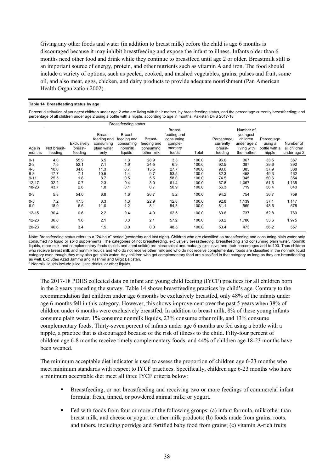Giving any other foods and water (in addition to breast milk) before the child is age 6 months is discouraged because it may inhibit breastfeeding and expose the infant to illness. Infants older than 6 months need other food and drink while they continue to breastfeed until age 2 or older. Breastmilk still is an important source of energy, protein, and other nutrients such as vitamin A and iron. The food should include a variety of options, such as peeled, cooked, and mashed vegetables, grains, pulses and fruit, some oil, and also meat, eggs, chicken, and dairy products to provide adequate nourishment (Pan American Health Organization 2002).

#### **Table 14 Breastfeeding status by age**

Percent distribution of youngest children under age 2 who are living with their mother, by breastfeeding status, and the percentage currently breastfeeding; and percentage of all children under age 2 using a bottle with a nipple, according to age in months, Pakistan DHS 2017-18

|                  |                        |                                   |                                                            | Breastfeeding status                                                   |                                                   |                                                                    |       |                                               |                                                                               |                                                  |                                          |
|------------------|------------------------|-----------------------------------|------------------------------------------------------------|------------------------------------------------------------------------|---------------------------------------------------|--------------------------------------------------------------------|-------|-----------------------------------------------|-------------------------------------------------------------------------------|--------------------------------------------------|------------------------------------------|
| Age in<br>months | Not breast-<br>feeding | Exclusively<br>breast-<br>feeding | Breast-<br>feeding and<br>consumina<br>plain water<br>only | Breast-<br>feeding and<br>consumina<br>nonmilk<br>liquids <sup>1</sup> | Breast-<br>feeding and<br>consuming<br>other milk | Breast-<br>feeding and<br>consuming<br>comple-<br>mentary<br>foods | Total | Percentage<br>currently<br>breast-<br>feeding | Number of<br>youngest<br>children<br>under age 2<br>living with<br>the mother | Percentage<br>using a<br>bottle with a<br>nipple | Number of<br>all children<br>under age 2 |
| $0 - 1$          | 4.0                    | 55.9                              | 6.5                                                        | 1.3                                                                    | 28.9                                              | 3.3                                                                | 100.0 | 96.0                                          | 367                                                                           | 33.5                                             | 367                                      |
| $2 - 3$          | 7.5                    | 52.1                              | 7.1                                                        | 1.9                                                                    | 24.5                                              | 6.9                                                                | 100.0 | 92.5                                          | 387                                                                           | 39.6                                             | 392                                      |
| $4 - 5$          | 10.0                   | 34.8                              | 11.3                                                       | 0.7                                                                    | 15.5                                              | 27.7                                                               | 100.0 | 90.0                                          | 385                                                                           | 37.9                                             | 388                                      |
| $6 - 8$          | 17.7                   | 7.1                               | 10.5                                                       | 1.4                                                                    | 9.7                                               | 53.5                                                               | 100.0 | 82.3                                          | 458                                                                           | 49.3                                             | 462                                      |
| $9 - 11$         | 25.5                   | 1.8                               | 8.7                                                        | 0.5                                                                    | 5.5                                               | 58.0                                                               | 100.0 | 74.5                                          | 345                                                                           | 50.6                                             | 354                                      |
| $12 - 17$        | 32.2                   | 0.7                               | 2.3                                                        | 0.4                                                                    | 3.0                                               | 61.4                                                               | 100.0 | 67.8                                          | 1,067                                                                         | 51.6                                             | 1,135                                    |
| 18-23            | 43.7                   | 2.8                               | 1.8                                                        | 0.1                                                                    | 0.7                                               | 50.9                                                               | 100.0 | 56.3                                          | 719                                                                           | 56.4                                             | 840                                      |
| $0 - 3$          | 5.8                    | 54.0                              | 6.8                                                        | 1.6                                                                    | 26.7                                              | 5.2                                                                | 100.0 | 94.2                                          | 754                                                                           | 36.7                                             | 759                                      |
| $0-5$            | 7.2                    | 47.5                              | 8.3                                                        | 1.3                                                                    | 22.9                                              | 12.8                                                               | 100.0 | 92.8                                          | 1,139                                                                         | 37.1                                             | 1,147                                    |
| $6-9$            | 18.9                   | 6.6                               | 11.0                                                       | 1.2                                                                    | 8.1                                               | 54.3                                                               | 100.0 | 81.1                                          | 569                                                                           | 48.6                                             | 578                                      |
| $12 - 15$        | 30.4                   | 0.6                               | 2.2                                                        | 0.4                                                                    | 4.0                                               | 62.5                                                               | 100.0 | 69.6                                          | 737                                                                           | 52.8                                             | 769                                      |
| 12-23            | 36.8                   | 1.6                               | 2.1                                                        | 0.3                                                                    | 2.1                                               | 57.2                                                               | 100.0 | 63.2                                          | 1,786                                                                         | 53.6                                             | 1,975                                    |
| $20 - 23$        | 46.6                   | 3.4                               | 1.5                                                        | 0.0                                                                    | 0.0                                               | 48.5                                                               | 100.0 | 53.4                                          | 473                                                                           | 56.2                                             | 557                                      |

Note: Breastfeeding status refers to a "24-hour" period (yesterday and last night). Children who are classified as breastfeeding and consuming plain water only consumed no liquid or solid supplements. The categories of not breastfeeding, exclusively breastfeeding, breastfeeding and consuming plain water, nonmilk liquids, other milk, and complementary foods (solids and semi-solids) are hierarchical and mutually exclusive, and their percentages add to 100. Thus children who receive breast milk and nonmilk liquids and who do not receive other milk and who do not receive complementary foods are classified in the nonmilk liquid category even though they may also get plain water. Any children who get complementary food are classified in that category as long as they are breastfeeding as well. Excludes Azad Jammu and Kashmir and Gilgit Baltistan.

<sup>1</sup> Nonmilk liquids include juice, juice drinks, or other liquids

The 2017-18 PDHS collected data on infant and young child feeding (IYCF) practices for all children born in the 2 years preceding the survey. Table 14 shows breastfeeding practices by child's age. Contrary to the recommendation that children under age 6 months be exclusively breastfed, only 48% of the infants under age 6 months fell in this category. However, this shows improvement over the past 5 years when 38% of children under 6 months were exclusively breastfed. In addition to breast milk, 8% of these young infants consume plain water, 1% consume nonmilk liquids, 23% consume other milk, and 13% consume complementary foods. Thirty-seven percent of infants under age 6 months are fed using a bottle with a nipple, a practice that is discouraged because of the risk of illness to the child. Fifty-four percent of children age 6-8 months receive timely complementary foods, and 44% of children age 18-23 months have been weaned.

The minimum acceptable diet indicator is used to assess the proportion of children age 6-23 months who meet minimum standards with respect to IYCF practices. Specifically, children age 6-23 months who have a minimum acceptable diet meet all three IYCF criteria below:

- Breastfeeding, or not breastfeeding and receiving two or more feedings of commercial infant formula; fresh, tinned, or powdered animal milk; or yogurt.
- Fed with foods from four or more of the following groups: (a) infant formula, milk other than breast milk, and cheese or yogurt or other milk products; (b) foods made from grains, roots, and tubers, including porridge and fortified baby food from grains; (c) vitamin A-rich fruits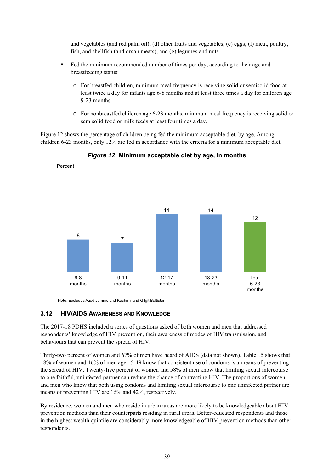and vegetables (and red palm oil); (d) other fruits and vegetables; (e) eggs; (f) meat, poultry, fish, and shellfish (and organ meats); and (g) legumes and nuts.

- Fed the minimum recommended number of times per day, according to their age and breastfeeding status:
	- o For breastfed children, minimum meal frequency is receiving solid or semisolid food at least twice a day for infants age 6-8 months and at least three times a day for children age 9-23 months.
	- o For nonbreastfed children age 6-23 months, minimum meal frequency is receiving solid or semisolid food or milk feeds at least four times a day.

Figure 12 shows the percentage of children being fed the minimum acceptable diet, by age. Among children 6-23 months, only 12% are fed in accordance with the criteria for a minimum acceptable diet.



*Figure 12* **Minimum acceptable diet by age, in months** 

Note: Excludes Azad Jammu and Kashmir and Gilgit Baltistan

#### **3.12 HIV/AIDS AWARENESS AND KNOWLEDGE**

Percent

The 2017-18 PDHS included a series of questions asked of both women and men that addressed respondents' knowledge of HIV prevention, their awareness of modes of HIV transmission, and behaviours that can prevent the spread of HIV.

Thirty-two percent of women and 67% of men have heard of AIDS (data not shown). Table 15 shows that 18% of women and 46% of men age 15-49 know that consistent use of condoms is a means of preventing the spread of HIV. Twenty-five percent of women and 58% of men know that limiting sexual intercourse to one faithful, uninfected partner can reduce the chance of contracting HIV. The proportions of women and men who know that both using condoms and limiting sexual intercourse to one uninfected partner are means of preventing HIV are 16% and 42%, respectively.

By residence, women and men who reside in urban areas are more likely to be knowledgeable about HIV prevention methods than their counterparts residing in rural areas. Better-educated respondents and those in the highest wealth quintile are considerably more knowledgeable of HIV prevention methods than other respondents.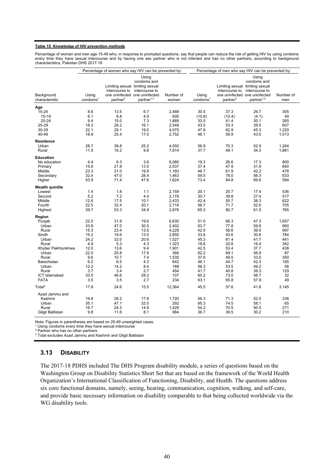#### **Table 15 Knowledge of HIV prevention methods**

Percentage of women and men age 15-49 who, in response to prompted questions, say that people can reduce the risk of getting HIV by using condoms every time they have sexual intercourse and by having one sex partner who is not infected and has no other partners, according to background characteristics, Pakistan DHS 2017-18

|                              |                               | Percentage of women who say HIV can be prevented by:                                                       |                                                                  |                    |                               | Percentage of men who say HIV can be prevented by:                        |                                                                                                   |                  |
|------------------------------|-------------------------------|------------------------------------------------------------------------------------------------------------|------------------------------------------------------------------|--------------------|-------------------------------|---------------------------------------------------------------------------|---------------------------------------------------------------------------------------------------|------------------|
| Background<br>characteristic | Using<br>condoms <sup>1</sup> | Limiting sexual limiting sexual<br>intercourse to<br>one uninfected one uninfected<br>partner <sup>2</sup> | Usina<br>condoms and<br>intercourse to<br>partner <sup>1,2</sup> | Number of<br>women | Using<br>condoms <sup>1</sup> | Limiting sexual limiting sexual<br>intercourse to<br>partner <sup>2</sup> | Using<br>condoms and<br>intercourse to<br>one uninfected one uninfected<br>partner <sup>1,2</sup> | Number of<br>men |
| Age                          |                               |                                                                                                            |                                                                  |                    |                               |                                                                           |                                                                                                   |                  |
| 15-24                        | 8.6                           | 13.5                                                                                                       | 6.7                                                              | 2,489              | 30.5                          | 37.3                                                                      | 26.7                                                                                              | 305              |
| 15-19                        | 6.1                           | 8.8                                                                                                        | 4.9                                                              | 600                | (10.6)                        | (10.4)                                                                    | (4.1)                                                                                             | 40               |
| $20 - 24$                    | 9.4                           | 15.0                                                                                                       | 7.3                                                              | 1,889              | 33.5                          | 41.4                                                                      | 30.1                                                                                              | 265              |
| 25-29                        | 18.2                          | 26.2                                                                                                       | 16.1                                                             | 2,548              | 43.5                          | 53.3                                                                      | 39.5                                                                                              | 607              |
| 30-39                        | 22.1                          | 29.1                                                                                                       | 19.0                                                             | 4,575              | 47.9                          | 62.9                                                                      | 45.3                                                                                              | 1,220            |
| 40-49                        | 18.9                          | 25.4                                                                                                       | 17.0                                                             | 2,752              | 48.1                          | 59.9                                                                      | 43.5                                                                                              | 1,013            |
| <b>Residence</b>             |                               |                                                                                                            |                                                                  |                    |                               |                                                                           |                                                                                                   |                  |
| Urban                        | 28.7                          | 38.8                                                                                                       | 25.2                                                             | 4,550              | 56.9                          | 70.3                                                                      | 52.9                                                                                              | 1,264            |
| Rural                        | 11.5                          | 16.2                                                                                                       | 9.8                                                              | 7,814              | 37.7                          | 49.1                                                                      | 34.3                                                                                              | 1,881            |
| <b>Education</b>             |                               |                                                                                                            |                                                                  |                    |                               |                                                                           |                                                                                                   |                  |
| No education                 | 4.4                           | 6.3                                                                                                        | 3.6                                                              | 6,080              | 19.3                          | 26.6                                                                      | 17.3                                                                                              | 800              |
| Primary                      | 15.6                          | 21.9                                                                                                       | 13.5                                                             | 2,037              | 37.4                          | 47.9                                                                      | 31.9                                                                                              | 640              |
| Middle                       | 23.3                          | 31.0                                                                                                       | 19.9                                                             | 1,160              | 46.7                          | 61.9                                                                      | 42.2                                                                                              | 478              |
| Secondary                    | 32.4                          | 47.0                                                                                                       | 28.4                                                             | 1,463              | 59.5                          | 78.0                                                                      | 56.3                                                                                              | 633              |
| Higher                       | 53.9                          | 71.4                                                                                                       | 47.6                                                             | 1,624              | 73.4                          | 84.8                                                                      | 69.6                                                                                              | 594              |
| Wealth quintile              |                               |                                                                                                            |                                                                  |                    |                               |                                                                           |                                                                                                   |                  |
| Lowest                       | 1.4                           | 1.8                                                                                                        | 1.1                                                              | 2,159              | 20.1                          | 25.7                                                                      | 17.4                                                                                              | 536              |
| Second                       | 5.2                           | 7.2                                                                                                        | 4.4                                                              | 2,178              | 30.7                          | 39.8                                                                      | 27.4                                                                                              | 517              |
| Middle                       | 12.6                          | 17.5                                                                                                       | 10.1                                                             | 2,433              | 42.4                          | 55.7                                                                      | 38.3                                                                                              | 622              |
| Fourth                       | 22.5                          | 32.4                                                                                                       | 20.1                                                             | 2,716              | 56.7                          | 71.7                                                                      | 52.6                                                                                              | 705              |
| Highest                      | 39.7                          | 53.3                                                                                                       | 34.9                                                             | 2,878              | 65.3                          | 80.7                                                                      | 61.5                                                                                              | 765              |
| Region                       |                               |                                                                                                            |                                                                  |                    |                               |                                                                           |                                                                                                   |                  |
| Punjab                       | 22.0                          | 31.9                                                                                                       | 19.6                                                             | 6,630              | 51.0                          | 66.3                                                                      | 47.3                                                                                              | 1,657            |
| Urban                        | 33.8                          | 47.0                                                                                                       | 30.5                                                             | 2,402              | 63.7                          | 77.8                                                                      | 59.9                                                                                              | 660              |
| Rural                        | 15.3                          | 23.4                                                                                                       | 13.5                                                             | 4,228              | 42.5                          | 58.6                                                                      | 39.0                                                                                              | 997              |
| Sindh                        | 15.2                          | 19.6                                                                                                       | 13.0                                                             | 2,850              | 33.6                          | 43.6                                                                      | 30.6                                                                                              | 784              |
| Urban                        | 24.2                          | 32.0                                                                                                       | 20.6                                                             | 1,527              | 45.3                          | 61.4                                                                      | 41.7                                                                                              | 441              |
| Rural                        | 4.9                           | 5.3                                                                                                        | 4.3                                                              | 1,323              | 18.6                          | 20.8                                                                      | 16.4                                                                                              | 342              |
| Khyber Pakhtunkhwa           | 12.0                          | 13.6                                                                                                       | 9.4                                                              | 1,901              | 42.5                          | 53.4                                                                      | 37.7                                                                                              | 438              |
| Urban                        | 22.0                          | 25.8                                                                                                       | 17.9                                                             | 366                | 62.2                          | 69.1                                                                      | 56.9                                                                                              | 87               |
| Rural                        | 9.6                           | 10.7                                                                                                       | 7.4                                                              | 1,535              | 37.6                          | 49.5                                                                      | 33.0                                                                                              | 350              |
| Balochistan                  | 6.2                           | 6.5                                                                                                        | 4.3                                                              | 642                | 46.1                          | 44.7                                                                      | 42.3                                                                                              | 185              |
| Urban                        | 12.2                          | 14.2                                                                                                       | 8.4                                                              | 188                | 56.3                          | 53.5                                                                      | 49.2                                                                                              | 56               |
| Rural                        | 3.7                           | 3.4                                                                                                        | 2.7                                                              | 454                | 41.7                          | 40.8                                                                      | 39.3                                                                                              | 129              |
| <b>ICT Islamabad</b>         | 33.0                          | 46.6                                                                                                       | 28.2                                                             | 107                | 60.2                          | 73.0                                                                      | 56.7                                                                                              | 32               |
| <b>FATA</b>                  | 3.5                           | 3.5                                                                                                        | 2.7                                                              | 234                | 63.1                          | 65.8                                                                      | 57.8                                                                                              | 49               |
| Total <sup>3</sup>           | 17.8                          | 24.6                                                                                                       | 15.5                                                             | 12,364             | 45.5                          | 57.6                                                                      | 41.8                                                                                              | 3,145            |
| Azad Jammu and               |                               |                                                                                                            |                                                                  |                    |                               |                                                                           |                                                                                                   |                  |
| Kashmir                      | 19.8                          | 28.2                                                                                                       | 17.8                                                             | 1,720              | 56.3                          | 71.3                                                                      | 52.0                                                                                              | 336              |
| Urban                        | 35.1                          | 47.1                                                                                                       | 32.0                                                             | 292                | 65.3                          | 74.5                                                                      | 58.1                                                                                              | 65               |
| Rural                        | 16.7                          | 24.3                                                                                                       | 14.9                                                             | 1,428              | 54.2                          | 70.5                                                                      | 50.5                                                                                              | 271              |
| Gilgit Baltistan             | 9.8                           | 11.6                                                                                                       | 8.1                                                              | 984                | 36.7                          | 39.5                                                                      | 30.2                                                                                              | 210              |
|                              |                               |                                                                                                            |                                                                  |                    |                               |                                                                           |                                                                                                   |                  |

Note: Figures in parentheses are based on 25-49 unweighted cases.<br><sup>1</sup> Using condoms every time they have sexual intercourse

<sup>2</sup> Partner who has no other partners.<br><sup>3</sup> Total excludes Azad Jammu and Kashmir and Gilgit Baltistan

#### **3.13 DISABILITY**

The 2017-18 PDHS included The DHS Program disability module, a series of questions based on the Washington Group on Disability Statistics Short Set that are based on the framework of the World Health Organization's International Classification of Functioning, Disability, and Health. The questions address six core functional domains, namely, seeing, hearing, communication, cognition, walking, and self-care, and provide basic necessary information on disability comparable to that being collected worldwide via the WG disability tools.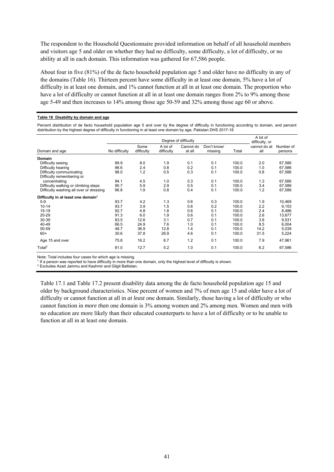The respondent to the Household Questionnaire provided information on behalf of all household members and visitors age 5 and older on whether they had no difficulty, some difficulty, a lot of difficulty, or no ability at all in each domain. This information was gathered for 67,586 people.

About four in five (81%) of the de facto household population age 5 and older have no difficulty in any of the domains (Table 16). Thirteen percent have some difficulty in at least one domain, 5% have a lot of difficulty in at least one domain, and 1% cannot function at all in at least one domain. The proportion who have a lot of difficulty or cannot function at all in at least one domain ranges from 2% to 9% among those age 5-49 and then increases to 14% among those age 50-59 and 32% among those age 60 or above.

#### **Table 16 Disability by domain and age**

Percent distribution of de facto household population age 5 and over by the degree of difficulty in functioning according to domain, and percent distribution by the highest degree of difficulty in functioning in at least one domain by age, Pakistan DHS 2017-18

|                                                |               |                    |                        | Degree of difficulty |                        |       | A lot of<br>difficulty, or |                      |
|------------------------------------------------|---------------|--------------------|------------------------|----------------------|------------------------|-------|----------------------------|----------------------|
| Domain and age                                 | No difficulty | Some<br>difficulty | A lot of<br>difficulty | Cannot do<br>at all  | Don't know/<br>missing | Total | cannot do at<br>all        | Number of<br>persons |
| Domain                                         |               |                    |                        |                      |                        |       |                            |                      |
| Difficulty seeing                              | 89.9          | 8.0                | 1.9                    | 0.1                  | 0.1                    | 100.0 | 2.0                        | 67,586               |
| Difficulty hearing                             | 96.6          | 2.4                | 0.8                    | 0.2                  | 0.1                    | 100.0 | 1.0                        | 67,586               |
| Difficulty communicating                       | 98.0          | 1.2                | 0.5                    | 0.3                  | 0.1                    | 100.0 | 0.8                        | 67,586               |
| Difficulty remembering or                      |               |                    |                        |                      |                        |       |                            |                      |
| concentrating                                  | 94.1          | 4.5                | 1.0                    | 0.3                  | 0.1                    | 100.0 | 1.3                        | 67,586               |
| Difficulty walking or climbing steps           | 90.7          | 5.9                | 2.9                    | 0.5                  | 0.1                    | 100.0 | 3.4                        | 67,586               |
| Difficulty washing all over or dressing        | 96.8          | 1.9                | 0.8                    | 0.4                  | 0.1                    | 100.0 | 1.2                        | 67,586               |
| Difficulty in at least one domain <sup>1</sup> |               |                    |                        |                      |                        |       |                            |                      |
| $5-9$                                          | 93.7          | 4.2                | 1.3                    | 0.6                  | 0.3                    | 100.0 | 1.9                        | 10,469               |
| $10 - 14$                                      | 93.7          | 3.9                | 1.5                    | 0.6                  | 0.2                    | 100.0 | 2.2                        | 9,153                |
| $15 - 19$                                      | 92.7          | 4.8                | 1.8                    | 0.6                  | 0.1                    | 100.0 | 2.4                        | 8,486                |
| 20-29                                          | 91.3          | 6.0                | 1.9                    | 0.6                  | 0.1                    | 100.0 | 2.6                        | 13,677               |
| 30-39                                          | 83.5          | 12.6               | 3.1                    | 0.7                  | 0.1                    | 100.0 | 3.8                        | 9,531                |
| 40-49                                          | 66.5          | 24.9               | 7.6                    | 1.0                  | 0.1                    | 100.0 | 8.5                        | 6,004                |
| 50-59                                          | 48.7          | 36.9               | 12.8                   | 1.4                  | 0.1                    | 100.0 | 14.2                       | 5,039                |
| $60+$                                          | 30.6          | 37.8               | 26.9                   | 4.6                  | 0.1                    | 100.0 | 31.5                       | 5,224                |
| Age 15 and over                                | 75.8          | 16.2               | 6.7                    | 1.2                  | 0.1                    | 100.0 | 7.9                        | 47,961               |
| Total <sup>2</sup>                             | 81.0          | 12.7               | 5.2                    | 1.0                  | 0.1                    | 100.0 | 6.2                        | 67,586               |

Note: Total includes four cases for which age is missing. 1

If a person was reported to have difficulty in more than one domain, only the highest level of difficulty is shown.

Excludes Azad Jammu and Kashmir and Gilgit Baltistan.

Table 17.1 and Table 17.2 present disability data among the de facto household population age 15 and older by background characteristics. Nine percent of women and 7% of men age 15 and older have a lot of difficulty or cannot function at all in *at least* one domain. Similarly, those having a lot of difficulty or who cannot function in *more than* one domain is 3% among women and 2% among men. Women and men with no education are more likely than their educated counterparts to have a lot of difficulty or to be unable to function at all in at least one domain.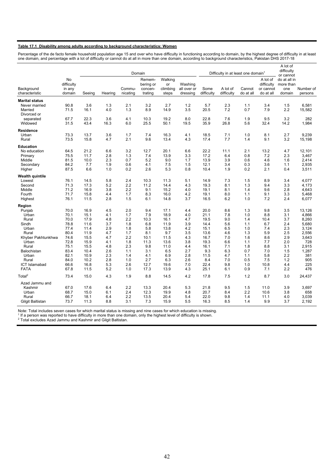#### **Table 17.1 Disability among adults according to background characteristics: Women**

Percentage of the de facto female household population age 15 and over who have difficulty in functioning according to domain, by the highest degree of difficulty in at least one domain, and percentage with a lot of difficulty or cannot do at all in more than one domain, according to background characteristics, Pakistan DHS 2017-18

|                                         |                      |                    |                   |                    | Domain              |                   |                         |                      | Difficulty in at least one domain <sup>1</sup> |                     |                        | A lot of<br>difficulty                 |                         |
|-----------------------------------------|----------------------|--------------------|-------------------|--------------------|---------------------|-------------------|-------------------------|----------------------|------------------------------------------------|---------------------|------------------------|----------------------------------------|-------------------------|
|                                         | No<br>difficulty     |                    |                   |                    | Remem-<br>bering or | Walking<br>or     | Washing                 |                      |                                                |                     | A lot of<br>difficulty | or cannot<br>do at all in<br>more than |                         |
| Background<br>characteristic            | in any<br>domain     | Seeing             | Hearing           | Commu-<br>nicating | concen-<br>trating  | climbing<br>steps | all over or<br>dressing | Some<br>difficulty   | A lot of<br>difficulty                         | Cannot<br>do at all | or cannot<br>do at all | one<br>domain                          | Number of<br>persons    |
| <b>Marital status</b>                   |                      |                    |                   |                    |                     |                   |                         |                      |                                                |                     |                        |                                        |                         |
| Never married<br>Married<br>Divorced or | 90.8<br>71.5         | 3.6<br>16.1        | 1.3<br>4.0        | 2.1<br>1.3         | 3.2<br>8.9          | 2.7<br>14.9       | 1.2<br>3.5              | 5.7<br>20.5          | 2.3<br>7.2                                     | 1.1<br>0.7          | 3.4<br>7.9             | 1.5<br>2.2                             | 6,581<br>15,582         |
| separated<br>Widowed                    | 67.7<br>31.5         | 22.3<br>43.4       | 3.6<br>16.3       | 4.1<br>6.0         | 10.3<br>25.5        | 19.2<br>50.1      | 8.0<br>19.5             | 22.8<br>35.9         | 7.6<br>26.8                                    | 1.9<br>5.6          | 9.5<br>32.4            | 3.2<br>14.2                            | 282<br>1,984            |
| Residence                               |                      |                    |                   |                    |                     |                   |                         |                      |                                                |                     |                        |                                        |                         |
| Urban<br>Rural                          | 73.3<br>73.5         | 13.7<br>15.8       | 3.6<br>4.7        | 1.7<br>2.1         | 7.4<br>9.6          | 16.3<br>13.4      | 4.1<br>4.3              | 18.5<br>17.4         | 7.1<br>7.7                                     | 1.0<br>1.4          | 8.1<br>9.1             | 2.7<br>3.2                             | 9,239<br>15,198         |
| Education                               |                      |                    |                   |                    |                     |                   |                         |                      |                                                |                     |                        |                                        |                         |
| No education<br>Primary                 | 64.5<br>75.5         | 21.2<br>11.7       | 6.6<br>2.8        | 3.2<br>1.3         | 12.7<br>7.4         | 20.1<br>13.9      | 6.6<br>3.3              | 22.2<br>17.2         | 11.1<br>6.4                                    | 2.1<br>0.8          | 13.2<br>7.2            | 4.7<br>2.3                             | 12,101<br>3,467         |
| Middle<br>Secondary<br>Higher           | 81.5<br>84.2<br>87.5 | 10.0<br>7.7<br>6.6 | 2.3<br>1.9<br>1.0 | 0.7<br>0.6<br>0.2  | 5.2<br>4.1<br>2.6   | 9.0<br>7.5<br>5.3 | 1.7<br>1.5<br>0.8       | 13.9<br>12.1<br>10.4 | 3.9<br>3.4<br>1.9                              | 0.6<br>0.3<br>0.2   | 4.6<br>3.6<br>2.1      | 1.6<br>1.1<br>0.4                      | 2,414<br>2,935<br>3,511 |
|                                         |                      |                    |                   |                    |                     |                   |                         |                      |                                                |                     |                        |                                        |                         |
| Wealth quintile                         |                      |                    |                   |                    |                     |                   |                         |                      |                                                |                     |                        |                                        |                         |
| Lowest<br>Second                        | 76.1<br>71.3         | 14.5<br>17.3       | 5.8<br>5.2        | 2.4<br>2.2         | 10.3<br>11.2        | 11.3<br>14.4      | 5.1<br>4.3              | 14.9<br>19.3         | 7.3<br>8.1                                     | 1.5<br>1.3          | 8.9<br>9.4             | 3.4<br>3.3                             | 4,077<br>4.173          |
| Middle                                  | 71.2                 | 16.9               | 3.8               | 2.2                | 9.1                 | 15.2              | 4.0                     | 19.1                 | 8.1                                            | 1.4                 | 9.6                    | 2.8                                    | 4,643                   |
| Fourth                                  | 71.7                 | 15.8               | 4.4               | 1.7                | 8.3                 | 16.0              | 4.2                     | 19.1                 | 8.0                                            | 1.1                 | 9.1                    | 3.3                                    | 5,468                   |
| Highest                                 | 76.1                 | 11.5               | 2.8               | 1.5                | 6.1                 | 14.8              | 3.7                     | 16.5                 | 6.2                                            | 1.0                 | 7.2                    | 2.4                                    | 6,077                   |
| Region                                  |                      |                    |                   |                    |                     |                   |                         |                      |                                                |                     |                        |                                        |                         |
| Punjab                                  | 70.0                 | 16.9               | 4.5               | 2.0                | 9.4                 | 17.1              | 4.4                     | 20.0                 | 8.6                                            | 1.3                 | 9.8                    | 3.5                                    | 13,126                  |
| Urban                                   | 70.1                 | 15.1               | 4.1               | 1.7                | 7.9                 | 18.9              | 4.0                     | 21.1                 | 7.8                                            | 1.0                 | 8.8                    | 3.1                                    | 4,866                   |
| Rural                                   | 70.0                 | 17.9               | 4.8               | 2.2                | 10.3                | 16.1              | 4.7                     | 19.5                 | 9.0                                            | 1.4                 | 10.4                   | 3.7                                    | 8,260                   |
| Sindh<br>Urban                          | 78.8                 | 11.6<br>11.4       | 3.7<br>2.9        | 1.8<br>1.8         | 6.8                 | 11.9              | 3.9<br>4.2              | 14.4                 | 5.6                                            | 1.1<br>1.0          | 6.7                    | 2.4<br>2.3                             | 5,680                   |
| Rural                                   | 77.4<br>80.4         | 11.9               | 4.7               | 1.7                | 5.8<br>8.1          | 13.8<br>9.7       | 3.5                     | 15.1<br>13.6         | 6.5<br>4.6                                     | 1.3                 | 7.4<br>5.9             | 2.5                                    | 3,124<br>2,556          |
| Khyber Pakhtunkhwa                      | 74.6                 | 15.5               | 4.7               | 2.2                | 10.1                | 11.5              | 4.3                     | 16.7                 | 7.0                                            | 1.6                 | 8.6                    | 2.9                                    | 3,643                   |
| Urban                                   | 72.8                 | 15.9               | 4.1               | 1.8                | 11.3                | 13.6              | 3.8                     | 19.3                 | 6.6                                            | 1.1                 | 7.7                    | 2.0                                    | 728                     |
| Rural                                   | 75.1                 | 15.5               | 4.8               | 2.3                | 9.8                 | 11.0              | 4.4                     | 16.1                 | 7.1                                            | 1.8                 | 8.8                    | 3.1                                    | 2,915                   |
| Balochistan                             | 83.4                 | 10.4               | 2.6               | 1.1                | 3.1                 | 6.5               | 2.7                     | 9.3                  | 6.3                                            | 0.7                 | 7.0                    | 1.5                                    | 1,287                   |
| Urban                                   | 82.1                 | 10.9               | 2.3               | 1.4                | 4.1                 | 6.9               | 2.8                     | 11.5                 | 4.7                                            | 1.1                 | 5.8                    | 2.2                                    | 381                     |
| Rural                                   | 84.0                 | 10.2               | 2.8               | 1.0                | 2.7                 | 6.3               | 2.6                     | 8.4                  | 7.0                                            | 0.5                 | 7.5                    | 1.2                                    | 905                     |
| <b>ICT Islamabad</b>                    | 66.6                 | 16.8               | 5.3               | 2.6                | 12.7                | 19.6              | 7.0                     | 22.4                 | 9.8                                            | 1.0                 | 10.8                   | 4.4                                    | 225                     |
| <b>FATA</b>                             | 67.8                 | 11.5               | 5.2               | 1.0                | 17.3                | 13.9              | 4.3                     | 25.1                 | 6.1                                            | 0.9                 | 7.1                    | 2.2                                    | 476                     |
| Total <sup>2</sup>                      | 73.4                 | 15.0               | 4.3               | 1.9                | 8.8                 | 14.5              | 4.2                     | 17.8                 | 7.5                                            | 1.2                 | 8.7                    | 3.0                                    | 24,437                  |
| Azad Jammu and                          |                      |                    |                   |                    |                     |                   |                         |                      |                                                |                     |                        |                                        |                         |
| Kashmir                                 | 67.0                 | 17.6               | 6.4               | 2.2                | 13.3                | 20.4              | 5.3                     | 21.8                 | 9.5                                            | 1.5                 | 11.0                   | 3.9                                    | 3,697                   |
| Urban                                   | 68.7                 | 15.0               | 6.1               | 2.4                | 12.3                | 19.9              | 4.8                     | 20.7                 | 8.4                                            | 2.2                 | 10.6                   | 3.8                                    | 658                     |
| Rural<br>Gilgit Baltistan               | 66.7<br>73.7         | 18.1<br>11.3       | 6.4<br>8.8        | 2.2<br>3.1         | 13.5<br>7.3         | 20.4<br>15.9      | 5.4<br>5.5              | 22.0<br>16.3         | 9.8<br>8.5                                     | 1.4<br>1.4          | 11.1<br>9.9            | 4.0<br>3.7                             | 3,039<br>2,192          |

Note: Total includes seven cases for which marital status is missing and nine cases for which education is missing.<br><sup>1</sup> If a person was reported to have difficulty in more than one domain, only the highest level of difficu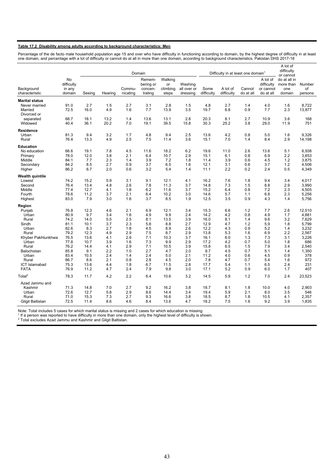#### **Table 17.2 Disability among adults according to background characteristics: Men**

Percentage of the de facto male household population age 15 and over who have difficulty in functioning according to domain, by the highest degree of difficulty in at least one domain, and percentage with a lot of difficulty or cannot do at all in more than one domain, according to background characteristics, Pakistan DHS 2017-18

|                                                   |                                      |              |              |                    | Domain                                    |                                    |                                    |                    |                                                |                     |                                                  | A lot of<br>difficulty                     |                         |
|---------------------------------------------------|--------------------------------------|--------------|--------------|--------------------|-------------------------------------------|------------------------------------|------------------------------------|--------------------|------------------------------------------------|---------------------|--------------------------------------------------|--------------------------------------------|-------------------------|
|                                                   |                                      |              |              |                    |                                           |                                    |                                    |                    | Difficulty in at least one domain <sup>1</sup> |                     |                                                  | or cannot                                  |                         |
| Background<br>characteristic                      | No<br>difficulty<br>in any<br>domain | Seeing       | Hearing      | Commu-<br>nicating | Remem-<br>bering or<br>concen-<br>trating | Walking<br>or<br>climbing<br>steps | Washing<br>all over or<br>dressing | Some<br>difficulty | A lot of<br>difficulty                         | Cannot<br>do at all | A lot of<br>difficulty<br>or cannot<br>do at all | do at all in<br>more than<br>one<br>domain | Number<br>of<br>persons |
|                                                   |                                      |              |              |                    |                                           |                                    |                                    |                    |                                                |                     |                                                  |                                            |                         |
| <b>Marital status</b><br>Never married<br>Married | 91.0<br>72.5                         | 2.7<br>16.0  | 1.5<br>4.9   | 2.7<br>1.6         | 3.1<br>7.7                                | 2.8<br>13.9                        | 1.5<br>3.5                         | 4.8<br>19.7        | 2.7<br>6.8                                     | 1.4<br>0.9          | 4.0<br>7.7                                       | 1.6<br>2.3                                 | 8,722<br>13,877         |
| Divorced or<br>separated<br>Widowed               | 68.7<br>40.4                         | 18.1<br>36.1 | 13.2<br>20.2 | 1.4<br>7.0         | 13.6<br>19.1                              | 13.1<br>39.5                       | 2.8<br>15.8                        | 20.3<br>30.3       | 8.1<br>25.2                                    | 2.7<br>3.8          | 10.9<br>29.0                                     | 3.6<br>11.9                                | 168<br>751              |
|                                                   |                                      |              |              |                    |                                           |                                    |                                    |                    |                                                |                     |                                                  |                                            |                         |
| Residence                                         |                                      |              |              |                    |                                           |                                    |                                    |                    |                                                |                     |                                                  |                                            |                         |
| Urban<br>Rural                                    | 81.3<br>76.4                         | 9.4<br>13.3  | 3.2<br>4.9   | 1.7<br>2.5         | 4.8<br>7.5                                | 9.4<br>11.4                        | 2.5<br>3.6                         | 13.6<br>15.1       | 4.2<br>7.0                                     | 0.8<br>1.4          | 5.0<br>8.4                                       | 1.6<br>2.9                                 | 9,326<br>14,198         |
|                                                   |                                      |              |              |                    |                                           |                                    |                                    |                    |                                                |                     |                                                  |                                            |                         |
| <b>Education</b>                                  |                                      |              |              |                    |                                           |                                    |                                    |                    |                                                |                     |                                                  |                                            |                         |
| No education                                      | 66.6                                 | 19.1         | 7.8          | 4.5                | 11.6                                      | 18.2                               | 6.2                                | 19.6               | 11.0                                           | 2.6                 | 13.6                                             | 5.1                                        | 6,938                   |
| Primary<br>Middle                                 | 78.0<br>84.1                         | 12.0<br>7.7  | 3.8<br>2.3   | 2.1<br>1.4         | 6.4<br>3.9                                | 10.7<br>7.2                        | 2.9<br>1.8                         | 15.1<br>11.4       | 6.1<br>3.9                                     | 0.8<br>0.6          | 6.9<br>4.5                                       | 2.2<br>1.2                                 | 3,853<br>3,875          |
| Secondary                                         | 84.2                                 | 8.5          | 2.7          | 0.9                | 3.7                                       | 6.5                                | 1.6                                | 12.1               | 3.1                                            | 0.6                 | 3.7                                              | 1.2                                        | 4,506                   |
| Higher                                            | 86.2                                 | 6.7          | 2.0          | 0.6                | 3.2                                       | 5.4                                | 1.4                                | 11.1               | 2.2                                            | 0.2                 | 2.4                                              | 0.5                                        | 4,349                   |
| Wealth quintile                                   |                                      |              |              |                    |                                           |                                    |                                    |                    |                                                |                     |                                                  |                                            |                         |
| Lowest                                            | 74.2                                 | 15.2         | 5.9          | 3.1                | 9.1                                       | 12.1                               | 4.1                                | 16.2               | 7.6                                            | 1.8                 | 9.4                                              | 3.4                                        | 4,017                   |
| Second                                            | 76.4                                 | 13.4         | 4.8          | 2.6                | 7.8                                       | 11.3                               | 3.7                                | 14.8               | 7.3                                            | 1.5                 | 8.8                                              | 2.9                                        | 3,990                   |
| Middle                                            | 77.4                                 | 12.7         | 4.1          | 1.8                | 6.2                                       | 11.6                               | 3.7                                | 15.2               | 6.4                                            | 0.8                 | 7.2                                              | 2.3                                        | 4,505                   |
| Fourth                                            | 78.6                                 | 11.2         | 3.7          | 2.1                | 6.4                                       | 10.2                               | 3.0                                | 14.6               | 5.7                                            | 1.1                 | 6.8                                              | 2.3                                        | 5,256                   |
| Highest                                           | 83.0                                 | 7.9          | 3.0          | 1.6                | 3.7                                       | 8.5                                | 1.9                                | 12.5               | 3.5                                            | 0.9                 | 4.3                                              | 1.4                                        | 5,756                   |
| Region                                            |                                      |              |              |                    |                                           |                                    |                                    |                    |                                                |                     |                                                  |                                            |                         |
| Punjab                                            | 76.8                                 | 12.3         | 4.6          | 2.1                | 6.9                                       | 12.1                               | 3.4                                | 15.3               | 6.6                                            | 1.2                 | 7.7                                              | 2.6                                        | 12,510                  |
| Urban                                             | 80.9                                 | 9.7          | 3.4          | 1.6                | 4.9                                       | 9.9                                | 2.4                                | 14.2               | 4.2                                            | 0.8                 | 4.9                                              | 1.7                                        | 4,881                   |
| Rural                                             | 74.2                                 | 14.0         | 5.5          | 2.5                | 8.1                                       | 13.5                               | 3.9                                | 16.0               | 8.1                                            | 1.4                 | 9.6                                              | 3.2                                        | 7,629                   |
| Sindh                                             | 81.1                                 | 10.1         | 3.7          | 2.3                | 5.8                                       | 8.8                                | 2.7                                | 12.9               | 4.7                                            | 1.2                 | 5.9                                              | 1.8                                        | 5,799                   |
| Urban                                             | 82.6                                 | 8.3          | 2.7          | 1.8                | 4.5                                       | 8.9                                | 2.6                                | 12.2               | 4.3                                            | 0.9                 | 5.2                                              | 1.4                                        | 3,232                   |
| Rural                                             | 79.2                                 | 12.3         | 4.9          | 2.9                | 7.5                                       | 8.7                                | 2.9                                | 13.8               | 5.3                                            | 1.6                 | 6.9                                              | 2.2                                        | 2,567                   |
| Khyber Pakhtunkhwa                                | 76.5                                 | 13.6         | 4.1          | 2.6                | 7.1                                       | 10.3                               | 3.7                                | 16.1               | 6.0                                            | 1.3                 | 7.3                                              | 3.1                                        | 3,226                   |
| Urban<br>Rural                                    | 77.8<br>76.2                         | 10.7<br>14.4 | 3.9<br>4.1   | 1.6<br>2.9         | 7.3<br>7.1                                | 9.9                                | 2.9<br>3.9                         | 17.2<br>15.8       | 4.2<br>6.5                                     | 0.7<br>1.5          | 5.0<br>7.9                                       | 1.8<br>3.4                                 | 686<br>2,540            |
| Balochistan                                       | 85.8                                 | 9.1          | 2.2          | 1.0                | 2.7                                       | 10.5<br>4.7                        | 2.0                                | 8.7                | 4.5                                            | 0.7                 | 5.1                                              | 1.4                                        | 1,350                   |
| Urban                                             | 83.4                                 | 10.5         | 2.4          | 1.4                | 2.4                                       | 5.0                                | 2.1                                | 11.2               | 4.0                                            | 0.6                 | 4.5                                              | 0.9                                        | 378                     |
| Rural                                             | 86.7                                 | 8.6          | 2.1          | 0.8                | 2.8                                       | 4.5                                | 2.0                                | 7.8                | 4.7                                            | 0.7                 | 5.4                                              | 1.6                                        | 972                     |
| <b>ICT Islamabad</b>                              | 75.3                                 | 13.6         | 4.4          | 1.8                | 6.7                                       | 11.5                               | 2.8                                | 17.7               | 5.4                                            | 1.1                 | 6.5                                              | 2.4                                        | 231                     |
| <b>FATA</b>                                       | 76.9                                 | 11.2         | 4.7          | 2.4                | 7.9                                       | 9.8                                | 3.0                                | 17.1               | 5.2                                            | 0.9                 | 6.0                                              | 1.7                                        | 407                     |
| Total <sup>2</sup>                                | 78.3                                 | 11.7         | 4.2          | 2.2                | 6.4                                       | 10.6                               | 3.2                                | 14.5               | 5.9                                            | 1.2                 | 7.0                                              | 2.4                                        | 23,523                  |
| Azad Jammu and                                    |                                      |              |              |                    |                                           |                                    |                                    |                    |                                                |                     |                                                  |                                            |                         |
| Kashmir                                           | 71.3                                 | 14.8         | 7.0          | 2.7                | 9.2                                       | 16.2                               | 3.8                                | 18.7               | 8.1                                            | 1.8                 | 10.0                                             | 4.0                                        | 2,903                   |
| Urban                                             | 72.6                                 | 12.7         | 5.8          | 2.9                | 8.6                                       | 14.4                               | 3.4                                | 19.4               | 5.9                                            | 2.1                 | 8.0                                              | 3.5                                        | 546                     |
| Rural                                             | 71.0                                 | 15.3         | 7.3          | 2.7                | 9.3                                       | 16.6                               | 3.8                                | 18.5               | 8.7                                            | 1.8                 | 10.5                                             | 4.1                                        | 2,357                   |
| Gilgit Baltistan                                  | 72.5                                 | 11.4         | 8.6          | 4.6                | 8.4                                       | 13.6                               | 4.7                                | 18.2               | 7.5                                            | 1.6                 | 9.2                                              | 3.9                                        | 1,835                   |

Note: Total includes 5 cases for which marital status is missing and 2 cases for which education is missing.<br><sup>1</sup> If a person was reported to have difficulty in more than one domain, only the highest level of difficulty is